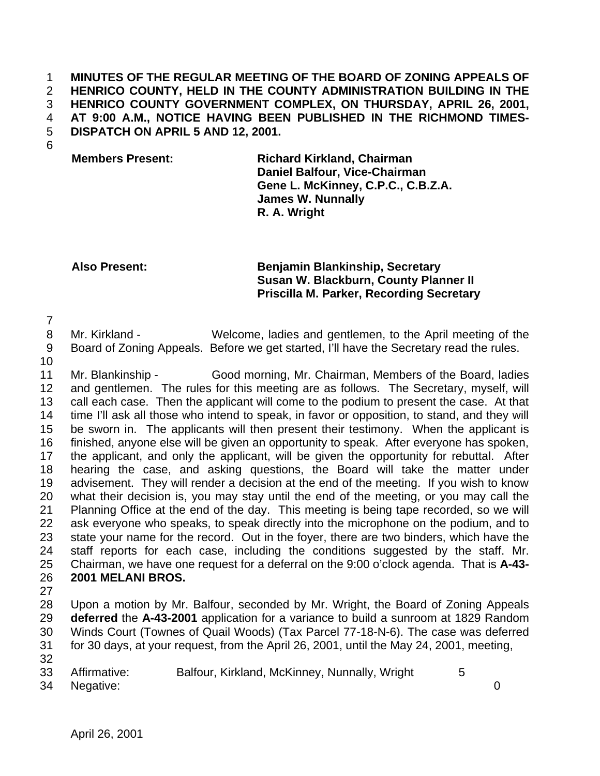## **MINUTES OF THE REGULAR MEETING OF THE BOARD OF ZONING APPEALS OF HENRICO COUNTY, HELD IN THE COUNTY ADMINISTRATION BUILDING IN THE HENRICO COUNTY GOVERNMENT COMPLEX, ON THURSDAY, APRIL 26, 2001, AT 9:00 A.M., NOTICE HAVING BEEN PUBLISHED IN THE RICHMOND TIMES-DISPATCH ON APRIL 5 AND 12, 2001.**

**Members Present: Richard Kirkland, Chairman Daniel Balfour, Vice-Chairman Gene L. McKinney, C.P.C., C.B.Z.A. James W. Nunnally R. A. Wright**

## **Also Present: Benjamin Blankinship, Secretary Susan W. Blackburn, County Planner II Priscilla M. Parker, Recording Secretary**

 Mr. Kirkland - Welcome, ladies and gentlemen, to the April meeting of the Board of Zoning Appeals. Before we get started, I'll have the Secretary read the rules.

 Mr. Blankinship - Good morning, Mr. Chairman, Members of the Board, ladies and gentlemen. The rules for this meeting are as follows. The Secretary, myself, will call each case. Then the applicant will come to the podium to present the case. At that time I'll ask all those who intend to speak, in favor or opposition, to stand, and they will be sworn in. The applicants will then present their testimony. When the applicant is finished, anyone else will be given an opportunity to speak. After everyone has spoken, the applicant, and only the applicant, will be given the opportunity for rebuttal. After hearing the case, and asking questions, the Board will take the matter under advisement. They will render a decision at the end of the meeting. If you wish to know what their decision is, you may stay until the end of the meeting, or you may call the Planning Office at the end of the day. This meeting is being tape recorded, so we will ask everyone who speaks, to speak directly into the microphone on the podium, and to state your name for the record. Out in the foyer, there are two binders, which have the staff reports for each case, including the conditions suggested by the staff. Mr. Chairman, we have one request for a deferral on the 9:00 o'clock agenda. That is **A-43- 2001 MELANI BROS.** 

 Upon a motion by Mr. Balfour, seconded by Mr. Wright, the Board of Zoning Appeals **deferred** the **A-43-2001** application for a variance to build a sunroom at 1829 Random Winds Court (Townes of Quail Woods) (Tax Parcel 77-18-N-6). The case was deferred for 30 days, at your request, from the April 26, 2001, until the May 24, 2001, meeting,

- 
- 33 Affirmative: Balfour, Kirkland, McKinney, Nunnally, Wright 5

Negative: 0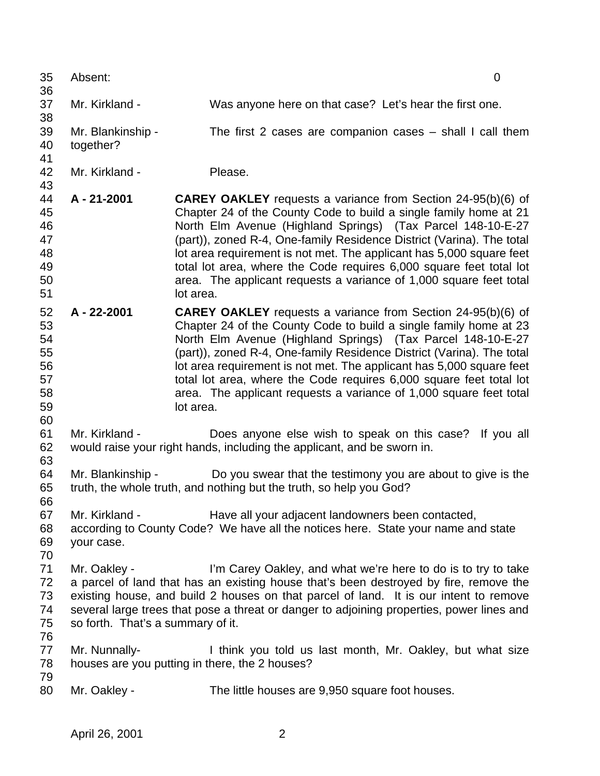| 35<br>36                                           | Absent:<br>$\mathbf 0$                            |                                                                                                                                                                                                                                                                                                                                                                                                                                                                                                                    |  |  |  |
|----------------------------------------------------|---------------------------------------------------|--------------------------------------------------------------------------------------------------------------------------------------------------------------------------------------------------------------------------------------------------------------------------------------------------------------------------------------------------------------------------------------------------------------------------------------------------------------------------------------------------------------------|--|--|--|
| 37<br>38                                           | Mr. Kirkland -                                    | Was anyone here on that case? Let's hear the first one.                                                                                                                                                                                                                                                                                                                                                                                                                                                            |  |  |  |
| 39<br>40<br>41                                     | Mr. Blankinship -<br>together?                    | The first 2 cases are companion cases $-$ shall I call them                                                                                                                                                                                                                                                                                                                                                                                                                                                        |  |  |  |
| 42<br>43                                           | Mr. Kirkland -                                    | Please.                                                                                                                                                                                                                                                                                                                                                                                                                                                                                                            |  |  |  |
| 44<br>45<br>46<br>47<br>48<br>49<br>50<br>51       | A - 21-2001                                       | <b>CAREY OAKLEY</b> requests a variance from Section 24-95(b)(6) of<br>Chapter 24 of the County Code to build a single family home at 21<br>North Elm Avenue (Highland Springs) (Tax Parcel 148-10-E-27<br>(part)), zoned R-4, One-family Residence District (Varina). The total<br>lot area requirement is not met. The applicant has 5,000 square feet<br>total lot area, where the Code requires 6,000 square feet total lot<br>area. The applicant requests a variance of 1,000 square feet total<br>lot area. |  |  |  |
| 52<br>53<br>54<br>55<br>56<br>57<br>58<br>59<br>60 | A - 22-2001                                       | <b>CAREY OAKLEY</b> requests a variance from Section 24-95(b)(6) of<br>Chapter 24 of the County Code to build a single family home at 23<br>North Elm Avenue (Highland Springs) (Tax Parcel 148-10-E-27<br>(part)), zoned R-4, One-family Residence District (Varina). The total<br>lot area requirement is not met. The applicant has 5,000 square feet<br>total lot area, where the Code requires 6,000 square feet total lot<br>area. The applicant requests a variance of 1,000 square feet total<br>lot area. |  |  |  |
| 61<br>62<br>63                                     | Mr. Kirkland -                                    | Does anyone else wish to speak on this case?<br>If you all<br>would raise your right hands, including the applicant, and be sworn in.                                                                                                                                                                                                                                                                                                                                                                              |  |  |  |
| 64<br>65<br>66                                     | Mr. Blankinship -                                 | Do you swear that the testimony you are about to give is the<br>truth, the whole truth, and nothing but the truth, so help you God?                                                                                                                                                                                                                                                                                                                                                                                |  |  |  |
| 67<br>68<br>69<br>70                               | Mr. Kirkland -<br>your case.                      | Have all your adjacent landowners been contacted,<br>according to County Code? We have all the notices here. State your name and state                                                                                                                                                                                                                                                                                                                                                                             |  |  |  |
| 71<br>72<br>73<br>74<br>75                         | Mr. Oakley -<br>so forth. That's a summary of it. | I'm Carey Oakley, and what we're here to do is to try to take<br>a parcel of land that has an existing house that's been destroyed by fire, remove the<br>existing house, and build 2 houses on that parcel of land. It is our intent to remove<br>several large trees that pose a threat or danger to adjoining properties, power lines and                                                                                                                                                                       |  |  |  |
| 76<br>77<br>78                                     | Mr. Nunnally-                                     | I think you told us last month, Mr. Oakley, but what size<br>houses are you putting in there, the 2 houses?                                                                                                                                                                                                                                                                                                                                                                                                        |  |  |  |
| 79<br>80                                           | Mr. Oakley -                                      | The little houses are 9,950 square foot houses.                                                                                                                                                                                                                                                                                                                                                                                                                                                                    |  |  |  |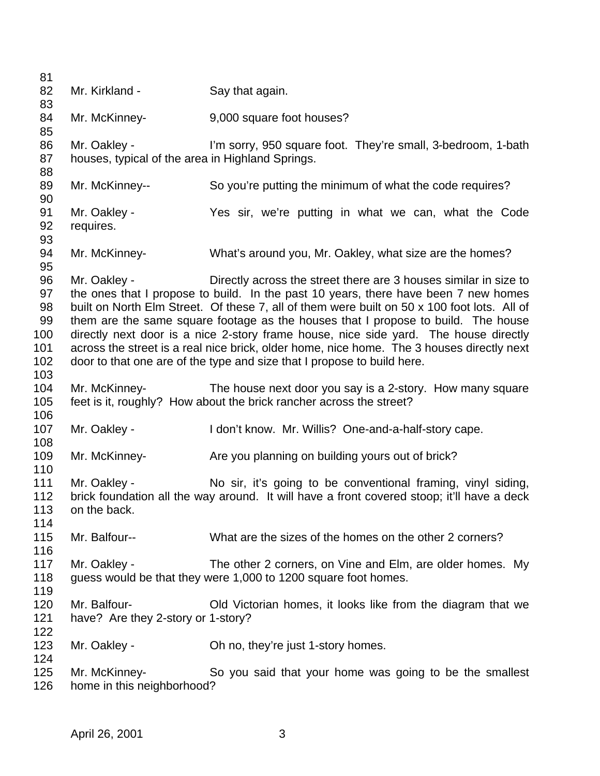| 81         |                                                  |                                                                                             |
|------------|--------------------------------------------------|---------------------------------------------------------------------------------------------|
| 82         | Mr. Kirkland -                                   | Say that again.                                                                             |
| 83         |                                                  |                                                                                             |
| 84         | Mr. McKinney-                                    | 9,000 square foot houses?                                                                   |
| 85         |                                                  |                                                                                             |
| 86         | Mr. Oakley -                                     | I'm sorry, 950 square foot. They're small, 3-bedroom, 1-bath                                |
| 87         | houses, typical of the area in Highland Springs. |                                                                                             |
| 88         |                                                  |                                                                                             |
| 89         | Mr. McKinney--                                   | So you're putting the minimum of what the code requires?                                    |
| 90         |                                                  |                                                                                             |
| 91         | Mr. Oakley -                                     | Yes sir, we're putting in what we can, what the Code                                        |
| 92         | requires.                                        |                                                                                             |
| 93         |                                                  |                                                                                             |
| 94         | Mr. McKinney-                                    | What's around you, Mr. Oakley, what size are the homes?                                     |
| 95         |                                                  |                                                                                             |
| 96         | Mr. Oakley -                                     | Directly across the street there are 3 houses similar in size to                            |
| 97         |                                                  | the ones that I propose to build. In the past 10 years, there have been 7 new homes         |
| 98         |                                                  | built on North Elm Street. Of these 7, all of them were built on 50 x 100 foot lots. All of |
| 99         |                                                  | them are the same square footage as the houses that I propose to build. The house           |
| 100        |                                                  | directly next door is a nice 2-story frame house, nice side yard. The house directly        |
| 101        |                                                  | across the street is a real nice brick, older home, nice home. The 3 houses directly next   |
| 102<br>103 |                                                  | door to that one are of the type and size that I propose to build here.                     |
| 104        | Mr. McKinney-                                    | The house next door you say is a 2-story. How many square                                   |
| 105        |                                                  | feet is it, roughly? How about the brick rancher across the street?                         |
| 106        |                                                  |                                                                                             |
| 107        | Mr. Oakley -                                     | I don't know. Mr. Willis? One-and-a-half-story cape.                                        |
| 108        |                                                  |                                                                                             |
| 109        | Mr. McKinney-                                    | Are you planning on building yours out of brick?                                            |
| 110        |                                                  |                                                                                             |
| 111        | Mr. Oakley -                                     | No sir, it's going to be conventional framing, vinyl siding,                                |
| 112        |                                                  | brick foundation all the way around. It will have a front covered stoop; it'll have a deck  |
| 113        | on the back.                                     |                                                                                             |
| 114        |                                                  |                                                                                             |
| 115        | Mr. Balfour--                                    | What are the sizes of the homes on the other 2 corners?                                     |
| 116        |                                                  |                                                                                             |
| 117        | Mr. Oakley -                                     | The other 2 corners, on Vine and Elm, are older homes. My                                   |
| 118        |                                                  | guess would be that they were 1,000 to 1200 square foot homes.                              |
| 119        |                                                  |                                                                                             |
| 120        | Mr. Balfour-                                     | Old Victorian homes, it looks like from the diagram that we                                 |
| 121        | have? Are they 2-story or 1-story?               |                                                                                             |
| 122        |                                                  |                                                                                             |
| 123        | Mr. Oakley -                                     | Oh no, they're just 1-story homes.                                                          |
| 124        |                                                  |                                                                                             |
| 125        | Mr. McKinney-                                    | So you said that your home was going to be the smallest                                     |
| 126        | home in this neighborhood?                       |                                                                                             |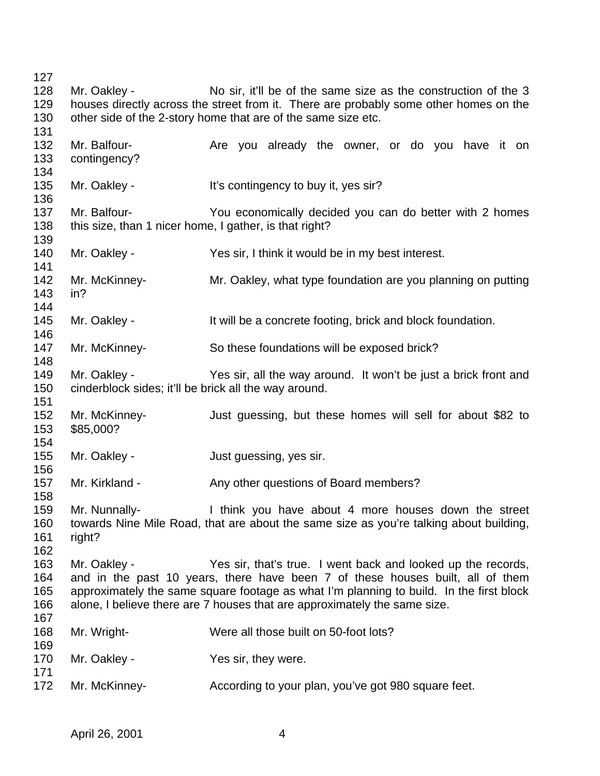128 Mr. Oakley - No sir, it'll be of the same size as the construction of the 3 houses directly across the street from it. There are probably some other homes on the other side of the 2-story home that are of the same size etc. 132 Mr. Balfour- **Are you already the owner**, or do you have it on contingency? 135 Mr. Oakley - It's contingency to buy it, yes sir? Mr. Balfour- You economically decided you can do better with 2 homes this size, than 1 nicer home, I gather, is that right? Mr. Oakley - Yes sir, I think it would be in my best interest. Mr. McKinney- Mr. Oakley, what type foundation are you planning on putting in? 145 Mr. Oakley - It will be a concrete footing, brick and block foundation. Mr. McKinney- So these foundations will be exposed brick? Mr. Oakley - Yes sir, all the way around. It won't be just a brick front and cinderblock sides; it'll be brick all the way around. Mr. McKinney- Just guessing, but these homes will sell for about \$82 to \$85,000? 155 Mr. Oakley - Just guessing, yes sir. Mr. Kirkland - Any other questions of Board members? Mr. Nunnally- I think you have about 4 more houses down the street towards Nine Mile Road, that are about the same size as you're talking about building, right? Mr. Oakley - Yes sir, that's true. I went back and looked up the records, and in the past 10 years, there have been 7 of these houses built, all of them approximately the same square footage as what I'm planning to build. In the first block alone, I believe there are 7 houses that are approximately the same size. Mr. Wright- Were all those built on 50-foot lots? 170 Mr. Oakley - Yes sir, they were. 172 Mr. McKinney- **According to your plan, you've got 980 square feet.**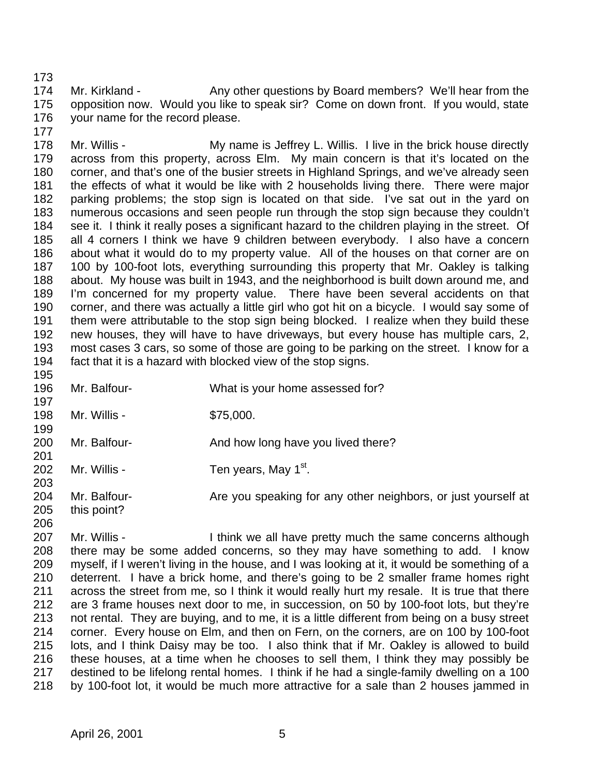174 Mr. Kirkland - Any other questions by Board members? We'll hear from the opposition now. Would you like to speak sir? Come on down front. If you would, state your name for the record please. 

178 Mr. Willis - My name is Jeffrey L. Willis. I live in the brick house directly across from this property, across Elm. My main concern is that it's located on the corner, and that's one of the busier streets in Highland Springs, and we've already seen the effects of what it would be like with 2 households living there. There were major parking problems; the stop sign is located on that side. I've sat out in the yard on numerous occasions and seen people run through the stop sign because they couldn't see it. I think it really poses a significant hazard to the children playing in the street. Of all 4 corners I think we have 9 children between everybody. I also have a concern about what it would do to my property value. All of the houses on that corner are on 100 by 100-foot lots, everything surrounding this property that Mr. Oakley is talking about. My house was built in 1943, and the neighborhood is built down around me, and I'm concerned for my property value. There have been several accidents on that corner, and there was actually a little girl who got hit on a bicycle. I would say some of them were attributable to the stop sign being blocked. I realize when they build these new houses, they will have to have driveways, but every house has multiple cars, 2, most cases 3 cars, so some of those are going to be parking on the street. I know for a fact that it is a hazard with blocked view of the stop signs.

- Mr. Balfour- What is your home assessed for? 198 Mr. Willis - \$75,000. 200 Mr. Balfour- **And how long have you lived there?**  202 Mr. Willis - Ten years, May  $1<sup>st</sup>$ . 204 Mr. Balfour- **Are you speaking for any other neighbors**, or just yourself at
- this point?

207 Mr. Willis - I think we all have pretty much the same concerns although there may be some added concerns, so they may have something to add. I know myself, if I weren't living in the house, and I was looking at it, it would be something of a deterrent. I have a brick home, and there's going to be 2 smaller frame homes right across the street from me, so I think it would really hurt my resale. It is true that there are 3 frame houses next door to me, in succession, on 50 by 100-foot lots, but they're not rental. They are buying, and to me, it is a little different from being on a busy street corner. Every house on Elm, and then on Fern, on the corners, are on 100 by 100-foot lots, and I think Daisy may be too. I also think that if Mr. Oakley is allowed to build these houses, at a time when he chooses to sell them, I think they may possibly be destined to be lifelong rental homes. I think if he had a single-family dwelling on a 100 by 100-foot lot, it would be much more attractive for a sale than 2 houses jammed in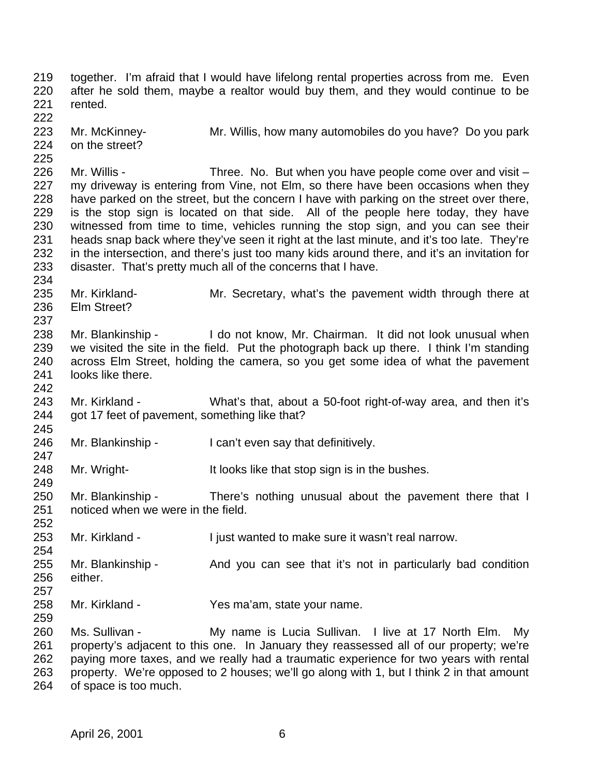together. I'm afraid that I would have lifelong rental properties across from me. Even after he sold them, maybe a realtor would buy them, and they would continue to be rented. Mr. McKinney- Mr. Willis, how many automobiles do you have? Do you park on the street? 226 Mr. Willis - Three. No. But when you have people come over and visit – 227 my driveway is entering from Vine, not Elm, so there have been occasions when they have parked on the street, but the concern I have with parking on the street over there, is the stop sign is located on that side. All of the people here today, they have witnessed from time to time, vehicles running the stop sign, and you can see their heads snap back where they've seen it right at the last minute, and it's too late. They're in the intersection, and there's just too many kids around there, and it's an invitation for disaster. That's pretty much all of the concerns that I have. Mr. Kirkland- Mr. Secretary, what's the pavement width through there at Elm Street? Mr. Blankinship - I do not know, Mr. Chairman. It did not look unusual when we visited the site in the field. Put the photograph back up there. I think I'm standing across Elm Street, holding the camera, so you get some idea of what the pavement looks like there. Mr. Kirkland - What's that, about a 50-foot right-of-way area, and then it's 244 got 17 feet of pavement, something like that? Mr. Blankinship - I can't even say that definitively. Mr. Wright- It looks like that stop sign is in the bushes. 250 Mr. Blankinship - There's nothing unusual about the pavement there that I noticed when we were in the field. 253 Mr. Kirkland - I just wanted to make sure it wasn't real narrow. 255 Mr. Blankinship - And you can see that it's not in particularly bad condition either. Mr. Kirkland - Yes ma'am, state your name. Ms. Sullivan - My name is Lucia Sullivan. I live at 17 North Elm. My property's adjacent to this one. In January they reassessed all of our property; we're paying more taxes, and we really had a traumatic experience for two years with rental property. We're opposed to 2 houses; we'll go along with 1, but I think 2 in that amount

of space is too much.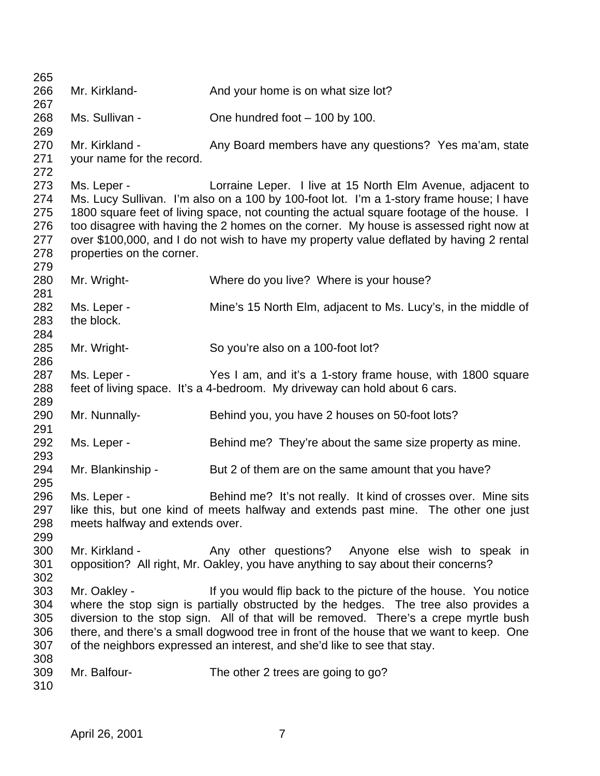266 Mr. Kirkland- **And your home is on what size lot?**  Ms. Sullivan - One hundred foot – 100 by 100. 270 Mr. Kirkland - Any Board members have any questions? Yes ma'am, state your name for the record. 273 Ms. Leper - Lorraine Leper. I live at 15 North Elm Avenue, adjacent to Ms. Lucy Sullivan. I'm also on a 100 by 100-foot lot. I'm a 1-story frame house; I have 275 1800 square feet of living space, not counting the actual square footage of the house. I too disagree with having the 2 homes on the corner. My house is assessed right now at over \$100,000, and I do not wish to have my property value deflated by having 2 rental properties on the corner. Mr. Wright- Where do you live? Where is your house? Ms. Leper - Mine's 15 North Elm, adjacent to Ms. Lucy's, in the middle of the block. Mr. Wright- So you're also on a 100-foot lot? Ms. Leper - Yes I am, and it's a 1-story frame house, with 1800 square feet of living space. It's a 4-bedroom. My driveway can hold about 6 cars. Mr. Nunnally- Behind you, you have 2 houses on 50-foot lots? Ms. Leper - Behind me? They're about the same size property as mine. 294 Mr. Blankinship - But 2 of them are on the same amount that you have? Ms. Leper - Behind me? It's not really. It kind of crosses over. Mine sits like this, but one kind of meets halfway and extends past mine. The other one just meets halfway and extends over. 300 Mr. Kirkland - Any other questions? Anyone else wish to speak in opposition? All right, Mr. Oakley, you have anything to say about their concerns? Mr. Oakley - If you would flip back to the picture of the house. You notice where the stop sign is partially obstructed by the hedges. The tree also provides a diversion to the stop sign. All of that will be removed. There's a crepe myrtle bush there, and there's a small dogwood tree in front of the house that we want to keep. One of the neighbors expressed an interest, and she'd like to see that stay. Mr. Balfour- The other 2 trees are going to go?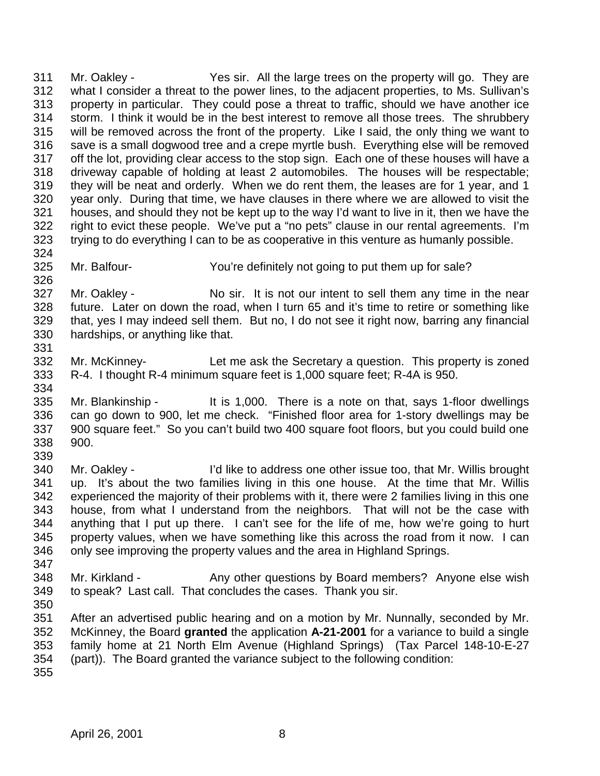Mr. Oakley - Yes sir. All the large trees on the property will go. They are what I consider a threat to the power lines, to the adjacent properties, to Ms. Sullivan's property in particular. They could pose a threat to traffic, should we have another ice storm. I think it would be in the best interest to remove all those trees. The shrubbery will be removed across the front of the property. Like I said, the only thing we want to save is a small dogwood tree and a crepe myrtle bush. Everything else will be removed off the lot, providing clear access to the stop sign. Each one of these houses will have a driveway capable of holding at least 2 automobiles. The houses will be respectable; they will be neat and orderly. When we do rent them, the leases are for 1 year, and 1 year only. During that time, we have clauses in there where we are allowed to visit the houses, and should they not be kept up to the way I'd want to live in it, then we have the right to evict these people. We've put a "no pets" clause in our rental agreements. I'm trying to do everything I can to be as cooperative in this venture as humanly possible. Mr. Balfour- You're definitely not going to put them up for sale? 327 Mr. Oakley - No sir. It is not our intent to sell them any time in the near future. Later on down the road, when I turn 65 and it's time to retire or something like that, yes I may indeed sell them. But no, I do not see it right now, barring any financial hardships, or anything like that. Mr. McKinney- Let me ask the Secretary a question. This property is zoned R-4. I thought R-4 minimum square feet is 1,000 square feet; R-4A is 950. Mr. Blankinship - It is 1,000. There is a note on that, says 1-floor dwellings can go down to 900, let me check. "Finished floor area for 1-story dwellings may be 900 square feet." So you can't build two 400 square foot floors, but you could build one 900. Mr. Oakley - I'd like to address one other issue too, that Mr. Willis brought up. It's about the two families living in this one house. At the time that Mr. Willis experienced the majority of their problems with it, there were 2 families living in this one house, from what I understand from the neighbors. That will not be the case with anything that I put up there. I can't see for the life of me, how we're going to hurt property values, when we have something like this across the road from it now. I can only see improving the property values and the area in Highland Springs. 

- 348 Mr. Kirkland Any other questions by Board members? Anyone else wish to speak? Last call. That concludes the cases. Thank you sir.
- 

 After an advertised public hearing and on a motion by Mr. Nunnally, seconded by Mr. McKinney, the Board **granted** the application **A-21-2001** for a variance to build a single family home at 21 North Elm Avenue (Highland Springs) (Tax Parcel 148-10-E-27 (part)). The Board granted the variance subject to the following condition: 

April 26, 2001 8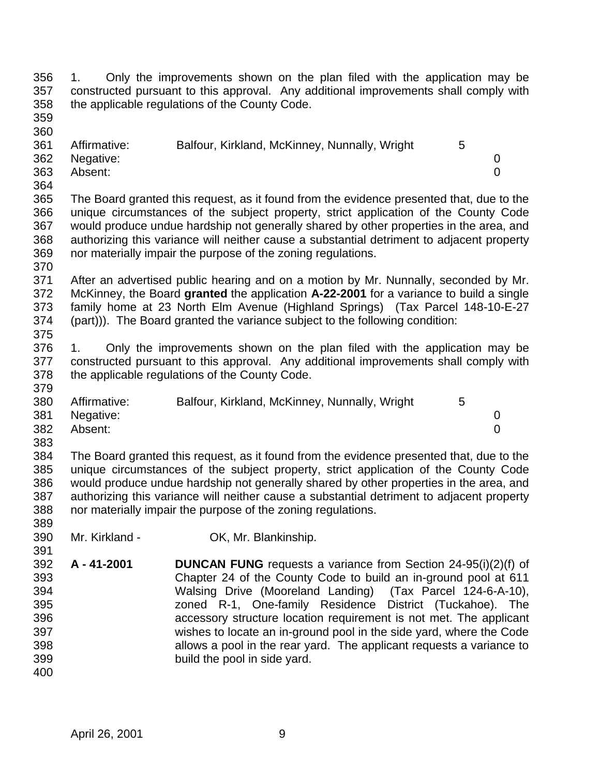1. Only the improvements shown on the plan filed with the application may be constructed pursuant to this approval. Any additional improvements shall comply with the applicable regulations of the County Code.

 

| --  |              |                                               |  |
|-----|--------------|-----------------------------------------------|--|
| 361 | Affirmative: | Balfour, Kirkland, McKinney, Nunnally, Wright |  |
| 362 | Negative:    |                                               |  |
| 363 | Absent:      |                                               |  |

 The Board granted this request, as it found from the evidence presented that, due to the unique circumstances of the subject property, strict application of the County Code would produce undue hardship not generally shared by other properties in the area, and authorizing this variance will neither cause a substantial detriment to adjacent property nor materially impair the purpose of the zoning regulations.

 After an advertised public hearing and on a motion by Mr. Nunnally, seconded by Mr. McKinney, the Board **granted** the application **A-22-2001** for a variance to build a single family home at 23 North Elm Avenue (Highland Springs) (Tax Parcel 148-10-E-27 (part))). The Board granted the variance subject to the following condition: 

 1. Only the improvements shown on the plan filed with the application may be constructed pursuant to this approval. Any additional improvements shall comply with the applicable regulations of the County Code.

| 380 | Affirmative: | Balfour, Kirkland, McKinney, Nunnally, Wright | 5 |  |
|-----|--------------|-----------------------------------------------|---|--|
| 381 | Negative:    |                                               |   |  |
| 382 | Absent:      |                                               |   |  |
| 383 |              |                                               |   |  |

 The Board granted this request, as it found from the evidence presented that, due to the unique circumstances of the subject property, strict application of the County Code would produce undue hardship not generally shared by other properties in the area, and authorizing this variance will neither cause a substantial detriment to adjacent property nor materially impair the purpose of the zoning regulations.

- Mr. Kirkland OK, Mr. Blankinship.
- **A 41-2001 DUNCAN FUNG** requests a variance from Section 24-95(i)(2)(f) of Chapter 24 of the County Code to build an in-ground pool at 611 Walsing Drive (Mooreland Landing) (Tax Parcel 124-6-A-10), zoned R-1, One-family Residence District (Tuckahoe). The accessory structure location requirement is not met. The applicant wishes to locate an in-ground pool in the side yard, where the Code allows a pool in the rear yard. The applicant requests a variance to build the pool in side yard.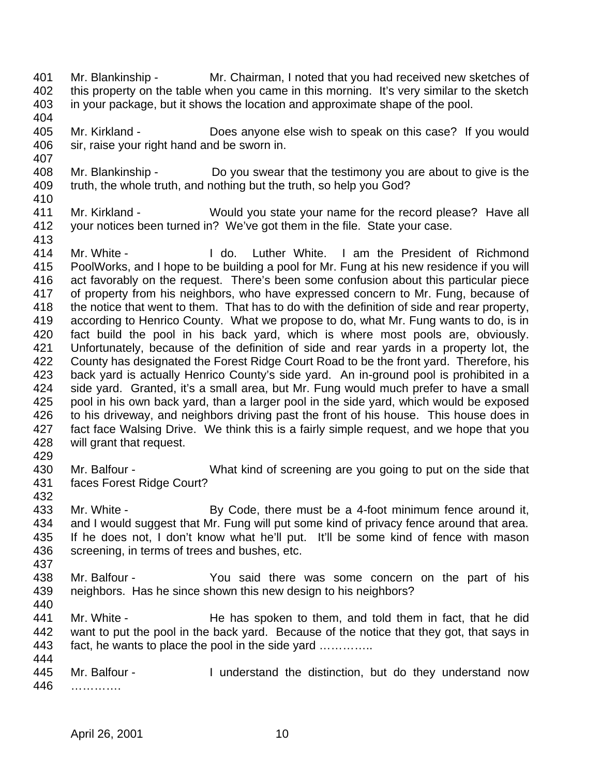- Mr. Blankinship Mr. Chairman, I noted that you had received new sketches of 402 this property on the table when you came in this morning. It's very similar to the sketch in your package, but it shows the location and approximate shape of the pool.
- Mr. Kirkland Does anyone else wish to speak on this case? If you would sir, raise your right hand and be sworn in.
- Mr. Blankinship Do you swear that the testimony you are about to give is the truth, the whole truth, and nothing but the truth, so help you God?
- 

- Mr. Kirkland Would you state your name for the record please? Have all your notices been turned in? We've got them in the file. State your case.
- Mr. White I do. Luther White. I am the President of Richmond PoolWorks, and I hope to be building a pool for Mr. Fung at his new residence if you will act favorably on the request. There's been some confusion about this particular piece of property from his neighbors, who have expressed concern to Mr. Fung, because of the notice that went to them. That has to do with the definition of side and rear property, according to Henrico County. What we propose to do, what Mr. Fung wants to do, is in fact build the pool in his back yard, which is where most pools are, obviously. Unfortunately, because of the definition of side and rear yards in a property lot, the County has designated the Forest Ridge Court Road to be the front yard. Therefore, his back yard is actually Henrico County's side yard. An in-ground pool is prohibited in a side yard. Granted, it's a small area, but Mr. Fung would much prefer to have a small pool in his own back yard, than a larger pool in the side yard, which would be exposed to his driveway, and neighbors driving past the front of his house. This house does in fact face Walsing Drive. We think this is a fairly simple request, and we hope that you will grant that request.
- 
- Mr. Balfour What kind of screening are you going to put on the side that faces Forest Ridge Court?
- 

433 Mr. White - By Code, there must be a 4-foot minimum fence around it, and I would suggest that Mr. Fung will put some kind of privacy fence around that area. If he does not, I don't know what he'll put. It'll be some kind of fence with mason screening, in terms of trees and bushes, etc. 

- Mr. Balfour You said there was some concern on the part of his neighbors. Has he since shown this new design to his neighbors?
- 441 Mr. White He has spoken to them, and told them in fact, that he did want to put the pool in the back yard. Because of the notice that they got, that says in 443 fact, he wants to place the pool in the side yard ..............
- 445 Mr. Balfour I understand the distinction, but do they understand now ………….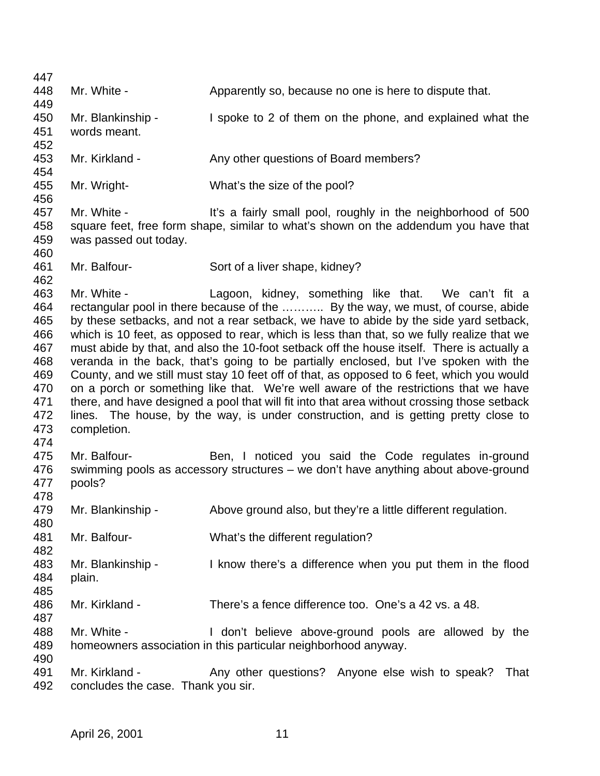| 447 |                                    |                                                                                             |
|-----|------------------------------------|---------------------------------------------------------------------------------------------|
| 448 | Mr. White -                        | Apparently so, because no one is here to dispute that.                                      |
| 449 |                                    |                                                                                             |
| 450 | Mr. Blankinship -                  | I spoke to 2 of them on the phone, and explained what the                                   |
| 451 | words meant.                       |                                                                                             |
| 452 |                                    |                                                                                             |
| 453 | Mr. Kirkland -                     | Any other questions of Board members?                                                       |
| 454 |                                    |                                                                                             |
| 455 | Mr. Wright-                        | What's the size of the pool?                                                                |
| 456 |                                    |                                                                                             |
| 457 | Mr. White -                        | It's a fairly small pool, roughly in the neighborhood of 500                                |
| 458 |                                    | square feet, free form shape, similar to what's shown on the addendum you have that         |
| 459 | was passed out today.              |                                                                                             |
| 460 |                                    |                                                                                             |
| 461 | Mr. Balfour-                       | Sort of a liver shape, kidney?                                                              |
| 462 |                                    |                                                                                             |
| 463 | Mr. White -                        | Lagoon, kidney, something like that. We can't fit a                                         |
| 464 |                                    | rectangular pool in there because of the  By the way, we must, of course, abide             |
| 465 |                                    | by these setbacks, and not a rear setback, we have to abide by the side yard setback,       |
| 466 |                                    | which is 10 feet, as opposed to rear, which is less than that, so we fully realize that we  |
| 467 |                                    | must abide by that, and also the 10-foot setback off the house itself. There is actually a  |
| 468 |                                    | veranda in the back, that's going to be partially enclosed, but I've spoken with the        |
| 469 |                                    | County, and we still must stay 10 feet off of that, as opposed to 6 feet, which you would   |
| 470 |                                    | on a porch or something like that. We're well aware of the restrictions that we have        |
| 471 |                                    | there, and have designed a pool that will fit into that area without crossing those setback |
| 472 |                                    | lines. The house, by the way, is under construction, and is getting pretty close to         |
| 473 | completion.                        |                                                                                             |
| 474 |                                    |                                                                                             |
| 475 | Mr. Balfour-                       | Ben, I noticed you said the Code regulates in-ground                                        |
| 476 |                                    | swimming pools as accessory structures - we don't have anything about above-ground          |
| 477 | pools?                             |                                                                                             |
| 478 |                                    |                                                                                             |
| 479 | Mr. Blankinship -                  | Above ground also, but they're a little different regulation.                               |
| 480 |                                    |                                                                                             |
| 481 | Mr. Balfour-                       | What's the different regulation?                                                            |
| 482 |                                    |                                                                                             |
| 483 | Mr. Blankinship -                  | I know there's a difference when you put them in the flood                                  |
| 484 | plain.                             |                                                                                             |
| 485 |                                    |                                                                                             |
| 486 | Mr. Kirkland -                     | There's a fence difference too. One's a 42 vs. a 48.                                        |
| 487 |                                    |                                                                                             |
| 488 | Mr. White -                        | I don't believe above-ground pools are allowed by the                                       |
| 489 |                                    | homeowners association in this particular neighborhood anyway.                              |
| 490 |                                    |                                                                                             |
| 491 | Mr. Kirkland -                     | Any other questions? Anyone else wish to speak?<br>That                                     |
| 492 | concludes the case. Thank you sir. |                                                                                             |
|     |                                    |                                                                                             |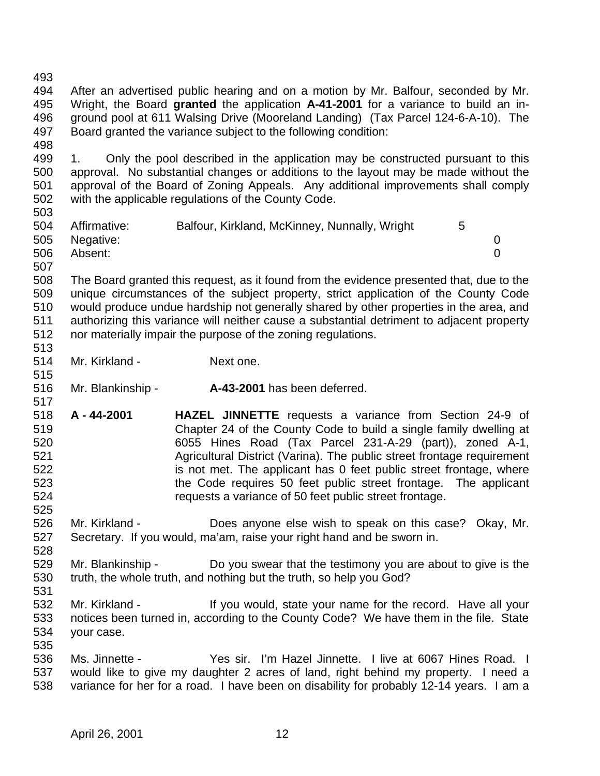After an advertised public hearing and on a motion by Mr. Balfour, seconded by Mr. Wright, the Board **granted** the application **A-41-2001** for a variance to build an in- ground pool at 611 Walsing Drive (Mooreland Landing) (Tax Parcel 124-6-A-10). The Board granted the variance subject to the following condition: 499 1. Only the pool described in the application may be constructed pursuant to this approval. No substantial changes or additions to the layout may be made without the approval of the Board of Zoning Appeals. Any additional improvements shall comply with the applicable regulations of the County Code. Affirmative: Balfour, Kirkland, McKinney, Nunnally, Wright 5 Negative: 0 Absent: 0 The Board granted this request, as it found from the evidence presented that, due to the unique circumstances of the subject property, strict application of the County Code would produce undue hardship not generally shared by other properties in the area, and authorizing this variance will neither cause a substantial detriment to adjacent property nor materially impair the purpose of the zoning regulations. Mr. Kirkland - Next one. Mr. Blankinship - **A-43-2001** has been deferred. **A - 44-2001 HAZEL JINNETTE** requests a variance from Section 24-9 of Chapter 24 of the County Code to build a single family dwelling at 6055 Hines Road (Tax Parcel 231-A-29 (part)), zoned A-1, Agricultural District (Varina). The public street frontage requirement 522 is not met. The applicant has 0 feet public street frontage, where the Code requires 50 feet public street frontage. The applicant requests a variance of 50 feet public street frontage. Mr. Kirkland - Does anyone else wish to speak on this case? Okay, Mr. Secretary. If you would, ma'am, raise your right hand and be sworn in. Mr. Blankinship - Do you swear that the testimony you are about to give is the truth, the whole truth, and nothing but the truth, so help you God? 532 Mr. Kirkland - If you would, state your name for the record. Have all your notices been turned in, according to the County Code? We have them in the file. State your case. Ms. Jinnette - Yes sir. I'm Hazel Jinnette. I live at 6067 Hines Road. I would like to give my daughter 2 acres of land, right behind my property. I need a variance for her for a road. I have been on disability for probably 12-14 years. I am a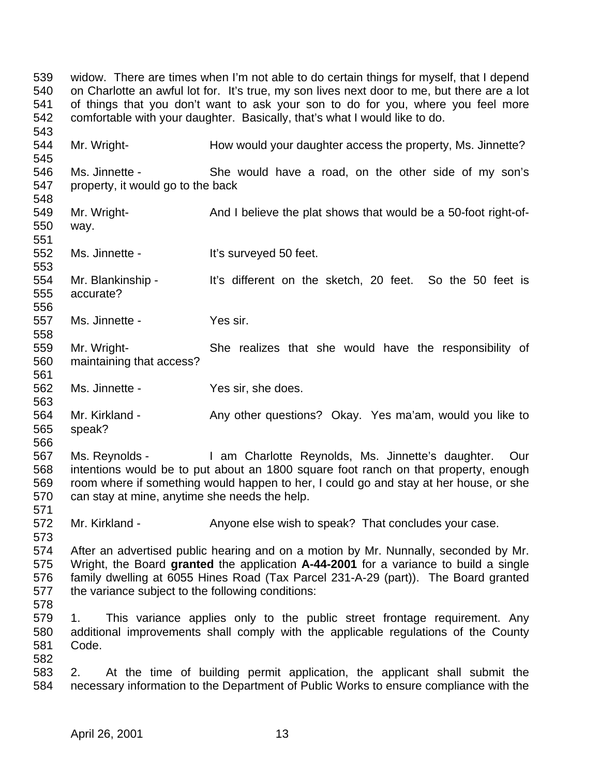widow. There are times when I'm not able to do certain things for myself, that I depend on Charlotte an awful lot for. It's true, my son lives next door to me, but there are a lot of things that you don't want to ask your son to do for you, where you feel more comfortable with your daughter. Basically, that's what I would like to do. 544 Mr. Wright- **How would your daughter access the property, Ms. Jinnette?**  Ms. Jinnette - She would have a road, on the other side of my son's property, it would go to the back 549 Mr. Wright- **And I believe the plat shows that would be a 50-foot right-of-** way. 552 Ms. Jinnette - It's surveyed 50 feet. Mr. Blankinship - It's different on the sketch, 20 feet. So the 50 feet is accurate? Ms. Jinnette - Yes sir. Mr. Wright- She realizes that she would have the responsibility of maintaining that access? Ms. Jinnette - Yes sir, she does. 564 Mr. Kirkland - Any other questions? Okay. Yes ma'am, would you like to speak? Ms. Reynolds - I am Charlotte Reynolds, Ms. Jinnette's daughter. Our intentions would be to put about an 1800 square foot ranch on that property, enough room where if something would happen to her, I could go and stay at her house, or she can stay at mine, anytime she needs the help. 572 Mr. Kirkland - Anyone else wish to speak? That concludes your case. After an advertised public hearing and on a motion by Mr. Nunnally, seconded by Mr. Wright, the Board **granted** the application **A-44-2001** for a variance to build a single family dwelling at 6055 Hines Road (Tax Parcel 231-A-29 (part)). The Board granted the variance subject to the following conditions: 1. This variance applies only to the public street frontage requirement. Any additional improvements shall comply with the applicable regulations of the County Code. 2. At the time of building permit application, the applicant shall submit the necessary information to the Department of Public Works to ensure compliance with the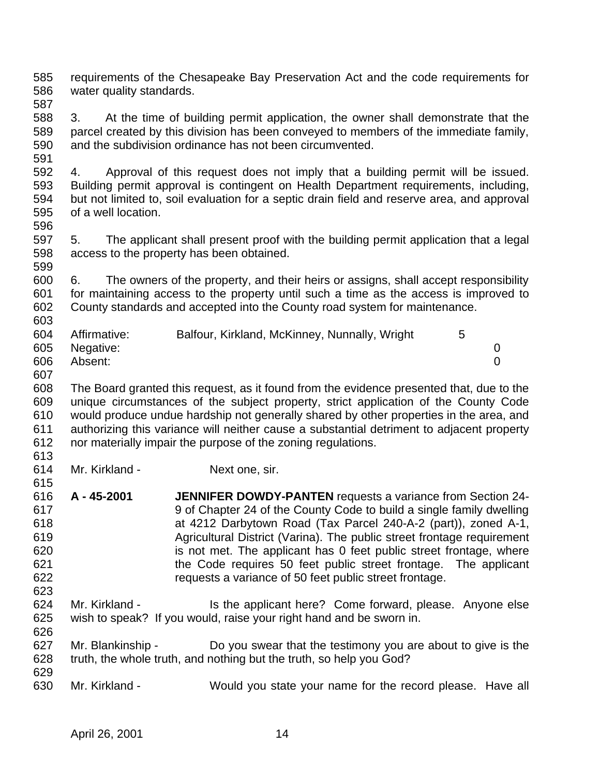requirements of the Chesapeake Bay Preservation Act and the code requirements for water quality standards.

 3. At the time of building permit application, the owner shall demonstrate that the parcel created by this division has been conveyed to members of the immediate family, and the subdivision ordinance has not been circumvented. 

 4. Approval of this request does not imply that a building permit will be issued. Building permit approval is contingent on Health Department requirements, including, but not limited to, soil evaluation for a septic drain field and reserve area, and approval of a well location. 

 5. The applicant shall present proof with the building permit application that a legal access to the property has been obtained. 

 6. The owners of the property, and their heirs or assigns, shall accept responsibility for maintaining access to the property until such a time as the access is improved to County standards and accepted into the County road system for maintenance. 

| 604 | Affirmative:  | Balfour, Kirkland, McKinney, Nunnally, Wright |  |
|-----|---------------|-----------------------------------------------|--|
|     | 605 Negative: |                                               |  |
| 606 | Absent:       |                                               |  |

 The Board granted this request, as it found from the evidence presented that, due to the unique circumstances of the subject property, strict application of the County Code would produce undue hardship not generally shared by other properties in the area, and authorizing this variance will neither cause a substantial detriment to adjacent property nor materially impair the purpose of the zoning regulations.

Mr. Kirkland - Next one, sir.

- **A 45-2001 JENNIFER DOWDY-PANTEN** requests a variance from Section 24- 9 of Chapter 24 of the County Code to build a single family dwelling at 4212 Darbytown Road (Tax Parcel 240-A-2 (part)), zoned A-1, Agricultural District (Varina). The public street frontage requirement is not met. The applicant has 0 feet public street frontage, where the Code requires 50 feet public street frontage. The applicant requests a variance of 50 feet public street frontage.
- Mr. Kirkland Is the applicant here? Come forward, please. Anyone else wish to speak? If you would, raise your right hand and be sworn in.
- 627 Mr. Blankinship Do you swear that the testimony you are about to give is the truth, the whole truth, and nothing but the truth, so help you God?
- Mr. Kirkland Would you state your name for the record please. Have all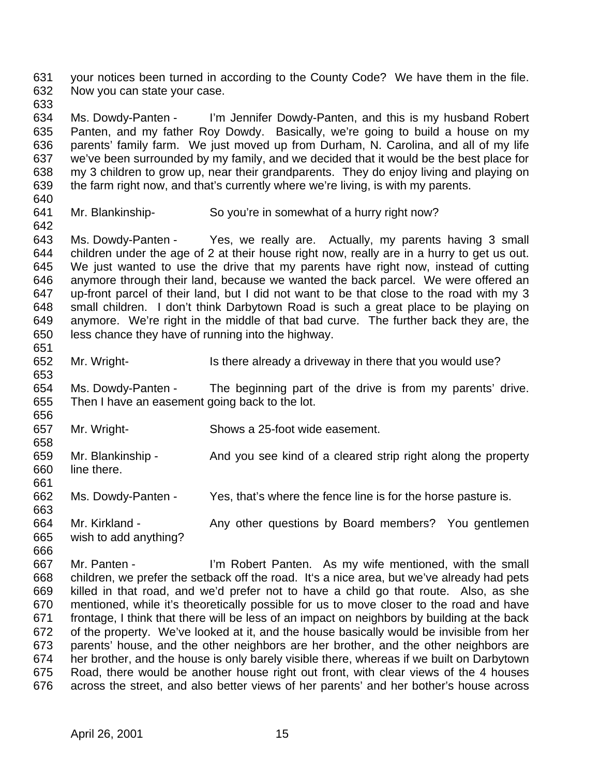your notices been turned in according to the County Code? We have them in the file. Now you can state your case.

 Ms. Dowdy-Panten - I'm Jennifer Dowdy-Panten, and this is my husband Robert Panten, and my father Roy Dowdy. Basically, we're going to build a house on my parents' family farm. We just moved up from Durham, N. Carolina, and all of my life we've been surrounded by my family, and we decided that it would be the best place for my 3 children to grow up, near their grandparents. They do enjoy living and playing on the farm right now, and that's currently where we're living, is with my parents.

- 
- 

Mr. Blankinship- So you're in somewhat of a hurry right now?

 Ms. Dowdy-Panten - Yes, we really are. Actually, my parents having 3 small children under the age of 2 at their house right now, really are in a hurry to get us out. We just wanted to use the drive that my parents have right now, instead of cutting anymore through their land, because we wanted the back parcel. We were offered an up-front parcel of their land, but I did not want to be that close to the road with my 3 small children. I don't think Darbytown Road is such a great place to be playing on anymore. We're right in the middle of that bad curve. The further back they are, the less chance they have of running into the highway. 

652 Mr. Wright- Is there already a driveway in there that you would use?

 Ms. Dowdy-Panten - The beginning part of the drive is from my parents' drive. Then I have an easement going back to the lot.

Mr. Wright- Shows a 25-foot wide easement.

659 Mr. Blankinship - And you see kind of a cleared strip right along the property line there. 

Ms. Dowdy-Panten - Yes, that's where the fence line is for the horse pasture is.

 664 Mr. Kirkland - Any other questions by Board members? You gentlemen wish to add anything?

 Mr. Panten - I'm Robert Panten. As my wife mentioned, with the small children, we prefer the setback off the road. It's a nice area, but we've already had pets killed in that road, and we'd prefer not to have a child go that route. Also, as she mentioned, while it's theoretically possible for us to move closer to the road and have frontage, I think that there will be less of an impact on neighbors by building at the back of the property. We've looked at it, and the house basically would be invisible from her parents' house, and the other neighbors are her brother, and the other neighbors are her brother, and the house is only barely visible there, whereas if we built on Darbytown Road, there would be another house right out front, with clear views of the 4 houses across the street, and also better views of her parents' and her bother's house across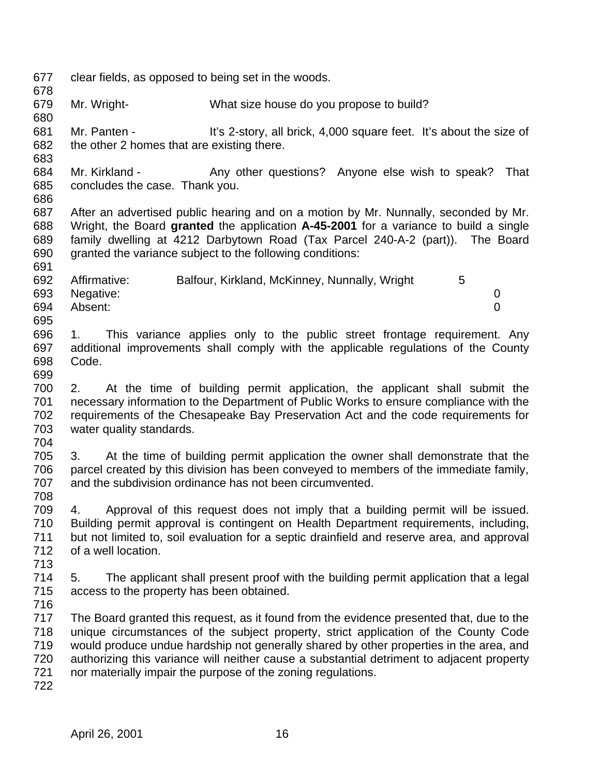clear fields, as opposed to being set in the woods. Mr. Wright- What size house do you propose to build? Mr. Panten - It's 2-story, all brick, 4,000 square feet. It's about the size of the other 2 homes that are existing there. 684 Mr. Kirkland - Any other questions? Anyone else wish to speak? That concludes the case. Thank you. After an advertised public hearing and on a motion by Mr. Nunnally, seconded by Mr. Wright, the Board **granted** the application **A-45-2001** for a variance to build a single family dwelling at 4212 Darbytown Road (Tax Parcel 240-A-2 (part)). The Board granted the variance subject to the following conditions: 692 Affirmative: Balfour, Kirkland, McKinney, Nunnally, Wright 5 Negative: 0 Absent: 0 1. This variance applies only to the public street frontage requirement. Any additional improvements shall comply with the applicable regulations of the County Code. 2. At the time of building permit application, the applicant shall submit the necessary information to the Department of Public Works to ensure compliance with the requirements of the Chesapeake Bay Preservation Act and the code requirements for water quality standards. 3. At the time of building permit application the owner shall demonstrate that the parcel created by this division has been conveyed to members of the immediate family, and the subdivision ordinance has not been circumvented. 4. Approval of this request does not imply that a building permit will be issued. Building permit approval is contingent on Health Department requirements, including, but not limited to, soil evaluation for a septic drainfield and reserve area, and approval of a well location. 5. The applicant shall present proof with the building permit application that a legal access to the property has been obtained. The Board granted this request, as it found from the evidence presented that, due to the unique circumstances of the subject property, strict application of the County Code would produce undue hardship not generally shared by other properties in the area, and authorizing this variance will neither cause a substantial detriment to adjacent property nor materially impair the purpose of the zoning regulations.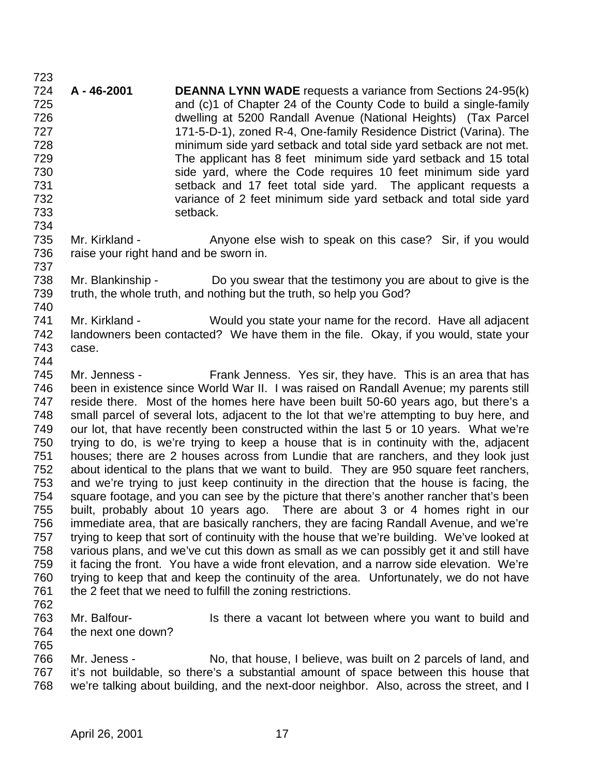**A - 46-2001 DEANNA LYNN WADE** requests a variance from Sections 24-95(k) and (c)1 of Chapter 24 of the County Code to build a single-family dwelling at 5200 Randall Avenue (National Heights) (Tax Parcel 171-5-D-1), zoned R-4, One-family Residence District (Varina). The minimum side yard setback and total side yard setback are not met. The applicant has 8 feet minimum side yard setback and 15 total side yard, where the Code requires 10 feet minimum side yard setback and 17 feet total side yard. The applicant requests a variance of 2 feet minimum side yard setback and total side yard setback. 

735 Mr. Kirkland - Anyone else wish to speak on this case? Sir, if you would 736 raise your right hand and be sworn in. 

 Mr. Blankinship - Do you swear that the testimony you are about to give is the truth, the whole truth, and nothing but the truth, so help you God? 

 Mr. Kirkland - Would you state your name for the record. Have all adjacent landowners been contacted? We have them in the file. Okay, if you would, state your case. 

 Mr. Jenness - Frank Jenness. Yes sir, they have. This is an area that has been in existence since World War II. I was raised on Randall Avenue; my parents still reside there. Most of the homes here have been built 50-60 years ago, but there's a small parcel of several lots, adjacent to the lot that we're attempting to buy here, and our lot, that have recently been constructed within the last 5 or 10 years. What we're trying to do, is we're trying to keep a house that is in continuity with the, adjacent houses; there are 2 houses across from Lundie that are ranchers, and they look just about identical to the plans that we want to build. They are 950 square feet ranchers, and we're trying to just keep continuity in the direction that the house is facing, the square footage, and you can see by the picture that there's another rancher that's been built, probably about 10 years ago. There are about 3 or 4 homes right in our immediate area, that are basically ranchers, they are facing Randall Avenue, and we're 757 trying to keep that sort of continuity with the house that we're building. We've looked at various plans, and we've cut this down as small as we can possibly get it and still have it facing the front. You have a wide front elevation, and a narrow side elevation. We're trying to keep that and keep the continuity of the area. Unfortunately, we do not have 761 the 2 feet that we need to fulfill the zoning restrictions.

763 Mr. Balfour- Is there a vacant lot between where you want to build and the next one down?

 Mr. Jeness - No, that house, I believe, was built on 2 parcels of land, and it's not buildable, so there's a substantial amount of space between this house that we're talking about building, and the next-door neighbor. Also, across the street, and I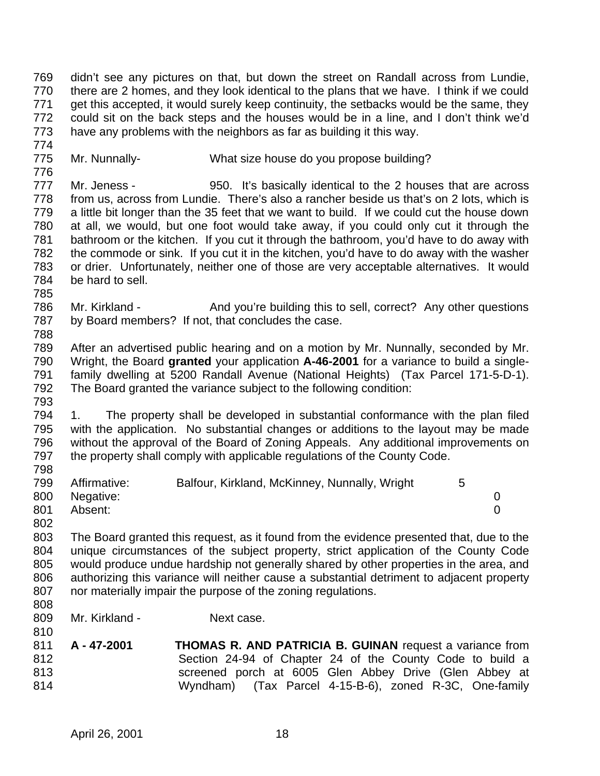didn't see any pictures on that, but down the street on Randall across from Lundie, there are 2 homes, and they look identical to the plans that we have. I think if we could get this accepted, it would surely keep continuity, the setbacks would be the same, they could sit on the back steps and the houses would be in a line, and I don't think we'd have any problems with the neighbors as far as building it this way.

- Mr. Nunnally- What size house do you propose building?
- Mr. Jeness - 950. It's basically identical to the 2 houses that are across from us, across from Lundie. There's also a rancher beside us that's on 2 lots, which is a little bit longer than the 35 feet that we want to build. If we could cut the house down at all, we would, but one foot would take away, if you could only cut it through the bathroom or the kitchen. If you cut it through the bathroom, you'd have to do away with the commode or sink. If you cut it in the kitchen, you'd have to do away with the washer or drier. Unfortunately, neither one of those are very acceptable alternatives. It would be hard to sell.
- 786 Mr. Kirkland And you're building this to sell, correct? Any other questions by Board members? If not, that concludes the case.
- After an advertised public hearing and on a motion by Mr. Nunnally, seconded by Mr. Wright, the Board **granted** your application **A-46-2001** for a variance to build a single- family dwelling at 5200 Randall Avenue (National Heights) (Tax Parcel 171-5-D-1). The Board granted the variance subject to the following condition:
- 1. The property shall be developed in substantial conformance with the plan filed with the application. No substantial changes or additions to the layout may be made without the approval of the Board of Zoning Appeals. Any additional improvements on the property shall comply with applicable regulations of the County Code.
- 799 Affirmative: Balfour, Kirkland, McKinney, Nunnally, Wright 5 Negative: 0 Absent: 0
- The Board granted this request, as it found from the evidence presented that, due to the unique circumstances of the subject property, strict application of the County Code would produce undue hardship not generally shared by other properties in the area, and authorizing this variance will neither cause a substantial detriment to adjacent property nor materially impair the purpose of the zoning regulations.
- 

- 809 Mr. Kirkland Next case.
- **A 47-2001 THOMAS R. AND PATRICIA B. GUINAN** request a variance from Section 24-94 of Chapter 24 of the County Code to build a screened porch at 6005 Glen Abbey Drive (Glen Abbey at Wyndham) (Tax Parcel 4-15-B-6), zoned R-3C, One-family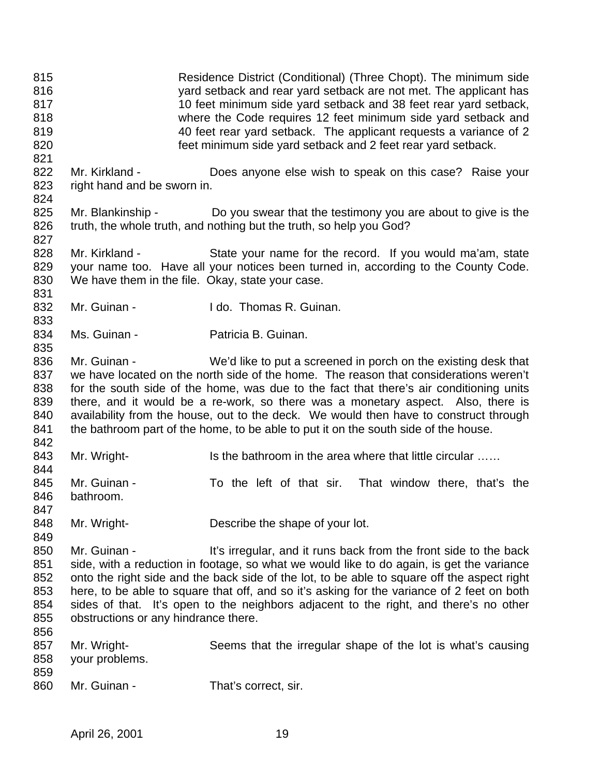Residence District (Conditional) (Three Chopt). The minimum side yard setback and rear yard setback are not met. The applicant has 10 feet minimum side yard setback and 38 feet rear yard setback, where the Code requires 12 feet minimum side yard setback and 40 feet rear yard setback. The applicant requests a variance of 2 feet minimum side yard setback and 2 feet rear yard setback. 822 Mr. Kirkland - Does anyone else wish to speak on this case? Raise your right hand and be sworn in. 825 Mr. Blankinship - Do you swear that the testimony you are about to give is the 826 truth, the whole truth, and nothing but the truth, so help you God? Mr. Kirkland - State your name for the record. If you would ma'am, state your name too. Have all your notices been turned in, according to the County Code. We have them in the file. Okay, state your case. 832 Mr. Guinan - I do. Thomas R. Guinan. 834 Ms. Guinan - Patricia B. Guinan. Mr. Guinan - We'd like to put a screened in porch on the existing desk that we have located on the north side of the home. The reason that considerations weren't for the south side of the home, was due to the fact that there's air conditioning units there, and it would be a re-work, so there was a monetary aspect. Also, there is availability from the house, out to the deck. We would then have to construct through 841 the bathroom part of the home, to be able to put it on the south side of the house. 843 Mr. Wright- Is the bathroom in the area where that little circular …… Mr. Guinan - To the left of that sir. That window there, that's the bathroom. 848 Mr. Wright- Describe the shape of your lot. 850 Mr. Guinan - It's irregular, and it runs back from the front side to the back side, with a reduction in footage, so what we would like to do again, is get the variance onto the right side and the back side of the lot, to be able to square off the aspect right here, to be able to square that off, and so it's asking for the variance of 2 feet on both sides of that. It's open to the neighbors adjacent to the right, and there's no other obstructions or any hindrance there. Mr. Wright- Seems that the irregular shape of the lot is what's causing your problems. 860 Mr. Guinan - That's correct, sir.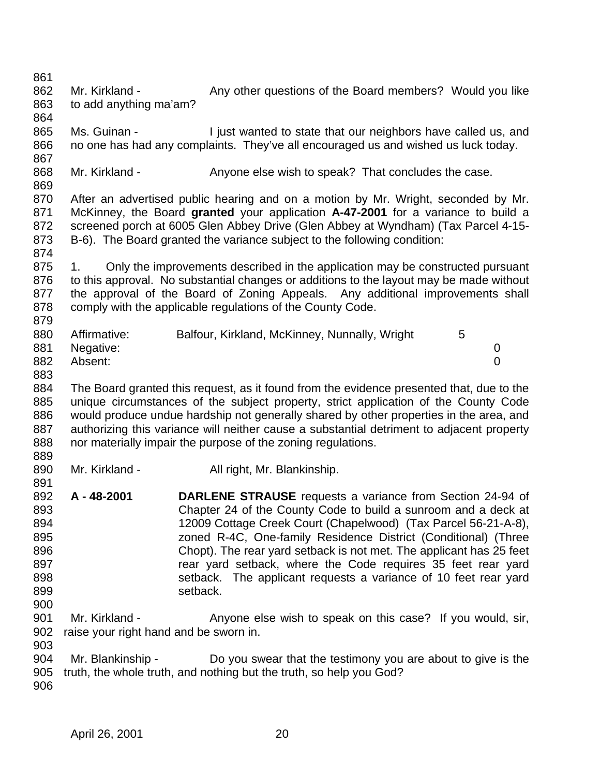- 862 Mr. Kirkland Any other questions of the Board members? Would you like to add anything ma'am?
- 865 Ms. Guinan - I just wanted to state that our neighbors have called us, and no one has had any complaints. They've all encouraged us and wished us luck today.
- 868 Mr. Kirkland Anyone else wish to speak? That concludes the case.
- After an advertised public hearing and on a motion by Mr. Wright, seconded by Mr. McKinney, the Board **granted** your application **A-47-2001** for a variance to build a screened porch at 6005 Glen Abbey Drive (Glen Abbey at Wyndham) (Tax Parcel 4-15- B-6). The Board granted the variance subject to the following condition:
- 875 1. Only the improvements described in the application may be constructed pursuant to this approval. No substantial changes or additions to the layout may be made without the approval of the Board of Zoning Appeals. Any additional improvements shall 878 comply with the applicable regulations of the County Code.

| 880 | Affirmative: | Balfour, Kirkland, McKinney, Nunnally, Wright |  |
|-----|--------------|-----------------------------------------------|--|
| 881 | Negative:    |                                               |  |
| 882 | Absent:      |                                               |  |

- 
- The Board granted this request, as it found from the evidence presented that, due to the unique circumstances of the subject property, strict application of the County Code would produce undue hardship not generally shared by other properties in the area, and authorizing this variance will neither cause a substantial detriment to adjacent property nor materially impair the purpose of the zoning regulations.
- 890 Mr. Kirkland All right, Mr. Blankinship.
- **A 48-2001 DARLENE STRAUSE** requests a variance from Section 24-94 of Chapter 24 of the County Code to build a sunroom and a deck at 12009 Cottage Creek Court (Chapelwood) (Tax Parcel 56-21-A-8), zoned R-4C, One-family Residence District (Conditional) (Three Chopt). The rear yard setback is not met. The applicant has 25 feet **Rear Setback**, where the Code requires 35 feet rear yard setback. The applicant requests a variance of 10 feet rear yard 899 setback.
- 901 Mr. Kirkland Anyone else wish to speak on this case? If you would, sir, raise your right hand and be sworn in.
- Mr. Blankinship Do you swear that the testimony you are about to give is the truth, the whole truth, and nothing but the truth, so help you God?
-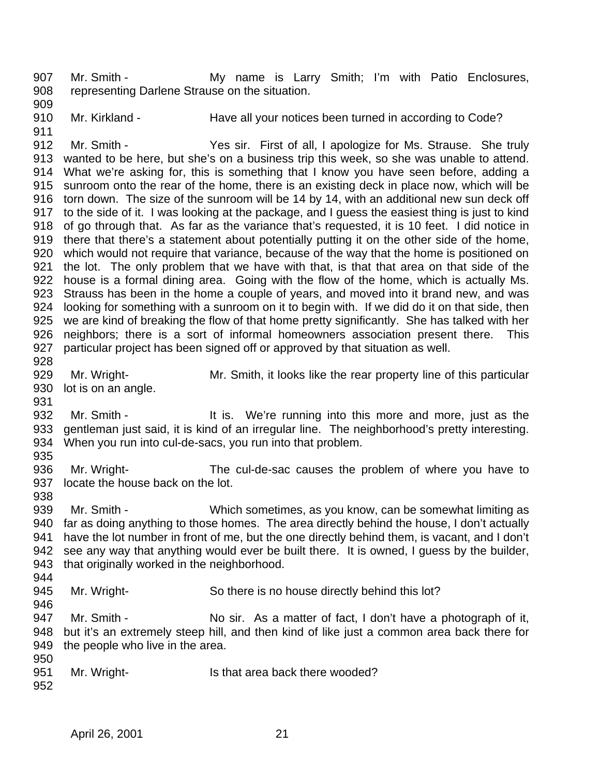907 Mr. Smith - The My name is Larry Smith; I'm with Patio Enclosures, representing Darlene Strause on the situation.

- 
- 
- 910 Mr. Kirkland Have all your notices been turned in according to Code?

 Mr. Smith - Yes sir. First of all, I apologize for Ms. Strause. She truly wanted to be here, but she's on a business trip this week, so she was unable to attend. What we're asking for, this is something that I know you have seen before, adding a sunroom onto the rear of the home, there is an existing deck in place now, which will be torn down. The size of the sunroom will be 14 by 14, with an additional new sun deck off to the side of it. I was looking at the package, and I guess the easiest thing is just to kind of go through that. As far as the variance that's requested, it is 10 feet. I did notice in there that there's a statement about potentially putting it on the other side of the home, which would not require that variance, because of the way that the home is positioned on the lot. The only problem that we have with that, is that that area on that side of the house is a formal dining area. Going with the flow of the home, which is actually Ms. Strauss has been in the home a couple of years, and moved into it brand new, and was looking for something with a sunroom on it to begin with. If we did do it on that side, then we are kind of breaking the flow of that home pretty significantly. She has talked with her neighbors; there is a sort of informal homeowners association present there. This particular project has been signed off or approved by that situation as well. 

- Mr. Wright- Mr. Smith, it looks like the rear property line of this particular lot is on an angle.
- 932 Mr. Smith - It is. We're running into this more and more, just as the gentleman just said, it is kind of an irregular line. The neighborhood's pretty interesting. When you run into cul-de-sacs, you run into that problem.
- 
- Mr. Wright- The cul-de-sac causes the problem of where you have to locate the house back on the lot.
- 

 Mr. Smith - Which sometimes, as you know, can be somewhat limiting as 940 far as doing anything to those homes. The area directly behind the house, I don't actually have the lot number in front of me, but the one directly behind them, is vacant, and I don't see any way that anything would ever be built there. It is owned, I guess by the builder, that originally worked in the neighborhood.

945 Mr. Wright- So there is no house directly behind this lot? 

 Mr. Smith - No sir. As a matter of fact, I don't have a photograph of it, but it's an extremely steep hill, and then kind of like just a common area back there for the people who live in the area. 

- 951 Mr. Wright- Is that area back there wooded?
-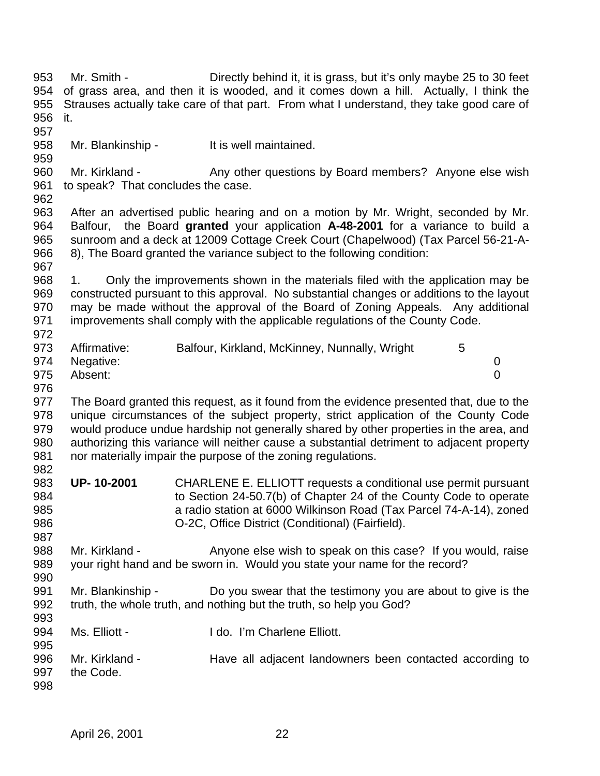Mr. Smith - Directly behind it, it is grass, but it's only maybe 25 to 30 feet of grass area, and then it is wooded, and it comes down a hill. Actually, I think the Strauses actually take care of that part. From what I understand, they take good care of it. Mr. Blankinship - It is well maintained. 960 Mr. Kirkland - Any other questions by Board members? Anyone else wish to speak? That concludes the case. After an advertised public hearing and on a motion by Mr. Wright, seconded by Mr. Balfour, the Board **granted** your application **A-48-2001** for a variance to build a sunroom and a deck at 12009 Cottage Creek Court (Chapelwood) (Tax Parcel 56-21-A- 8), The Board granted the variance subject to the following condition: 1. Only the improvements shown in the materials filed with the application may be

 constructed pursuant to this approval. No substantial changes or additions to the layout may be made without the approval of the Board of Zoning Appeals. Any additional improvements shall comply with the applicable regulations of the County Code. 

| 973 | Affirmative:  | Balfour, Kirkland, McKinney, Nunnally, Wright |  |
|-----|---------------|-----------------------------------------------|--|
|     | 974 Negative: |                                               |  |
| 975 | Absent:       |                                               |  |

 The Board granted this request, as it found from the evidence presented that, due to the unique circumstances of the subject property, strict application of the County Code would produce undue hardship not generally shared by other properties in the area, and authorizing this variance will neither cause a substantial detriment to adjacent property nor materially impair the purpose of the zoning regulations. 

- **UP- 10-2001** CHARLENE E. ELLIOTT requests a conditional use permit pursuant to Section 24-50.7(b) of Chapter 24 of the County Code to operate a radio station at 6000 Wilkinson Road (Tax Parcel 74-A-14), zoned O-2C, Office District (Conditional) (Fairfield).
- 988 Mr. Kirkland Anyone else wish to speak on this case? If you would, raise your right hand and be sworn in. Would you state your name for the record?
- Mr. Blankinship Do you swear that the testimony you are about to give is the truth, the whole truth, and nothing but the truth, so help you God?
- 994 Ms. Elliott I do. I'm Charlene Elliott.
- Mr. Kirkland - Have all adjacent landowners been contacted according to the Code.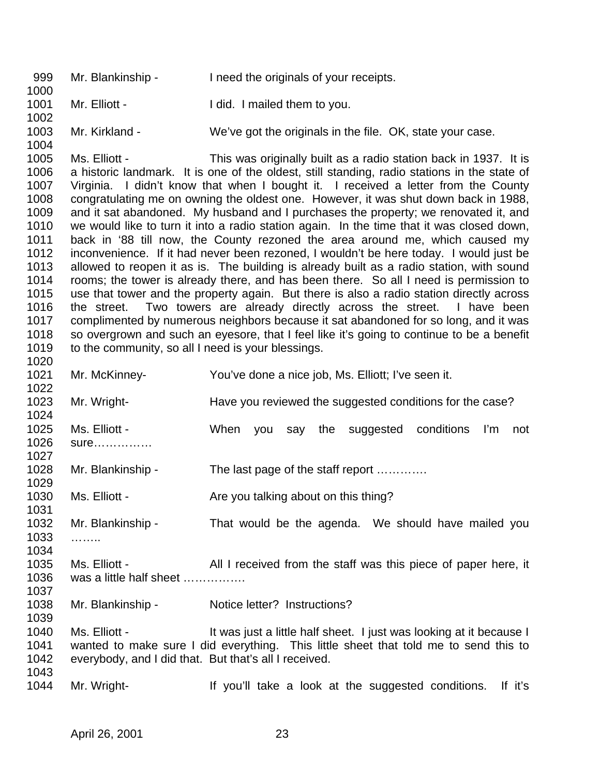Mr. Blankinship - I need the originals of your receipts. 1001 Mr. Elliott - I did. I mailed them to you. Mr. Kirkland - We've got the originals in the file. OK, state your case. Ms. Elliott - This was originally built as a radio station back in 1937. It is a historic landmark. It is one of the oldest, still standing, radio stations in the state of Virginia. I didn't know that when I bought it. I received a letter from the County congratulating me on owning the oldest one. However, it was shut down back in 1988, and it sat abandoned. My husband and I purchases the property; we renovated it, and we would like to turn it into a radio station again. In the time that it was closed down, back in '88 till now, the County rezoned the area around me, which caused my inconvenience. If it had never been rezoned, I wouldn't be here today. I would just be allowed to reopen it as is. The building is already built as a radio station, with sound rooms; the tower is already there, and has been there. So all I need is permission to use that tower and the property again. But there is also a radio station directly across the street. Two towers are already directly across the street. I have been complimented by numerous neighbors because it sat abandoned for so long, and it was so overgrown and such an eyesore, that I feel like it's going to continue to be a benefit 1019 to the community, so all I need is your blessings. Mr. McKinney- You've done a nice job, Ms. Elliott; I've seen it. 1023 Mr. Wright- Have you reviewed the suggested conditions for the case? Ms. Elliott - When you say the suggested conditions I'm not sure…………… 1028 Mr. Blankinship - The last page of the staff report ............ 1030 Ms. Elliott - Are you talking about on this thing? Mr. Blankinship - That would be the agenda. We should have mailed you …….. Ms. Elliott - All I received from the staff was this piece of paper here, it was a little half sheet ……………. Mr. Blankinship - Notice letter? Instructions? 1040 Ms. Elliott - It was just a little half sheet. I just was looking at it because I wanted to make sure I did everything. This little sheet that told me to send this to everybody, and I did that. But that's all I received. Mr. Wright- If you'll take a look at the suggested conditions. If it's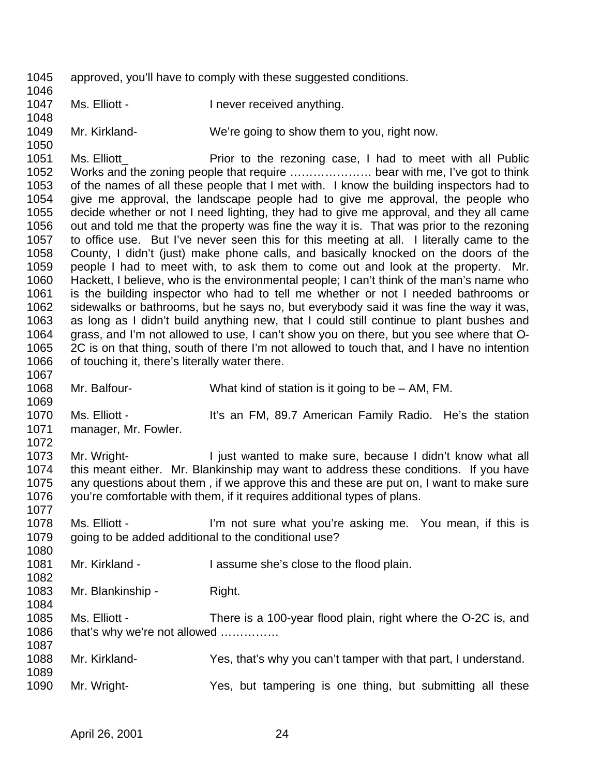approved, you'll have to comply with these suggested conditions. 

1047 Ms. Elliott - Inever received anything.

Mr. Kirkland- We're going to show them to you, right now.

 Ms. Elliott\_ Prior to the rezoning case, I had to meet with all Public Works and the zoning people that require ………………… bear with me, I've got to think of the names of all these people that I met with. I know the building inspectors had to give me approval, the landscape people had to give me approval, the people who decide whether or not I need lighting, they had to give me approval, and they all came out and told me that the property was fine the way it is. That was prior to the rezoning to office use. But I've never seen this for this meeting at all. I literally came to the County, I didn't (just) make phone calls, and basically knocked on the doors of the people I had to meet with, to ask them to come out and look at the property. Mr. Hackett, I believe, who is the environmental people; I can't think of the man's name who is the building inspector who had to tell me whether or not I needed bathrooms or sidewalks or bathrooms, but he says no, but everybody said it was fine the way it was, as long as I didn't build anything new, that I could still continue to plant bushes and grass, and I'm not allowed to use, I can't show you on there, but you see where that O- 2C is on that thing, south of there I'm not allowed to touch that, and I have no intention of touching it, there's literally water there. 

 Mr. Balfour- What kind of station is it going to be – AM, FM. 

 Ms. Elliott - It's an FM, 89.7 American Family Radio. He's the station manager, Mr. Fowler. 

1073 Mr. Wright- I just wanted to make sure, because I didn't know what all<br>1074 this meant either. Mr. Blankinship may want to address these conditions. If you have this meant either. Mr. Blankinship may want to address these conditions. If you have any questions about them , if we approve this and these are put on, I want to make sure you're comfortable with them, if it requires additional types of plans.

 Ms. Elliott - I'm not sure what you're asking me. You mean, if this is going to be added additional to the conditional use?

1081 Mr. Kirkland - I assume she's close to the flood plain.

1083 Mr. Blankinship - Right.

- Ms. Elliott There is a 100-year flood plain, right where the O-2C is, and 1086 that's why we're not allowed ..............
- Mr. Kirkland- Yes, that's why you can't tamper with that part, I understand.
- Mr. Wright- Yes, but tampering is one thing, but submitting all these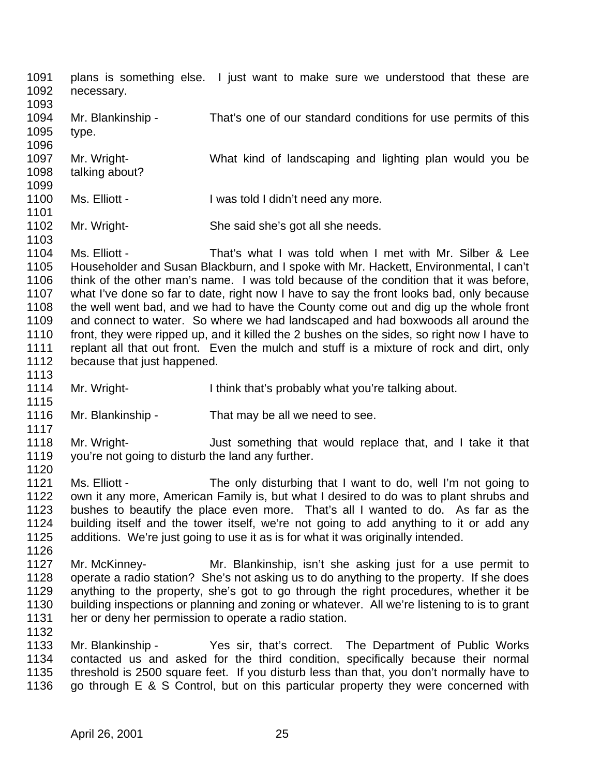- plans is something else. I just want to make sure we understood that these are necessary.
- Mr. Blankinship - That's one of our standard conditions for use permits of this type. Mr. Wright- What kind of landscaping and lighting plan would you be talking about?
- 1100 Ms. Elliott I was told I didn't need any more.
- Mr. Wright- She said she's got all she needs.
- Ms. Elliott That's what I was told when I met with Mr. Silber & Lee Householder and Susan Blackburn, and I spoke with Mr. Hackett, Environmental, I can't think of the other man's name. I was told because of the condition that it was before, what I've done so far to date, right now I have to say the front looks bad, only because the well went bad, and we had to have the County come out and dig up the whole front and connect to water. So where we had landscaped and had boxwoods all around the front, they were ripped up, and it killed the 2 bushes on the sides, so right now I have to replant all that out front. Even the mulch and stuff is a mixture of rock and dirt, only because that just happened.
- 1114 Mr. Wright- I think that's probably what you're talking about.
- Mr. Blankinship That may be all we need to see.
- Mr. Wright- Just something that would replace that, and I take it that you're not going to disturb the land any further.
- Ms. Elliott The only disturbing that I want to do, well I'm not going to own it any more, American Family is, but what I desired to do was to plant shrubs and bushes to beautify the place even more. That's all I wanted to do. As far as the building itself and the tower itself, we're not going to add anything to it or add any additions. We're just going to use it as is for what it was originally intended.
- Mr. McKinney- Mr. Blankinship, isn't she asking just for a use permit to operate a radio station? She's not asking us to do anything to the property. If she does anything to the property, she's got to go through the right procedures, whether it be building inspections or planning and zoning or whatever. All we're listening to is to grant her or deny her permission to operate a radio station.
- Mr. Blankinship Yes sir, that's correct. The Department of Public Works contacted us and asked for the third condition, specifically because their normal threshold is 2500 square feet. If you disturb less than that, you don't normally have to go through E & S Control, but on this particular property they were concerned with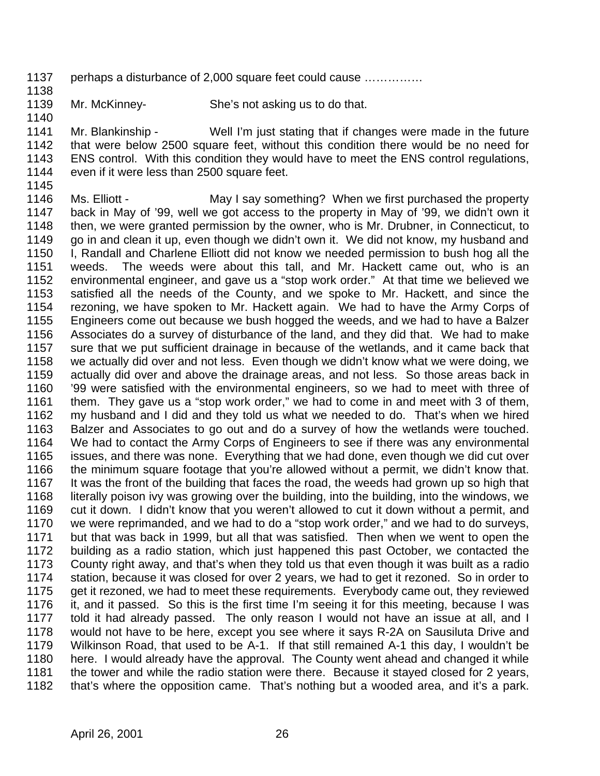- perhaps a disturbance of 2,000 square feet could cause ……………
- Mr. McKinney- She's not asking us to do that.

 Mr. Blankinship - Well I'm just stating that if changes were made in the future that were below 2500 square feet, without this condition there would be no need for ENS control. With this condition they would have to meet the ENS control regulations, even if it were less than 2500 square feet.

 Ms. Elliott - May I say something? When we first purchased the property back in May of '99, well we got access to the property in May of '99, we didn't own it then, we were granted permission by the owner, who is Mr. Drubner, in Connecticut, to go in and clean it up, even though we didn't own it. We did not know, my husband and 1150 I, Randall and Charlene Elliott did not know we needed permission to bush hog all the<br>1151 veeds. The weeds were about this tall. and Mr. Hackett came out, who is an weeds. The weeds were about this tall, and Mr. Hackett came out, who is an environmental engineer, and gave us a "stop work order." At that time we believed we satisfied all the needs of the County, and we spoke to Mr. Hackett, and since the rezoning, we have spoken to Mr. Hackett again. We had to have the Army Corps of Engineers come out because we bush hogged the weeds, and we had to have a Balzer Associates do a survey of disturbance of the land, and they did that. We had to make sure that we put sufficient drainage in because of the wetlands, and it came back that we actually did over and not less. Even though we didn't know what we were doing, we actually did over and above the drainage areas, and not less. So those areas back in '99 were satisfied with the environmental engineers, so we had to meet with three of them. They gave us a "stop work order," we had to come in and meet with 3 of them, my husband and I did and they told us what we needed to do. That's when we hired Balzer and Associates to go out and do a survey of how the wetlands were touched. We had to contact the Army Corps of Engineers to see if there was any environmental issues, and there was none. Everything that we had done, even though we did cut over the minimum square footage that you're allowed without a permit, we didn't know that. 1167 It was the front of the building that faces the road, the weeds had grown up so high that literally poison ivy was growing over the building, into the building, into the windows, we cut it down. I didn't know that you weren't allowed to cut it down without a permit, and we were reprimanded, and we had to do a "stop work order," and we had to do surveys, but that was back in 1999, but all that was satisfied. Then when we went to open the building as a radio station, which just happened this past October, we contacted the County right away, and that's when they told us that even though it was built as a radio station, because it was closed for over 2 years, we had to get it rezoned. So in order to get it rezoned, we had to meet these requirements. Everybody came out, they reviewed it, and it passed. So this is the first time I'm seeing it for this meeting, because I was told it had already passed. The only reason I would not have an issue at all, and I would not have to be here, except you see where it says R-2A on Sausiluta Drive and Wilkinson Road, that used to be A-1. If that still remained A-1 this day, I wouldn't be here. I would already have the approval. The County went ahead and changed it while the tower and while the radio station were there. Because it stayed closed for 2 years, that's where the opposition came. That's nothing but a wooded area, and it's a park.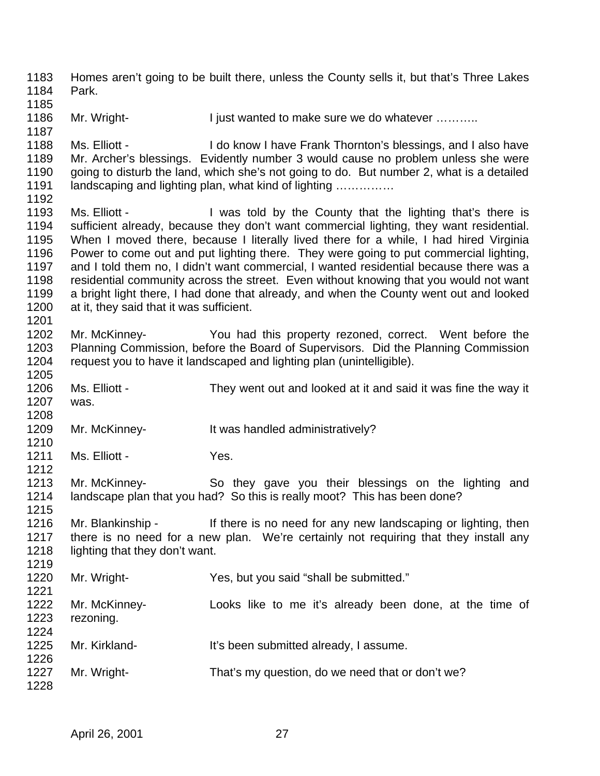Homes aren't going to be built there, unless the County sells it, but that's Three Lakes Park. 1186 Mr. Wright- I just wanted to make sure we do whatever .......... 1188 Ms. Elliott - I do know I have Frank Thornton's blessings, and I also have Mr. Archer's blessings. Evidently number 3 would cause no problem unless she were going to disturb the land, which she's not going to do. But number 2, what is a detailed landscaping and lighting plan, what kind of lighting …………… 1193 Ms. Elliott - I was told by the County that the lighting that's there is sufficient already, because they don't want commercial lighting, they want residential. When I moved there, because I literally lived there for a while, I had hired Virginia Power to come out and put lighting there. They were going to put commercial lighting, and I told them no, I didn't want commercial, I wanted residential because there was a residential community across the street. Even without knowing that you would not want a bright light there, I had done that already, and when the County went out and looked 1200 at it, they said that it was sufficient. Mr. McKinney- You had this property rezoned, correct. Went before the Planning Commission, before the Board of Supervisors. Did the Planning Commission request you to have it landscaped and lighting plan (unintelligible). Ms. Elliott - They went out and looked at it and said it was fine the way it was. Mr. McKinney- It was handled administratively? 1211 Ms. Elliott - Yes. Mr. McKinney- So they gave you their blessings on the lighting and landscape plan that you had? So this is really moot? This has been done? Mr. Blankinship - If there is no need for any new landscaping or lighting, then there is no need for a new plan. We're certainly not requiring that they install any 1218 lighting that they don't want. Mr. Wright- Yes, but you said "shall be submitted." Mr. McKinney- Looks like to me it's already been done, at the time of rezoning. Mr. Kirkland- It's been submitted already, I assume. Mr. Wright- That's my question, do we need that or don't we?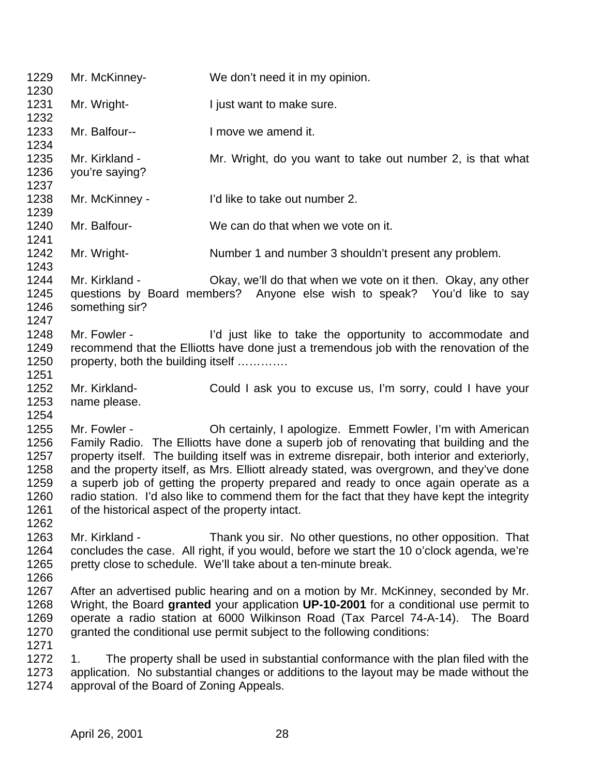Mr. McKinney- We don't need it in my opinion. 1231 Mr. Wright-<br>
I just want to make sure. Mr. Balfour-- I move we amend it. Mr. Kirkland - Mr. Wright, do you want to take out number 2, is that what you're saying? Mr. McKinney - I'd like to take out number 2. Mr. Balfour- We can do that when we vote on it. 1242 Mr. Wright- Number 1 and number 3 shouldn't present any problem. Mr. Kirkland - Okay, we'll do that when we vote on it then. Okay, any other questions by Board members? Anyone else wish to speak? You'd like to say something sir? 1248 Mr. Fowler - I'd just like to take the opportunity to accommodate and recommend that the Elliotts have done just a tremendous job with the renovation of the 1250 property, both the building itself ............ Mr. Kirkland- Could I ask you to excuse us, I'm sorry, could I have your name please. Mr. Fowler - Oh certainly, I apologize. Emmett Fowler, I'm with American Family Radio. The Elliotts have done a superb job of renovating that building and the property itself. The building itself was in extreme disrepair, both interior and exteriorly, and the property itself, as Mrs. Elliott already stated, was overgrown, and they've done a superb job of getting the property prepared and ready to once again operate as a radio station. I'd also like to commend them for the fact that they have kept the integrity of the historical aspect of the property intact. Mr. Kirkland - Thank you sir. No other questions, no other opposition. That 1264 concludes the case. All right, if you would, before we start the 10 o'clock agenda, we're pretty close to schedule. We'll take about a ten-minute break. After an advertised public hearing and on a motion by Mr. McKinney, seconded by Mr. Wright, the Board **granted** your application **UP-10-2001** for a conditional use permit to operate a radio station at 6000 Wilkinson Road (Tax Parcel 74-A-14). The Board granted the conditional use permit subject to the following conditions: 1. The property shall be used in substantial conformance with the plan filed with the application. No substantial changes or additions to the layout may be made without the approval of the Board of Zoning Appeals.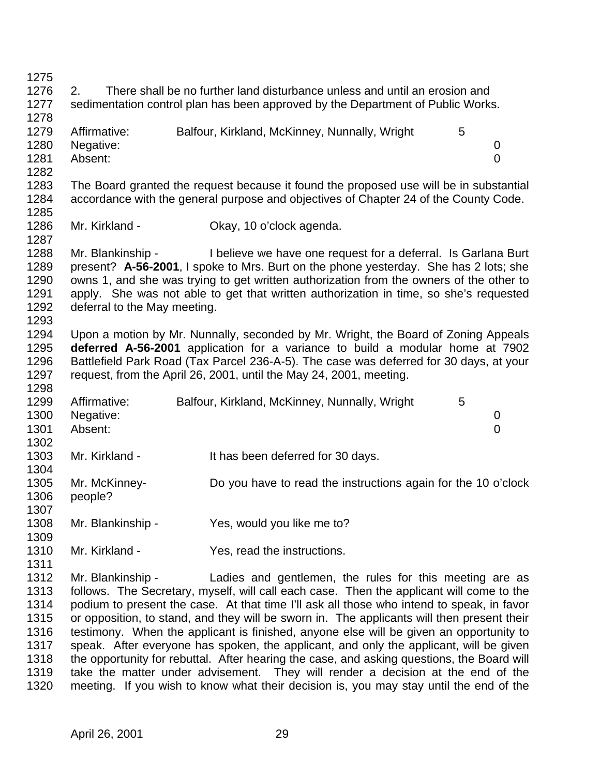| 1275 |                                                                                 |  |                                                                                            |  |   |                |
|------|---------------------------------------------------------------------------------|--|--------------------------------------------------------------------------------------------|--|---|----------------|
| 1276 | 2.                                                                              |  | There shall be no further land disturbance unless and until an erosion and                 |  |   |                |
| 1277 | sedimentation control plan has been approved by the Department of Public Works. |  |                                                                                            |  |   |                |
| 1278 |                                                                                 |  |                                                                                            |  |   |                |
| 1279 | Affirmative:                                                                    |  | Balfour, Kirkland, McKinney, Nunnally, Wright                                              |  | 5 |                |
| 1280 | Negative:                                                                       |  |                                                                                            |  |   | 0              |
| 1281 | Absent:                                                                         |  |                                                                                            |  |   | $\overline{0}$ |
| 1282 |                                                                                 |  |                                                                                            |  |   |                |
| 1283 |                                                                                 |  | The Board granted the request because it found the proposed use will be in substantial     |  |   |                |
| 1284 |                                                                                 |  | accordance with the general purpose and objectives of Chapter 24 of the County Code.       |  |   |                |
| 1285 |                                                                                 |  |                                                                                            |  |   |                |
| 1286 | Mr. Kirkland -                                                                  |  | Okay, 10 o'clock agenda.                                                                   |  |   |                |
| 1287 |                                                                                 |  |                                                                                            |  |   |                |
| 1288 | Mr. Blankinship -                                                               |  | I believe we have one request for a deferral. Is Garlana Burt                              |  |   |                |
| 1289 |                                                                                 |  | present? A-56-2001, I spoke to Mrs. Burt on the phone yesterday. She has 2 lots; she       |  |   |                |
| 1290 |                                                                                 |  | owns 1, and she was trying to get written authorization from the owners of the other to    |  |   |                |
| 1291 |                                                                                 |  | apply. She was not able to get that written authorization in time, so she's requested      |  |   |                |
| 1292 | deferral to the May meeting.                                                    |  |                                                                                            |  |   |                |
| 1293 |                                                                                 |  |                                                                                            |  |   |                |
| 1294 |                                                                                 |  | Upon a motion by Mr. Nunnally, seconded by Mr. Wright, the Board of Zoning Appeals         |  |   |                |
| 1295 |                                                                                 |  | deferred A-56-2001 application for a variance to build a modular home at 7902              |  |   |                |
| 1296 |                                                                                 |  | Battlefield Park Road (Tax Parcel 236-A-5). The case was deferred for 30 days, at your     |  |   |                |
| 1297 |                                                                                 |  | request, from the April 26, 2001, until the May 24, 2001, meeting.                         |  |   |                |
| 1298 |                                                                                 |  |                                                                                            |  |   |                |
| 1299 | Affirmative:                                                                    |  | Balfour, Kirkland, McKinney, Nunnally, Wright                                              |  | 5 |                |
| 1300 | Negative:                                                                       |  |                                                                                            |  |   | 0              |
| 1301 | Absent:                                                                         |  |                                                                                            |  |   | 0              |
| 1302 |                                                                                 |  |                                                                                            |  |   |                |
| 1303 | Mr. Kirkland -                                                                  |  | It has been deferred for 30 days.                                                          |  |   |                |
| 1304 |                                                                                 |  |                                                                                            |  |   |                |
| 1305 | Mr. McKinney-                                                                   |  | Do you have to read the instructions again for the 10 o'clock                              |  |   |                |
| 1306 | people?                                                                         |  |                                                                                            |  |   |                |
| 1307 |                                                                                 |  |                                                                                            |  |   |                |
| 1308 | Mr. Blankinship -                                                               |  | Yes, would you like me to?                                                                 |  |   |                |
| 1309 |                                                                                 |  |                                                                                            |  |   |                |
| 1310 | Mr. Kirkland -                                                                  |  | Yes, read the instructions.                                                                |  |   |                |
| 1311 |                                                                                 |  |                                                                                            |  |   |                |
| 1312 | Mr. Blankinship -                                                               |  | Ladies and gentlemen, the rules for this meeting are as                                    |  |   |                |
| 1313 |                                                                                 |  | follows. The Secretary, myself, will call each case. Then the applicant will come to the   |  |   |                |
| 1314 |                                                                                 |  | podium to present the case. At that time I'll ask all those who intend to speak, in favor  |  |   |                |
| 1315 |                                                                                 |  | or opposition, to stand, and they will be sworn in. The applicants will then present their |  |   |                |
| 1316 |                                                                                 |  | testimony. When the applicant is finished, anyone else will be given an opportunity to     |  |   |                |
| 1317 |                                                                                 |  | speak. After everyone has spoken, the applicant, and only the applicant, will be given     |  |   |                |
| 1318 |                                                                                 |  | the opportunity for rebuttal. After hearing the case, and asking questions, the Board will |  |   |                |

 take the matter under advisement. They will render a decision at the end of the meeting. If you wish to know what their decision is, you may stay until the end of the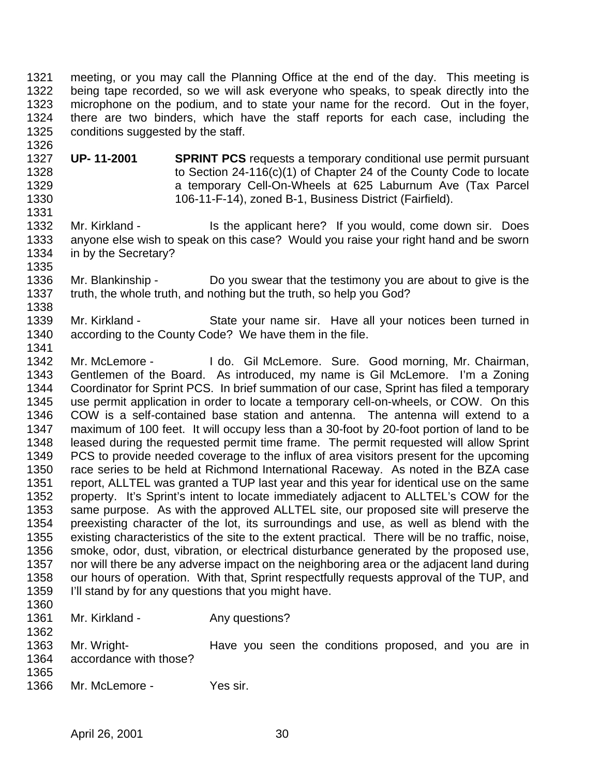meeting, or you may call the Planning Office at the end of the day. This meeting is being tape recorded, so we will ask everyone who speaks, to speak directly into the microphone on the podium, and to state your name for the record. Out in the foyer, there are two binders, which have the staff reports for each case, including the conditions suggested by the staff.

 **UP- 11-2001 SPRINT PCS** requests a temporary conditional use permit pursuant to Section 24-116(c)(1) of Chapter 24 of the County Code to locate a temporary Cell-On-Wheels at 625 Laburnum Ave (Tax Parcel 106-11-F-14), zoned B-1, Business District (Fairfield). 

1332 Mr. Kirkland - Is the applicant here? If you would, come down sir. Does anyone else wish to speak on this case? Would you raise your right hand and be sworn in by the Secretary? 

- Mr. Blankinship Do you swear that the testimony you are about to give is the truth, the whole truth, and nothing but the truth, so help you God?
- Mr. Kirkland State your name sir. Have all your notices been turned in according to the County Code? We have them in the file.
- Mr. McLemore I do. Gil McLemore. Sure. Good morning, Mr. Chairman, Gentlemen of the Board. As introduced, my name is Gil McLemore. I'm a Zoning Coordinator for Sprint PCS. In brief summation of our case, Sprint has filed a temporary use permit application in order to locate a temporary cell-on-wheels, or COW. On this COW is a self-contained base station and antenna. The antenna will extend to a maximum of 100 feet. It will occupy less than a 30-foot by 20-foot portion of land to be leased during the requested permit time frame. The permit requested will allow Sprint PCS to provide needed coverage to the influx of area visitors present for the upcoming race series to be held at Richmond International Raceway. As noted in the BZA case report, ALLTEL was granted a TUP last year and this year for identical use on the same property. It's Sprint's intent to locate immediately adjacent to ALLTEL's COW for the same purpose. As with the approved ALLTEL site, our proposed site will preserve the preexisting character of the lot, its surroundings and use, as well as blend with the existing characteristics of the site to the extent practical. There will be no traffic, noise, smoke, odor, dust, vibration, or electrical disturbance generated by the proposed use, 1357 nor will there be any adverse impact on the neighboring area or the adjacent land during 1358 our hours of operation. With that, Sprint respectfully requests approval of the TUP, and I'll stand by for any questions that you might have.
- 

- 1361 Mr. Kirkland Any questions?
	-
- Mr. Wright- Have you seen the conditions proposed, and you are in accordance with those?
- Mr. McLemore Yes sir.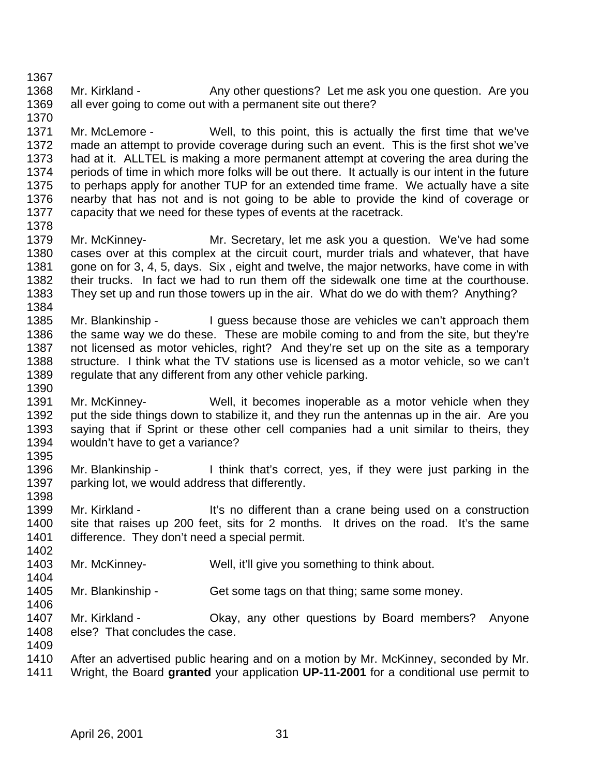1368 Mr. Kirkland - Any other questions? Let me ask you one question. Are you all ever going to come out with a permanent site out there?

 Mr. McLemore - Well, to this point, this is actually the first time that we've made an attempt to provide coverage during such an event. This is the first shot we've had at it. ALLTEL is making a more permanent attempt at covering the area during the periods of time in which more folks will be out there. It actually is our intent in the future to perhaps apply for another TUP for an extended time frame. We actually have a site nearby that has not and is not going to be able to provide the kind of coverage or capacity that we need for these types of events at the racetrack. 

 Mr. McKinney- Mr. Secretary, let me ask you a question. We've had some cases over at this complex at the circuit court, murder trials and whatever, that have gone on for 3, 4, 5, days. Six , eight and twelve, the major networks, have come in with their trucks. In fact we had to run them off the sidewalk one time at the courthouse. They set up and run those towers up in the air. What do we do with them? Anything? 

- 1385 Mr. Blankinship I guess because those are vehicles we can't approach them the same way we do these. These are mobile coming to and from the site, but they're not licensed as motor vehicles, right? And they're set up on the site as a temporary structure. I think what the TV stations use is licensed as a motor vehicle, so we can't regulate that any different from any other vehicle parking.
- Mr. McKinney- Well, it becomes inoperable as a motor vehicle when they put the side things down to stabilize it, and they run the antennas up in the air. Are you saying that if Sprint or these other cell companies had a unit similar to theirs, they wouldn't have to get a variance?
- Mr. Blankinship I think that's correct, yes, if they were just parking in the parking lot, we would address that differently.
- 

1399 Mr. Kirkland - It's no different than a crane being used on a construction site that raises up 200 feet, sits for 2 months. It drives on the road. It's the same difference. They don't need a special permit. 

- Mr. McKinney- Well, it'll give you something to think about.
- 1405 Mr. Blankinship Get some tags on that thing; same some money.
- 1407 Mr. Kirkland Chay, any other questions by Board members? Anyone else? That concludes the case.
- After an advertised public hearing and on a motion by Mr. McKinney, seconded by Mr. Wright, the Board **granted** your application **UP-11-2001** for a conditional use permit to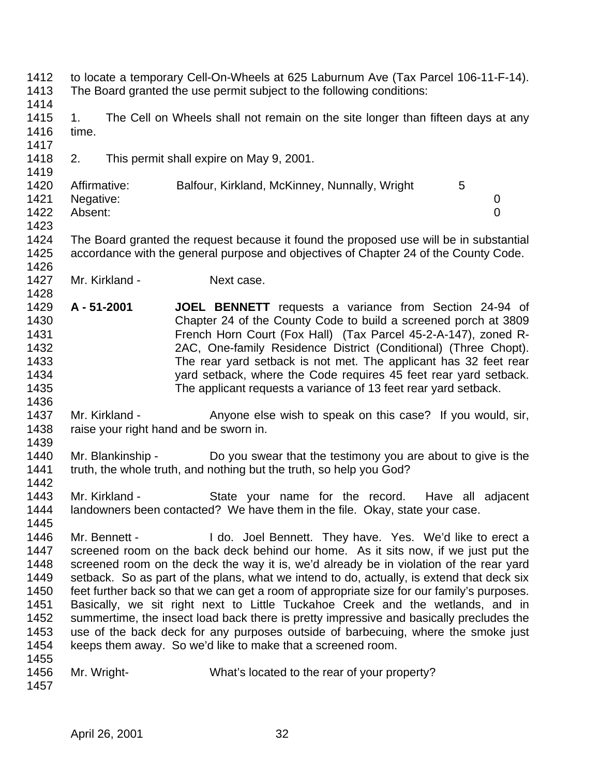- to locate a temporary Cell-On-Wheels at 625 Laburnum Ave (Tax Parcel 106-11-F-14). The Board granted the use permit subject to the following conditions:
- 

- 1415 1. The Cell on Wheels shall not remain on the site longer than fifteen days at any time.
- 2. This permit shall expire on May 9, 2001.
- 1420 Affirmative: Balfour, Kirkland, McKinney, Nunnally, Wright 5 Negative: 0 Absent: 0
- 

- The Board granted the request because it found the proposed use will be in substantial accordance with the general purpose and objectives of Chapter 24 of the County Code.
- 1427 Mr. Kirkland Next case.
- **A 51-2001 JOEL BENNETT** requests a variance from Section 24-94 of Chapter 24 of the County Code to build a screened porch at 3809 French Horn Court (Fox Hall) (Tax Parcel 45-2-A-147), zoned R- 2AC, One-family Residence District (Conditional) (Three Chopt). The rear yard setback is not met. The applicant has 32 feet rear yard setback, where the Code requires 45 feet rear yard setback. The applicant requests a variance of 13 feet rear yard setback.
- 1437 Mr. Kirkland Anyone else wish to speak on this case? If you would, sir, raise your right hand and be sworn in.
- Mr. Blankinship Do you swear that the testimony you are about to give is the truth, the whole truth, and nothing but the truth, so help you God?
- 1443 Mr. Kirkland State your name for the record. Have all adjacent landowners been contacted? We have them in the file. Okay, state your case.
- 1445<br>1446 Mr. Bennett - I do. Joel Bennett. They have. Yes. We'd like to erect a screened room on the back deck behind our home. As it sits now, if we just put the screened room on the deck the way it is, we'd already be in violation of the rear yard setback. So as part of the plans, what we intend to do, actually, is extend that deck six feet further back so that we can get a room of appropriate size for our family's purposes. Basically, we sit right next to Little Tuckahoe Creek and the wetlands, and in summertime, the insect load back there is pretty impressive and basically precludes the use of the back deck for any purposes outside of barbecuing, where the smoke just keeps them away. So we'd like to make that a screened room.
- Mr. Wright- What's located to the rear of your property?
-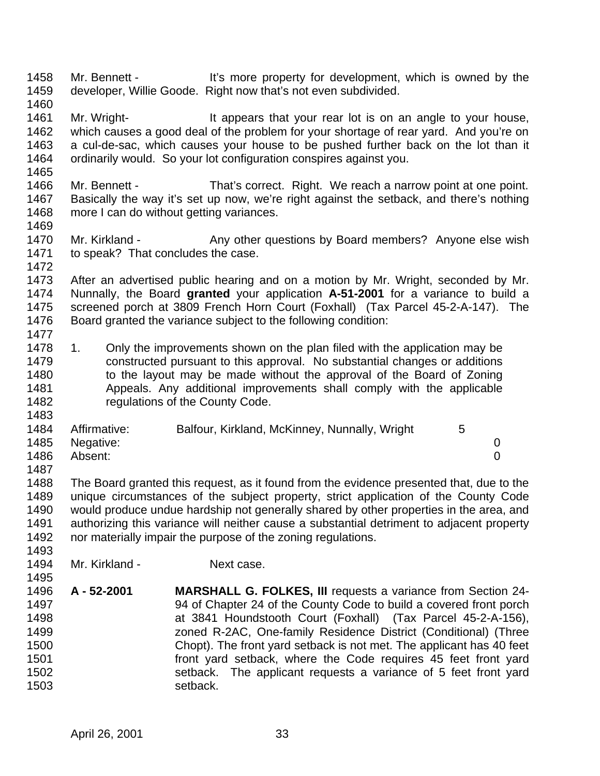Mr. Bennett - It's more property for development, which is owned by the developer, Willie Goode. Right now that's not even subdivided.

- 
- 1461 Mr. Wright- It appears that your rear lot is on an angle to your house, which causes a good deal of the problem for your shortage of rear yard. And you're on a cul-de-sac, which causes your house to be pushed further back on the lot than it ordinarily would. So your lot configuration conspires against you.
- 

- Mr. Bennett That's correct. Right. We reach a narrow point at one point. Basically the way it's set up now, we're right against the setback, and there's nothing more I can do without getting variances.
- 
- 1470 Mr. Kirkland Any other questions by Board members? Anyone else wish to speak? That concludes the case.
- After an advertised public hearing and on a motion by Mr. Wright, seconded by Mr. Nunnally, the Board **granted** your application **A-51-2001** for a variance to build a screened porch at 3809 French Horn Court (Foxhall) (Tax Parcel 45-2-A-147). The Board granted the variance subject to the following condition:
- 1478 1. Only the improvements shown on the plan filed with the application may be constructed pursuant to this approval. No substantial changes or additions 1480 to the layout may be made without the approval of the Board of Zoning Appeals. Any additional improvements shall comply with the applicable 1482 regulations of the County Code.

| 1484 | Affirmative:   | Balfour, Kirkland, McKinney, Nunnally, Wright |  |
|------|----------------|-----------------------------------------------|--|
|      | 1485 Negative: |                                               |  |
| 1486 | Absent:        |                                               |  |

- The Board granted this request, as it found from the evidence presented that, due to the unique circumstances of the subject property, strict application of the County Code would produce undue hardship not generally shared by other properties in the area, and authorizing this variance will neither cause a substantial detriment to adjacent property nor materially impair the purpose of the zoning regulations.
- 1494 Mr. Kirkland Next case.
- **A - 52-2001 MARSHALL G. FOLKES, III** requests a variance from Section 24- 94 of Chapter 24 of the County Code to build a covered front porch at 3841 Houndstooth Court (Foxhall) (Tax Parcel 45-2-A-156), zoned R-2AC, One-family Residence District (Conditional) (Three Chopt). The front yard setback is not met. The applicant has 40 feet front yard setback, where the Code requires 45 feet front yard setback. The applicant requests a variance of 5 feet front yard setback.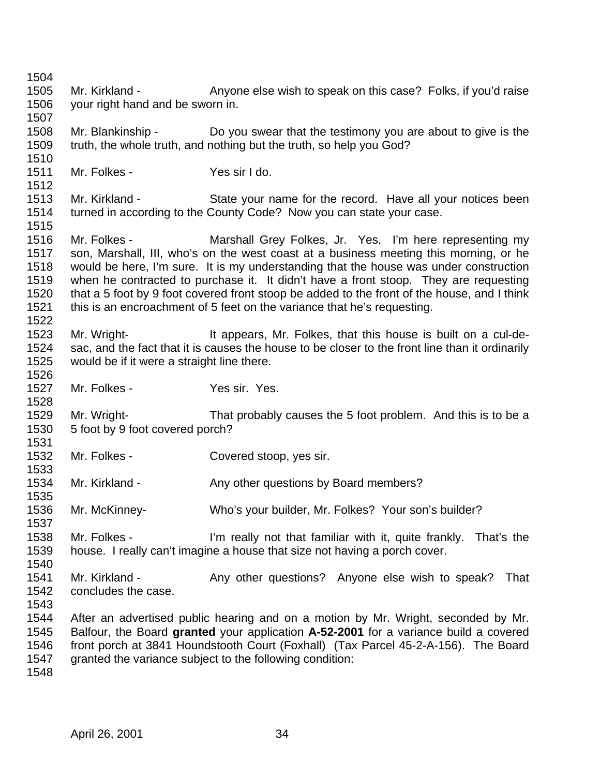1505 Mr. Kirkland - Anyone else wish to speak on this case? Folks, if you'd raise your right hand and be sworn in. Mr. Blankinship - Do you swear that the testimony you are about to give is the truth, the whole truth, and nothing but the truth, so help you God? Mr. Folkes - Yes sir I do. Mr. Kirkland - State your name for the record. Have all your notices been turned in according to the County Code? Now you can state your case. Mr. Folkes - Marshall Grey Folkes, Jr. Yes. I'm here representing my son, Marshall, III, who's on the west coast at a business meeting this morning, or he would be here, I'm sure. It is my understanding that the house was under construction when he contracted to purchase it. It didn't have a front stoop. They are requesting that a 5 foot by 9 foot covered front stoop be added to the front of the house, and I think this is an encroachment of 5 feet on the variance that he's requesting. Mr. Wright- It appears, Mr. Folkes, that this house is built on a cul-de- sac, and the fact that it is causes the house to be closer to the front line than it ordinarily would be if it were a straight line there. Mr. Folkes - Yes sir. Yes. Mr. Wright- That probably causes the 5 foot problem. And this is to be a 5 foot by 9 foot covered porch? 1532 Mr. Folkes - Covered stoop, yes sir. 1534 Mr. Kirkland - Any other questions by Board members? Mr. McKinney- Who's your builder, Mr. Folkes? Your son's builder? Mr. Folkes - I'm really not that familiar with it, quite frankly. That's the house. I really can't imagine a house that size not having a porch cover. 1541 Mr. Kirkland - Any other questions? Anyone else wish to speak? That concludes the case. After an advertised public hearing and on a motion by Mr. Wright, seconded by Mr. Balfour, the Board **granted** your application **A-52-2001** for a variance build a covered front porch at 3841 Houndstooth Court (Foxhall) (Tax Parcel 45-2-A-156). The Board granted the variance subject to the following condition: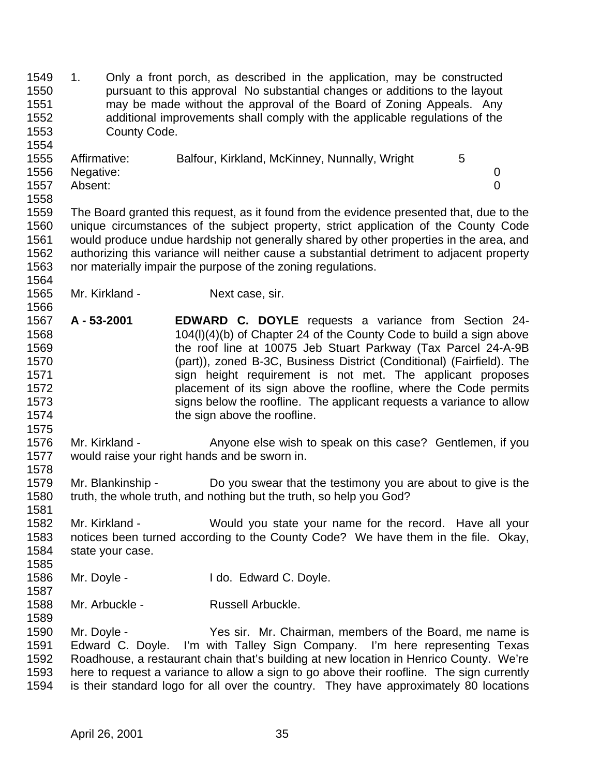1. Only a front porch, as described in the application, may be constructed pursuant to this approval No substantial changes or additions to the layout may be made without the approval of the Board of Zoning Appeals. Any additional improvements shall comply with the applicable regulations of the County Code. 

|      | 1555 Affirmative: | Balfour, Kirkland, McKinney, Nunnally, Wright |  |
|------|-------------------|-----------------------------------------------|--|
|      | 1556 Negative:    |                                               |  |
| 1557 | Absent:           |                                               |  |
| 1558 |                   |                                               |  |

 The Board granted this request, as it found from the evidence presented that, due to the unique circumstances of the subject property, strict application of the County Code would produce undue hardship not generally shared by other properties in the area, and authorizing this variance will neither cause a substantial detriment to adjacent property nor materially impair the purpose of the zoning regulations.

- Mr. Kirkland Next case, sir.
- **A 53-2001 EDWARD C. DOYLE** requests a variance from Section 24- 104(l)(4)(b) of Chapter 24 of the County Code to build a sign above the roof line at 10075 Jeb Stuart Parkway (Tax Parcel 24-A-9B (part)), zoned B-3C, Business District (Conditional) (Fairfield). The 1571 sign height requirement is not met. The applicant proposes placement of its sign above the roofline, where the Code permits signs below the roofline. The applicant requests a variance to allow **the sign above the roofline.**
- Mr. Kirkland Anyone else wish to speak on this case? Gentlemen, if you would raise your right hands and be sworn in.
- Mr. Blankinship Do you swear that the testimony you are about to give is the truth, the whole truth, and nothing but the truth, so help you God?
- Mr. Kirkland Would you state your name for the record. Have all your notices been turned according to the County Code? We have them in the file. Okay, state your case.
- Mr. Doyle I do. Edward C. Doyle.
- 

1588 Mr. Arbuckle - Russell Arbuckle.

 Mr. Doyle - Yes sir. Mr. Chairman, members of the Board, me name is Edward C. Doyle. I'm with Talley Sign Company. I'm here representing Texas Roadhouse, a restaurant chain that's building at new location in Henrico County. We're here to request a variance to allow a sign to go above their roofline. The sign currently is their standard logo for all over the country. They have approximately 80 locations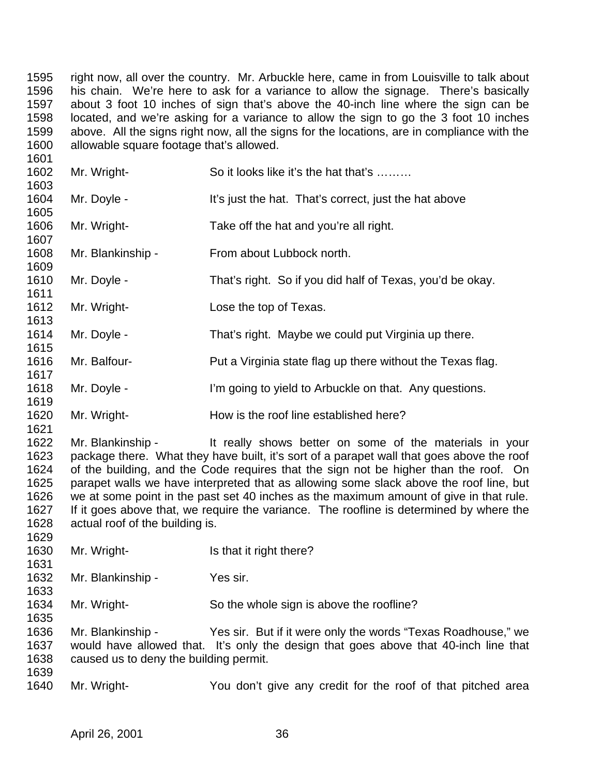right now, all over the country. Mr. Arbuckle here, came in from Louisville to talk about his chain. We're here to ask for a variance to allow the signage. There's basically about 3 foot 10 inches of sign that's above the 40-inch line where the sign can be located, and we're asking for a variance to allow the sign to go the 3 foot 10 inches above. All the signs right now, all the signs for the locations, are in compliance with the allowable square footage that's allowed. 

| 1 UU 1               |                                 |                                                                                                                                                                                   |
|----------------------|---------------------------------|-----------------------------------------------------------------------------------------------------------------------------------------------------------------------------------|
| 1602                 | Mr. Wright-                     | So it looks like it's the hat that's                                                                                                                                              |
| 1603<br>1604<br>1605 | Mr. Doyle -                     | It's just the hat. That's correct, just the hat above                                                                                                                             |
| 1606<br>1607         | Mr. Wright-                     | Take off the hat and you're all right.                                                                                                                                            |
| 1608<br>1609         | Mr. Blankinship -               | From about Lubbock north.                                                                                                                                                         |
| 1610<br>1611         | Mr. Doyle -                     | That's right. So if you did half of Texas, you'd be okay.                                                                                                                         |
| 1612<br>1613         | Mr. Wright-                     | Lose the top of Texas.                                                                                                                                                            |
| 1614<br>1615         | Mr. Doyle -                     | That's right. Maybe we could put Virginia up there.                                                                                                                               |
| 1616<br>1617         | Mr. Balfour-                    | Put a Virginia state flag up there without the Texas flag.                                                                                                                        |
| 1618<br>1619         | Mr. Doyle -                     | I'm going to yield to Arbuckle on that. Any questions.                                                                                                                            |
| 1620<br>1621         | Mr. Wright-                     | How is the roof line established here?                                                                                                                                            |
| 1622<br>1623         | Mr. Blankinship -               | It really shows better on some of the materials in your<br>package there. What they have built, it's sort of a parapet wall that goes above the roof                              |
| 1624<br>1625         |                                 | of the building, and the Code requires that the sign not be higher than the roof. On<br>parapet walls we have interpreted that as allowing some slack above the roof line, but    |
| 1626<br>1627<br>1628 | actual roof of the building is. | we at some point in the past set 40 inches as the maximum amount of give in that rule.<br>If it goes above that, we require the variance. The roofline is determined by where the |
|                      |                                 |                                                                                                                                                                                   |

- 1630 Mr. Wright- Is that it right there?
- Mr. Blankinship Yes sir.
- Mr. Wright- So the whole sign is above the roofline?

 Mr. Blankinship - Yes sir. But if it were only the words "Texas Roadhouse," we would have allowed that. It's only the design that goes above that 40-inch line that caused us to deny the building permit. 

Mr. Wright- You don't give any credit for the roof of that pitched area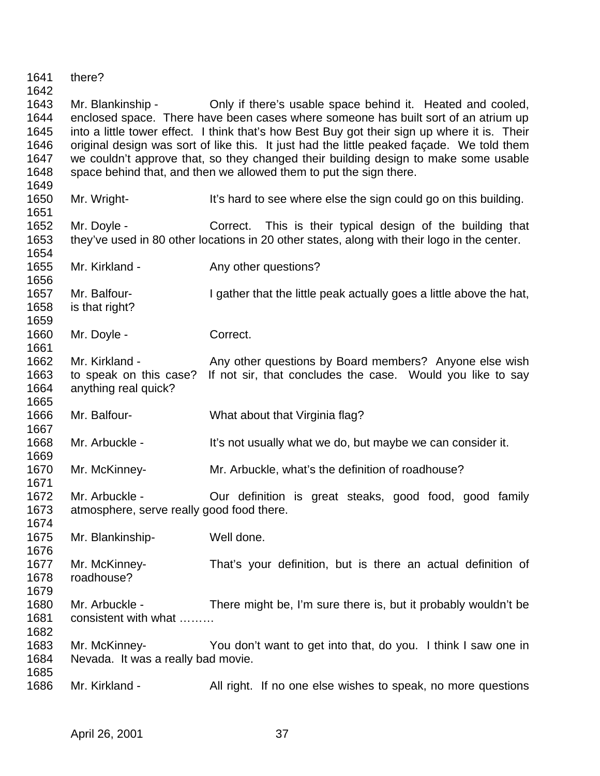there? Mr. Blankinship - Only if there's usable space behind it. Heated and cooled, enclosed space. There have been cases where someone has built sort of an atrium up into a little tower effect. I think that's how Best Buy got their sign up where it is. Their original design was sort of like this. It just had the little peaked façade. We told them we couldn't approve that, so they changed their building design to make some usable space behind that, and then we allowed them to put the sign there. 1650 Mr. Wright- It's hard to see where else the sign could go on this building. Mr. Doyle - Correct. This is their typical design of the building that they've used in 80 other locations in 20 other states, along with their logo in the center. 1655 Mr. Kirkland - Any other questions? 1657 Mr. Balfour- I gather that the little peak actually goes a little above the hat, is that right? 1660 Mr. Doyle - Correct. 1662 Mr. Kirkland - Any other questions by Board members? Anyone else wish to speak on this case? If not sir, that concludes the case. Would you like to say anything real quick? Mr. Balfour- What about that Virginia flag? 1668 Mr. Arbuckle - It's not usually what we do, but maybe we can consider it. Mr. McKinney- Mr. Arbuckle, what's the definition of roadhouse? Mr. Arbuckle - Our definition is great steaks, good food, good family atmosphere, serve really good food there. Mr. Blankinship- Well done. Mr. McKinney- That's your definition, but is there an actual definition of roadhouse? Mr. Arbuckle - There might be, I'm sure there is, but it probably wouldn't be 1681 consistent with what ……… Mr. McKinney- You don't want to get into that, do you. I think I saw one in Nevada. It was a really bad movie. 1686 Mr. Kirkland - All right. If no one else wishes to speak, no more questions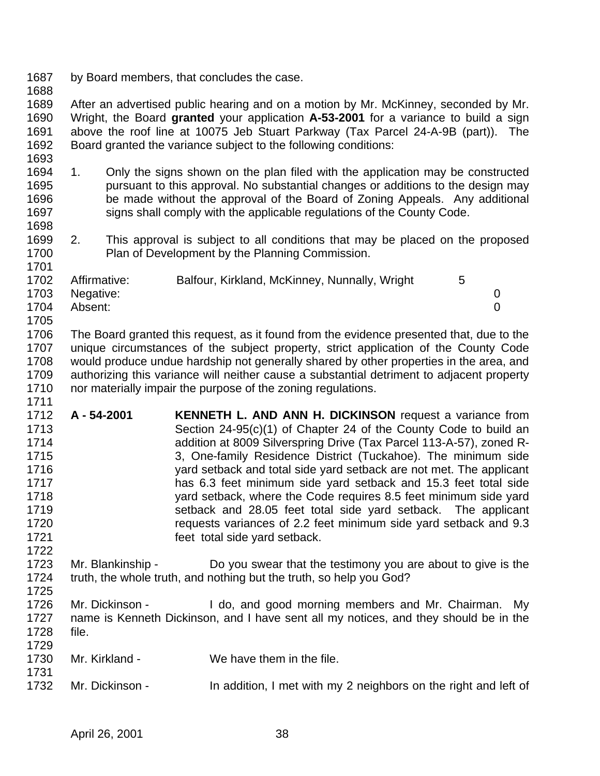- by Board members, that concludes the case.
- 

 After an advertised public hearing and on a motion by Mr. McKinney, seconded by Mr. Wright, the Board **granted** your application **A-53-2001** for a variance to build a sign above the roof line at 10075 Jeb Stuart Parkway (Tax Parcel 24-A-9B (part)). The Board granted the variance subject to the following conditions:

- 1. Only the signs shown on the plan filed with the application may be constructed pursuant to this approval. No substantial changes or additions to the design may be made without the approval of the Board of Zoning Appeals. Any additional 1697 signs shall comply with the applicable regulations of the County Code.
- 2. This approval is subject to all conditions that may be placed on the proposed Plan of Development by the Planning Commission.

| 1702 | Affirmative: | Balfour, Kirkland, McKinney, Nunnally, Wright | 5 |  |
|------|--------------|-----------------------------------------------|---|--|
| 1703 | Negative:    |                                               |   |  |
| 1704 | Absent:      |                                               |   |  |
| 1705 |              |                                               |   |  |

 The Board granted this request, as it found from the evidence presented that, due to the unique circumstances of the subject property, strict application of the County Code would produce undue hardship not generally shared by other properties in the area, and authorizing this variance will neither cause a substantial detriment to adjacent property 1710 nor materially impair the purpose of the zoning regulations. 

- **A 54-2001 KENNETH L. AND ANN H. DICKINSON** request a variance from Section 24-95(c)(1) of Chapter 24 of the County Code to build an addition at 8009 Silverspring Drive (Tax Parcel 113-A-57), zoned R- 3, One-family Residence District (Tuckahoe). The minimum side yard setback and total side yard setback are not met. The applicant has 6.3 feet minimum side yard setback and 15.3 feet total side yard setback, where the Code requires 8.5 feet minimum side yard setback and 28.05 feet total side yard setback. The applicant requests variances of 2.2 feet minimum side yard setback and 9.3 feet total side yard setback.
- Mr. Blankinship Do you swear that the testimony you are about to give is the truth, the whole truth, and nothing but the truth, so help you God?
- Mr. Dickinson - I do, and good morning members and Mr. Chairman. My name is Kenneth Dickinson, and I have sent all my notices, and they should be in the file.
- Mr. Kirkland We have them in the file.
- 1732 Mr. Dickinson In addition, I met with my 2 neighbors on the right and left of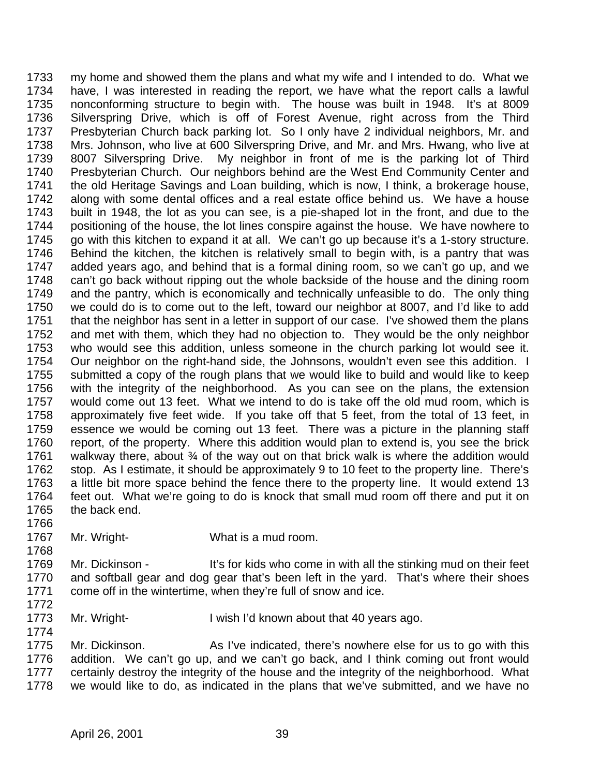my home and showed them the plans and what my wife and I intended to do. What we have, I was interested in reading the report, we have what the report calls a lawful nonconforming structure to begin with. The house was built in 1948. It's at 8009 Silverspring Drive, which is off of Forest Avenue, right across from the Third Presbyterian Church back parking lot. So I only have 2 individual neighbors, Mr. and Mrs. Johnson, who live at 600 Silverspring Drive, and Mr. and Mrs. Hwang, who live at 8007 Silverspring Drive. My neighbor in front of me is the parking lot of Third Presbyterian Church. Our neighbors behind are the West End Community Center and the old Heritage Savings and Loan building, which is now, I think, a brokerage house, along with some dental offices and a real estate office behind us. We have a house built in 1948, the lot as you can see, is a pie-shaped lot in the front, and due to the positioning of the house, the lot lines conspire against the house. We have nowhere to 1745 go with this kitchen to expand it at all. We can't go up because it's a 1-story structure. Behind the kitchen, the kitchen is relatively small to begin with, is a pantry that was added years ago, and behind that is a formal dining room, so we can't go up, and we can't go back without ripping out the whole backside of the house and the dining room and the pantry, which is economically and technically unfeasible to do. The only thing we could do is to come out to the left, toward our neighbor at 8007, and I'd like to add that the neighbor has sent in a letter in support of our case. I've showed them the plans and met with them, which they had no objection to. They would be the only neighbor who would see this addition, unless someone in the church parking lot would see it. Our neighbor on the right-hand side, the Johnsons, wouldn't even see this addition. I submitted a copy of the rough plans that we would like to build and would like to keep with the integrity of the neighborhood. As you can see on the plans, the extension would come out 13 feet. What we intend to do is take off the old mud room, which is approximately five feet wide. If you take off that 5 feet, from the total of 13 feet, in essence we would be coming out 13 feet. There was a picture in the planning staff report, of the property. Where this addition would plan to extend is, you see the brick 1761 walkway there, about 34 of the way out on that brick walk is where the addition would stop. As I estimate, it should be approximately 9 to 10 feet to the property line. There's a little bit more space behind the fence there to the property line. It would extend 13 feet out. What we're going to do is knock that small mud room off there and put it on the back end.

- Mr. Wright- What is a mud room.
- 1769 Mr. Dickinson It's for kids who come in with all the stinking mud on their feet and softball gear and dog gear that's been left in the yard. That's where their shoes come off in the wintertime, when they're full of snow and ice.
- 

1773 Mr. Wright- I wish I'd known about that 40 years ago. 

 Mr. Dickinson. As I've indicated, there's nowhere else for us to go with this addition. We can't go up, and we can't go back, and I think coming out front would certainly destroy the integrity of the house and the integrity of the neighborhood. What we would like to do, as indicated in the plans that we've submitted, and we have no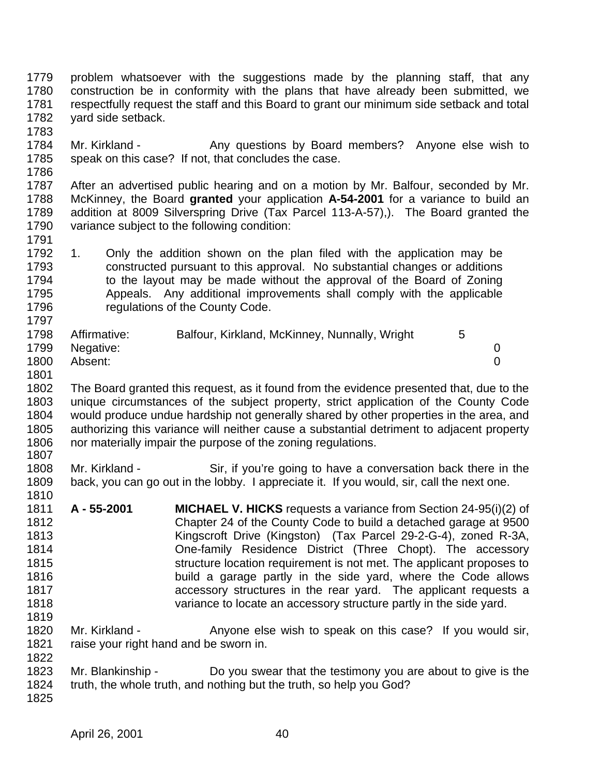problem whatsoever with the suggestions made by the planning staff, that any construction be in conformity with the plans that have already been submitted, we respectfully request the staff and this Board to grant our minimum side setback and total yard side setback.

1784 Mr. Kirkland - Any questions by Board members? Anyone else wish to speak on this case? If not, that concludes the case. 

 After an advertised public hearing and on a motion by Mr. Balfour, seconded by Mr. McKinney, the Board **granted** your application **A-54-2001** for a variance to build an addition at 8009 Silverspring Drive (Tax Parcel 113-A-57),). The Board granted the variance subject to the following condition:

 1. Only the addition shown on the plan filed with the application may be constructed pursuant to this approval. No substantial changes or additions 1794 to the layout may be made without the approval of the Board of Zoning Appeals. Any additional improvements shall comply with the applicable 1796 regulations of the County Code. 

| 1798 | Affirmative:   | Balfour, Kirkland, McKinney, Nunnally, Wright |  |
|------|----------------|-----------------------------------------------|--|
|      | 1799 Negative: |                                               |  |
| 1800 | Absent:        |                                               |  |

 The Board granted this request, as it found from the evidence presented that, due to the unique circumstances of the subject property, strict application of the County Code would produce undue hardship not generally shared by other properties in the area, and authorizing this variance will neither cause a substantial detriment to adjacent property nor materially impair the purpose of the zoning regulations. 

 Mr. Kirkland - Sir, if you're going to have a conversation back there in the back, you can go out in the lobby. I appreciate it. If you would, sir, call the next one. 

- **A 55-2001 MICHAEL V. HICKS** requests a variance from Section 24-95(i)(2) of Chapter 24 of the County Code to build a detached garage at 9500 Kingscroft Drive (Kingston) (Tax Parcel 29-2-G-4), zoned R-3A, One-family Residence District (Three Chopt). The accessory **Structure location requirement is not met.** The applicant proposes to build a garage partly in the side yard, where the Code allows accessory structures in the rear yard. The applicant requests a variance to locate an accessory structure partly in the side yard.
- 1820 Mr. Kirkland Anyone else wish to speak on this case? If you would sir, raise your right hand and be sworn in.
- Mr. Blankinship Do you swear that the testimony you are about to give is the truth, the whole truth, and nothing but the truth, so help you God?
-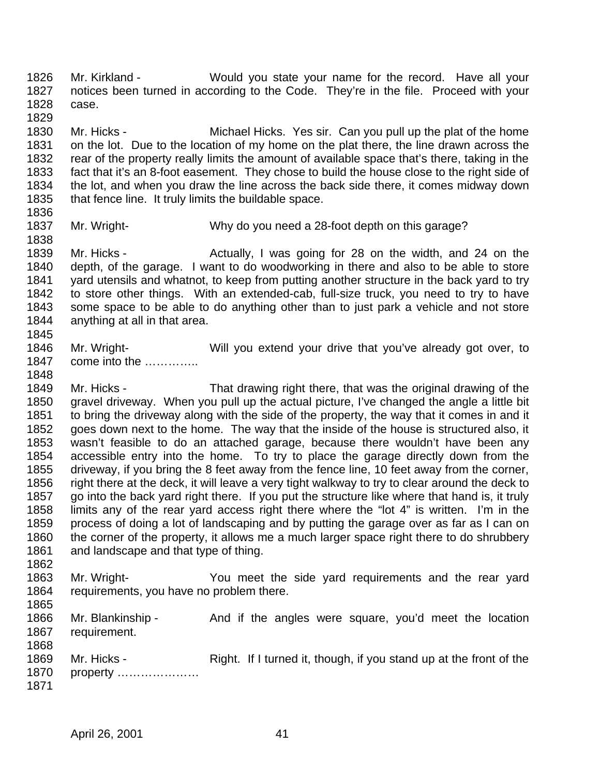Mr. Kirkland - Would you state your name for the record. Have all your notices been turned in according to the Code. They're in the file. Proceed with your case. 

 Mr. Hicks - Michael Hicks. Yes sir. Can you pull up the plat of the home on the lot. Due to the location of my home on the plat there, the line drawn across the rear of the property really limits the amount of available space that's there, taking in the fact that it's an 8-foot easement. They chose to build the house close to the right side of the lot, and when you draw the line across the back side there, it comes midway down that fence line. It truly limits the buildable space.

Mr. Wright- Why do you need a 28-foot depth on this garage?

1839 Mr. Hicks - Actually, I was going for 28 on the width, and 24 on the depth, of the garage. I want to do woodworking in there and also to be able to store yard utensils and whatnot, to keep from putting another structure in the back yard to try to store other things. With an extended-cab, full-size truck, you need to try to have some space to be able to do anything other than to just park a vehicle and not store anything at all in that area. 

- Mr. Wright- Will you extend your drive that you've already got over, to 1847 come into the ………….
- Mr. Hicks That drawing right there, that was the original drawing of the gravel driveway. When you pull up the actual picture, I've changed the angle a little bit to bring the driveway along with the side of the property, the way that it comes in and it goes down next to the home. The way that the inside of the house is structured also, it wasn't feasible to do an attached garage, because there wouldn't have been any accessible entry into the home. To try to place the garage directly down from the driveway, if you bring the 8 feet away from the fence line, 10 feet away from the corner, right there at the deck, it will leave a very tight walkway to try to clear around the deck to go into the back yard right there. If you put the structure like where that hand is, it truly limits any of the rear yard access right there where the "lot 4" is written. I'm in the process of doing a lot of landscaping and by putting the garage over as far as I can on 1860 the corner of the property, it allows me a much larger space right there to do shrubbery 1861 and landscape and that type of thing.
- Mr. Wright- You meet the side yard requirements and the rear yard requirements, you have no problem there.
- 1866 Mr. Blankinship And if the angles were square, you'd meet the location requirement.
- 1869 Mr. Hicks Right. If I turned it, though, if you stand up at the front of the property …………………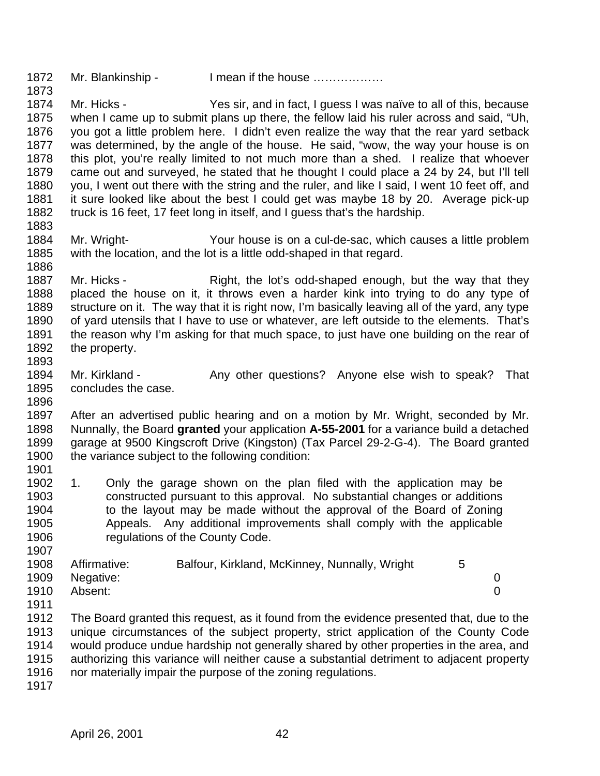- 1872 Mr. Blankinship I mean if the house .................
- Mr. Hicks Yes sir, and in fact, I guess I was naïve to all of this, because when I came up to submit plans up there, the fellow laid his ruler across and said, "Uh, you got a little problem here. I didn't even realize the way that the rear yard setback was determined, by the angle of the house. He said, "wow, the way your house is on this plot, you're really limited to not much more than a shed. I realize that whoever came out and surveyed, he stated that he thought I could place a 24 by 24, but I'll tell you, I went out there with the string and the ruler, and like I said, I went 10 feet off, and it sure looked like about the best I could get was maybe 18 by 20. Average pick-up truck is 16 feet, 17 feet long in itself, and I guess that's the hardship.
- Mr. Wright- Your house is on a cul-de-sac, which causes a little problem with the location, and the lot is a little odd-shaped in that regard.
- 1887 Mr. Hicks Right, the lot's odd-shaped enough, but the way that they placed the house on it, it throws even a harder kink into trying to do any type of structure on it. The way that it is right now, I'm basically leaving all of the yard, any type of yard utensils that I have to use or whatever, are left outside to the elements. That's 1891 the reason why I'm asking for that much space, to just have one building on the rear of the property.
- 1894 Mr. Kirkland Any other questions? Anyone else wish to speak? That concludes the case.
- After an advertised public hearing and on a motion by Mr. Wright, seconded by Mr. Nunnally, the Board **granted** your application **A-55-2001** for a variance build a detached garage at 9500 Kingscroft Drive (Kingston) (Tax Parcel 29-2-G-4). The Board granted the variance subject to the following condition:
- 1. Only the garage shown on the plan filed with the application may be constructed pursuant to this approval. No substantial changes or additions 1904 to the layout may be made without the approval of the Board of Zoning Appeals. Any additional improvements shall comply with the applicable **regulations of the County Code.**

| 1908 | Affirmative: | Balfour, Kirkland, McKinney, Nunnally, Wright |  |
|------|--------------|-----------------------------------------------|--|
| 1909 | Negative:    |                                               |  |
| 1910 | Absent:      |                                               |  |

- The Board granted this request, as it found from the evidence presented that, due to the unique circumstances of the subject property, strict application of the County Code would produce undue hardship not generally shared by other properties in the area, and authorizing this variance will neither cause a substantial detriment to adjacent property nor materially impair the purpose of the zoning regulations.
-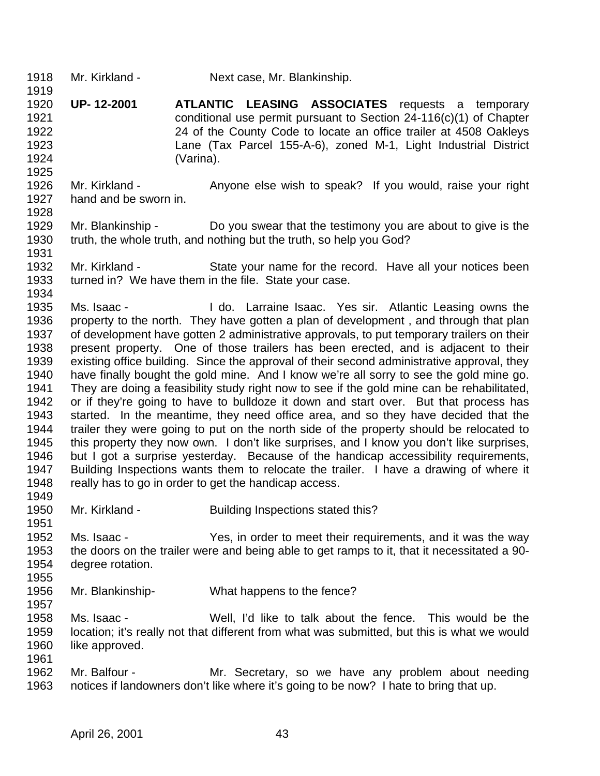- Mr. Kirkland Next case, Mr. Blankinship.
- **UP- 12-2001 ATLANTIC LEASING ASSOCIATES** requests a temporary conditional use permit pursuant to Section 24-116(c)(1) of Chapter 24 of the County Code to locate an office trailer at 4508 Oakleys Lane (Tax Parcel 155-A-6), zoned M-1, Light Industrial District (Varina).
- Mr. Kirkland Anyone else wish to speak? If you would, raise your right hand and be sworn in.
- Mr. Blankinship Do you swear that the testimony you are about to give is the truth, the whole truth, and nothing but the truth, so help you God?
- Mr. Kirkland State your name for the record. Have all your notices been turned in? We have them in the file. State your case.
- Ms. Isaac I do. Larraine Isaac. Yes sir. Atlantic Leasing owns the property to the north. They have gotten a plan of development , and through that plan of development have gotten 2 administrative approvals, to put temporary trailers on their present property. One of those trailers has been erected, and is adjacent to their existing office building. Since the approval of their second administrative approval, they have finally bought the gold mine. And I know we're all sorry to see the gold mine go. They are doing a feasibility study right now to see if the gold mine can be rehabilitated, or if they're going to have to bulldoze it down and start over. But that process has started. In the meantime, they need office area, and so they have decided that the 1944 trailer they were going to put on the north side of the property should be relocated to<br>1945 this property they now own. I don't like surprises, and I know you don't like surprises, this property they now own. I don't like surprises, and I know you don't like surprises, but I got a surprise yesterday. Because of the handicap accessibility requirements, Building Inspections wants them to relocate the trailer. I have a drawing of where it 1948 really has to go in order to get the handicap access.
- 

- 1950 Mr. Kirkland Building Inspections stated this?
- Ms. Isaac Yes, in order to meet their requirements, and it was the way the doors on the trailer were and being able to get ramps to it, that it necessitated a 90- degree rotation.
- Mr. Blankinship- What happens to the fence?
- Ms. Isaac Well, I'd like to talk about the fence. This would be the location; it's really not that different from what was submitted, but this is what we would 1960 like approved.
- Mr. Balfour Mr. Secretary, so we have any problem about needing notices if landowners don't like where it's going to be now? I hate to bring that up.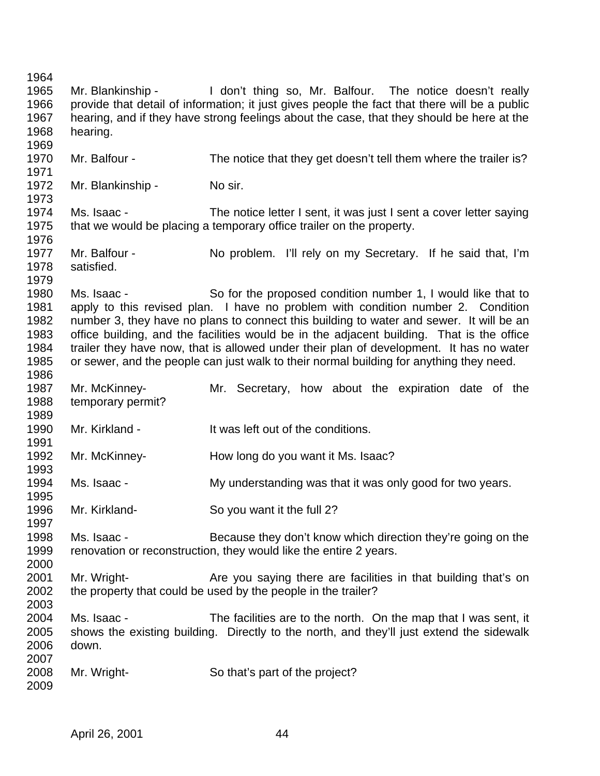Mr. Blankinship - I don't thing so, Mr. Balfour. The notice doesn't really provide that detail of information; it just gives people the fact that there will be a public hearing, and if they have strong feelings about the case, that they should be here at the hearing. Mr. Balfour - The notice that they get doesn't tell them where the trailer is? 1972 Mr. Blankinship - No sir. Ms. Isaac - The notice letter I sent, it was just I sent a cover letter saying that we would be placing a temporary office trailer on the property. Mr. Balfour - No problem. I'll rely on my Secretary. If he said that, I'm satisfied. Ms. Isaac - So for the proposed condition number 1, I would like that to apply to this revised plan. I have no problem with condition number 2. Condition number 3, they have no plans to connect this building to water and sewer. It will be an office building, and the facilities would be in the adjacent building. That is the office trailer they have now, that is allowed under their plan of development. It has no water or sewer, and the people can just walk to their normal building for anything they need. Mr. McKinney- Mr. Secretary, how about the expiration date of the temporary permit? Mr. Kirkland - It was left out of the conditions. Mr. McKinney- How long do you want it Ms. Isaac? Ms. Isaac - My understanding was that it was only good for two years. Mr. Kirkland- So you want it the full 2? Ms. Isaac - Because they don't know which direction they're going on the renovation or reconstruction, they would like the entire 2 years. 2001 Mr. Wright- **Are you saying there are facilities in that building that's on**  the property that could be used by the people in the trailer? Ms. Isaac - The facilities are to the north. On the map that I was sent, it shows the existing building. Directly to the north, and they'll just extend the sidewalk down. Mr. Wright- So that's part of the project?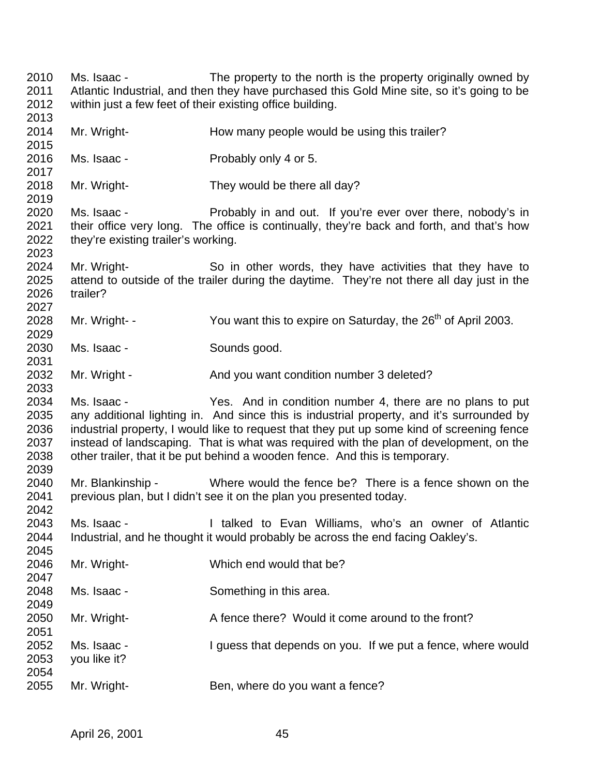Ms. Isaac - The property to the north is the property originally owned by Atlantic Industrial, and then they have purchased this Gold Mine site, so it's going to be within just a few feet of their existing office building. 2014 Mr. Wright- How many people would be using this trailer? Ms. Isaac - Probably only 4 or 5. Mr. Wright- They would be there all day? Ms. Isaac - Probably in and out. If you're ever over there, nobody's in 2021 their office very long. The office is continually, they're back and forth, and that's how they're existing trailer's working. Mr. Wright- So in other words, they have activities that they have to attend to outside of the trailer during the daytime. They're not there all day just in the trailer? 2028 Mr. Wright- - You want this to expire on Saturday, the  $26<sup>th</sup>$  of April 2003. Ms. Isaac - Sounds good. 2032 Mr. Wright - And you want condition number 3 deleted? Ms. Isaac - Yes. And in condition number 4, there are no plans to put any additional lighting in. And since this is industrial property, and it's surrounded by industrial property, I would like to request that they put up some kind of screening fence instead of landscaping. That is what was required with the plan of development, on the other trailer, that it be put behind a wooden fence. And this is temporary. Mr. Blankinship - Where would the fence be? There is a fence shown on the previous plan, but I didn't see it on the plan you presented today. Ms. Isaac - I talked to Evan Williams, who's an owner of Atlantic Industrial, and he thought it would probably be across the end facing Oakley's. Mr. Wright- Which end would that be? Ms. Isaac - Something in this area. 2050 Mr. Wright- A fence there? Would it come around to the front? Ms. Isaac - I guess that depends on you. If we put a fence, where would you like it? Mr. Wright- Ben, where do you want a fence?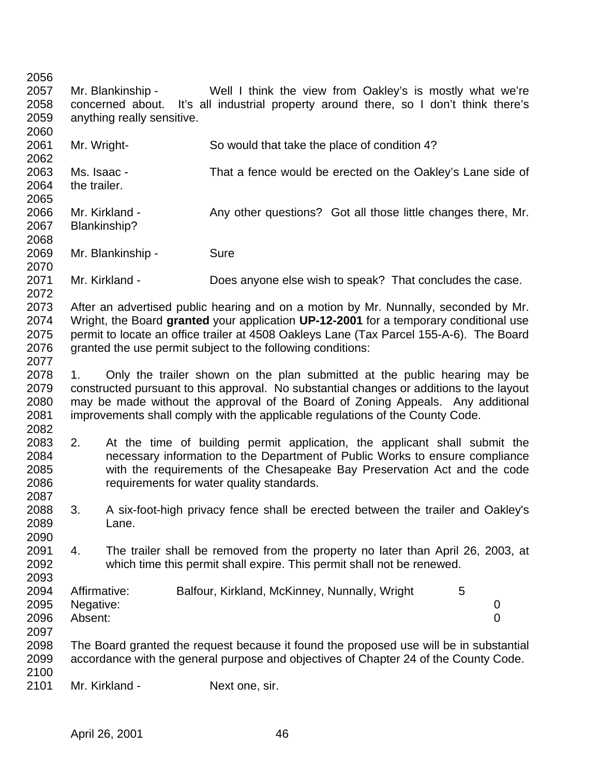Mr. Blankinship - Well I think the view from Oakley's is mostly what we're concerned about. It's all industrial property around there, so I don't think there's anything really sensitive. Mr. Wright- So would that take the place of condition 4? Ms. Isaac - That a fence would be erected on the Oakley's Lane side of the trailer. 2066 Mr. Kirkland - Any other questions? Got all those little changes there, Mr. Blankinship? 2069 Mr. Blankinship - Sure Mr. Kirkland - Does anyone else wish to speak? That concludes the case. After an advertised public hearing and on a motion by Mr. Nunnally, seconded by Mr. Wright, the Board **granted** your application **UP-12-2001** for a temporary conditional use permit to locate an office trailer at 4508 Oakleys Lane (Tax Parcel 155-A-6). The Board 2076 granted the use permit subject to the following conditions: 1. Only the trailer shown on the plan submitted at the public hearing may be constructed pursuant to this approval. No substantial changes or additions to the layout may be made without the approval of the Board of Zoning Appeals. Any additional improvements shall comply with the applicable regulations of the County Code. 2. At the time of building permit application, the applicant shall submit the necessary information to the Department of Public Works to ensure compliance with the requirements of the Chesapeake Bay Preservation Act and the code requirements for water quality standards. 3. A six-foot-high privacy fence shall be erected between the trailer and Oakley's Lane. 4. The trailer shall be removed from the property no later than April 26, 2003, at which time this permit shall expire. This permit shall not be renewed. 2094 Affirmative: Balfour, Kirkland, McKinney, Nunnally, Wright 5 Negative: 0 Absent: 0 The Board granted the request because it found the proposed use will be in substantial accordance with the general purpose and objectives of Chapter 24 of the County Code. Mr. Kirkland - Next one, sir.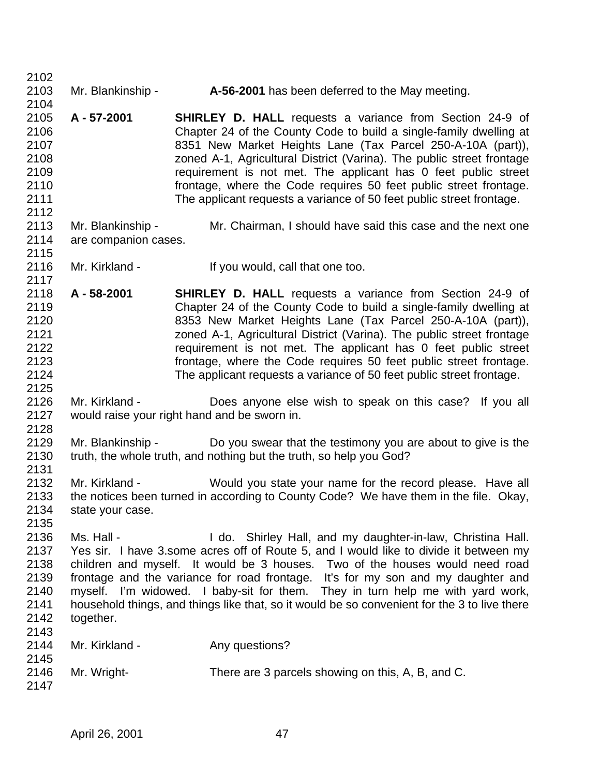| Mr. Blankinship -<br>A-56-2001 has been deferred to the May meeting. |                                                                                                                                                                                                                                                                                    |
|----------------------------------------------------------------------|------------------------------------------------------------------------------------------------------------------------------------------------------------------------------------------------------------------------------------------------------------------------------------|
|                                                                      |                                                                                                                                                                                                                                                                                    |
|                                                                      | <b>SHIRLEY D. HALL</b> requests a variance from Section 24-9 of                                                                                                                                                                                                                    |
|                                                                      | Chapter 24 of the County Code to build a single-family dwelling at                                                                                                                                                                                                                 |
|                                                                      | 8351 New Market Heights Lane (Tax Parcel 250-A-10A (part)),                                                                                                                                                                                                                        |
|                                                                      | zoned A-1, Agricultural District (Varina). The public street frontage                                                                                                                                                                                                              |
|                                                                      | requirement is not met. The applicant has 0 feet public street                                                                                                                                                                                                                     |
|                                                                      | frontage, where the Code requires 50 feet public street frontage.                                                                                                                                                                                                                  |
|                                                                      | The applicant requests a variance of 50 feet public street frontage.                                                                                                                                                                                                               |
|                                                                      |                                                                                                                                                                                                                                                                                    |
|                                                                      | Mr. Chairman, I should have said this case and the next one                                                                                                                                                                                                                        |
|                                                                      |                                                                                                                                                                                                                                                                                    |
|                                                                      |                                                                                                                                                                                                                                                                                    |
|                                                                      | If you would, call that one too.                                                                                                                                                                                                                                                   |
|                                                                      | <b>SHIRLEY D. HALL</b> requests a variance from Section 24-9 of                                                                                                                                                                                                                    |
|                                                                      | Chapter 24 of the County Code to build a single-family dwelling at                                                                                                                                                                                                                 |
|                                                                      | 8353 New Market Heights Lane (Tax Parcel 250-A-10A (part)),                                                                                                                                                                                                                        |
|                                                                      | zoned A-1, Agricultural District (Varina). The public street frontage                                                                                                                                                                                                              |
|                                                                      | requirement is not met. The applicant has 0 feet public street                                                                                                                                                                                                                     |
|                                                                      | frontage, where the Code requires 50 feet public street frontage.                                                                                                                                                                                                                  |
|                                                                      | The applicant requests a variance of 50 feet public street frontage.                                                                                                                                                                                                               |
|                                                                      |                                                                                                                                                                                                                                                                                    |
|                                                                      | Does anyone else wish to speak on this case? If you all                                                                                                                                                                                                                            |
|                                                                      |                                                                                                                                                                                                                                                                                    |
|                                                                      |                                                                                                                                                                                                                                                                                    |
|                                                                      | Do you swear that the testimony you are about to give is the                                                                                                                                                                                                                       |
|                                                                      | truth, the whole truth, and nothing but the truth, so help you God?                                                                                                                                                                                                                |
|                                                                      |                                                                                                                                                                                                                                                                                    |
|                                                                      | Would you state your name for the record please. Have all                                                                                                                                                                                                                          |
|                                                                      | the notices been turned in according to County Code? We have them in the file. Okay,                                                                                                                                                                                               |
|                                                                      |                                                                                                                                                                                                                                                                                    |
|                                                                      |                                                                                                                                                                                                                                                                                    |
|                                                                      | I do. Shirley Hall, and my daughter-in-law, Christina Hall.                                                                                                                                                                                                                        |
|                                                                      |                                                                                                                                                                                                                                                                                    |
|                                                                      | Yes sir. I have 3.some acres off of Route 5, and I would like to divide it between my                                                                                                                                                                                              |
|                                                                      | children and myself. It would be 3 houses. Two of the houses would need road                                                                                                                                                                                                       |
|                                                                      | frontage and the variance for road frontage. It's for my son and my daughter and                                                                                                                                                                                                   |
|                                                                      | myself. I'm widowed. I baby-sit for them. They in turn help me with yard work,                                                                                                                                                                                                     |
|                                                                      | household things, and things like that, so it would be so convenient for the 3 to live there                                                                                                                                                                                       |
|                                                                      |                                                                                                                                                                                                                                                                                    |
|                                                                      |                                                                                                                                                                                                                                                                                    |
|                                                                      | Any questions?                                                                                                                                                                                                                                                                     |
|                                                                      |                                                                                                                                                                                                                                                                                    |
|                                                                      | There are 3 parcels showing on this, A, B, and C.                                                                                                                                                                                                                                  |
|                                                                      |                                                                                                                                                                                                                                                                                    |
|                                                                      | A - 57-2001<br>Mr. Blankinship -<br>are companion cases.<br>Mr. Kirkland -<br>A - 58-2001<br>Mr. Kirkland -<br>would raise your right hand and be sworn in.<br>Mr. Blankinship -<br>Mr. Kirkland -<br>state your case.<br>Ms. Hall -<br>together.<br>Mr. Kirkland -<br>Mr. Wright- |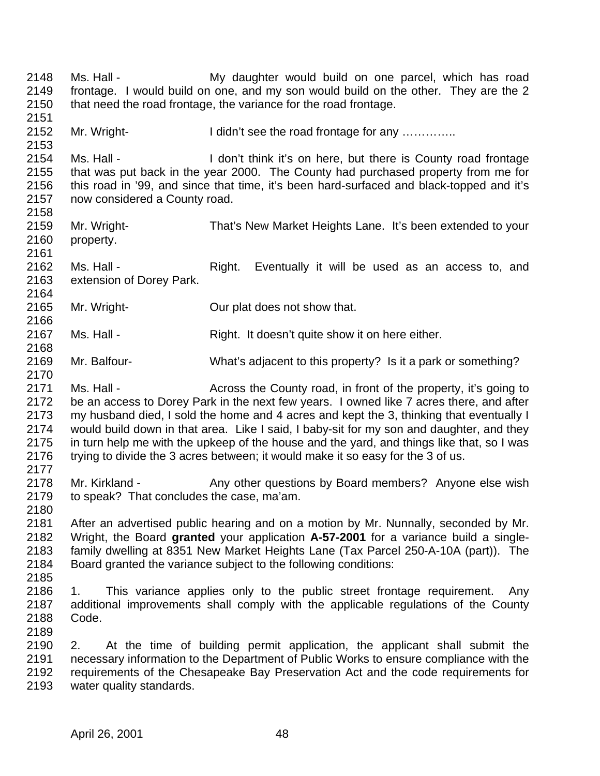Ms. Hall - My daughter would build on one parcel, which has road frontage. I would build on one, and my son would build on the other. They are the 2 2150 that need the road frontage, the variance for the road frontage. 2152 Mr. Wright- I didn't see the road frontage for any …………. Ms. Hall - I don't think it's on here, but there is County road frontage that was put back in the year 2000. The County had purchased property from me for this road in '99, and since that time, it's been hard-surfaced and black-topped and it's now considered a County road. Mr. Wright- That's New Market Heights Lane. It's been extended to your property. 2162 Ms. Hall - Right. Eventually it will be used as an access to, and extension of Dorey Park. Mr. Wright- Our plat does not show that. 2167 Ms. Hall - Right. It doesn't quite show it on here either. Mr. Balfour- What's adjacent to this property? Is it a park or something? 2171 Ms. Hall - Across the County road, in front of the property, it's going to be an access to Dorey Park in the next few years. I owned like 7 acres there, and after my husband died, I sold the home and 4 acres and kept the 3, thinking that eventually I would build down in that area. Like I said, I baby-sit for my son and daughter, and they in turn help me with the upkeep of the house and the yard, and things like that, so I was trying to divide the 3 acres between; it would make it so easy for the 3 of us. 2178 Mr. Kirkland - Any other questions by Board members? Anyone else wish to speak? That concludes the case, ma'am. After an advertised public hearing and on a motion by Mr. Nunnally, seconded by Mr. Wright, the Board **granted** your application **A-57-2001** for a variance build a single- family dwelling at 8351 New Market Heights Lane (Tax Parcel 250-A-10A (part)). The Board granted the variance subject to the following conditions: 1. This variance applies only to the public street frontage requirement. Any additional improvements shall comply with the applicable regulations of the County Code. 2. At the time of building permit application, the applicant shall submit the necessary information to the Department of Public Works to ensure compliance with the requirements of the Chesapeake Bay Preservation Act and the code requirements for water quality standards.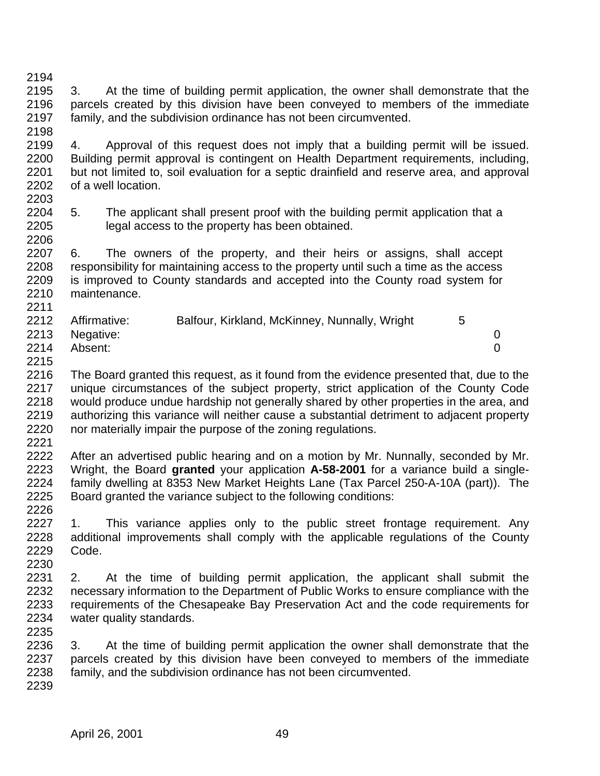- 3. At the time of building permit application, the owner shall demonstrate that the parcels created by this division have been conveyed to members of the immediate family, and the subdivision ordinance has not been circumvented.
- 

 4. Approval of this request does not imply that a building permit will be issued. Building permit approval is contingent on Health Department requirements, including, but not limited to, soil evaluation for a septic drainfield and reserve area, and approval of a well location. 

 5. The applicant shall present proof with the building permit application that a legal access to the property has been obtained. 

 6. The owners of the property, and their heirs or assigns, shall accept responsibility for maintaining access to the property until such a time as the access is improved to County standards and accepted into the County road system for maintenance. 

| 2212 | Affirmative:   | Balfour, Kirkland, McKinney, Nunnally, Wright |  |
|------|----------------|-----------------------------------------------|--|
|      | 2213 Negative: |                                               |  |
| 2214 | Absent:        |                                               |  |
|      |                |                                               |  |

 The Board granted this request, as it found from the evidence presented that, due to the unique circumstances of the subject property, strict application of the County Code would produce undue hardship not generally shared by other properties in the area, and authorizing this variance will neither cause a substantial detriment to adjacent property nor materially impair the purpose of the zoning regulations.

 After an advertised public hearing and on a motion by Mr. Nunnally, seconded by Mr. Wright, the Board **granted** your application **A-58-2001** for a variance build a single- family dwelling at 8353 New Market Heights Lane (Tax Parcel 250-A-10A (part)). The Board granted the variance subject to the following conditions: 

2227 1. This variance applies only to the public street frontage requirement. Any additional improvements shall comply with the applicable regulations of the County Code. 

 2. At the time of building permit application, the applicant shall submit the necessary information to the Department of Public Works to ensure compliance with the requirements of the Chesapeake Bay Preservation Act and the code requirements for water quality standards. 

 3. At the time of building permit application the owner shall demonstrate that the parcels created by this division have been conveyed to members of the immediate family, and the subdivision ordinance has not been circumvented.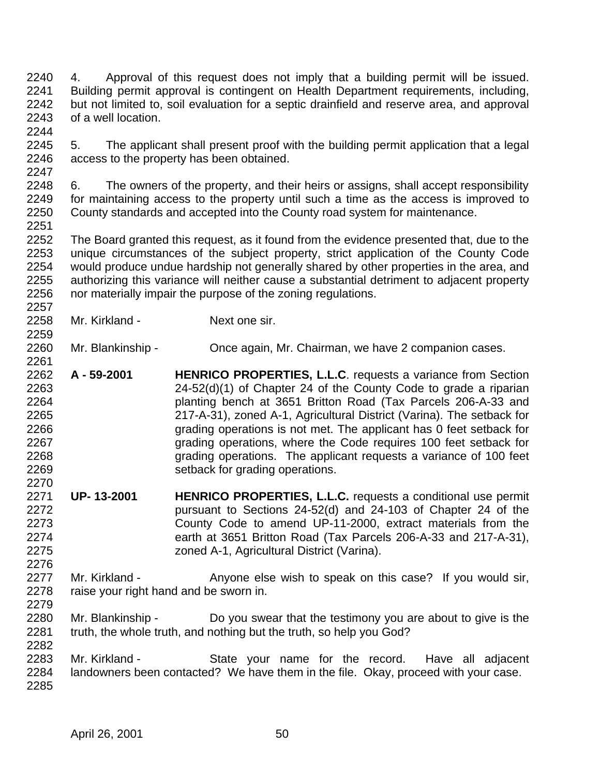- 4. Approval of this request does not imply that a building permit will be issued. Building permit approval is contingent on Health Department requirements, including, but not limited to, soil evaluation for a septic drainfield and reserve area, and approval of a well location.
- 5. The applicant shall present proof with the building permit application that a legal access to the property has been obtained.
- 6. The owners of the property, and their heirs or assigns, shall accept responsibility for maintaining access to the property until such a time as the access is improved to County standards and accepted into the County road system for maintenance.
- The Board granted this request, as it found from the evidence presented that, due to the unique circumstances of the subject property, strict application of the County Code would produce undue hardship not generally shared by other properties in the area, and authorizing this variance will neither cause a substantial detriment to adjacent property nor materially impair the purpose of the zoning regulations.
- Mr. Kirkland Next one sir.
- Mr. Blankinship Once again, Mr. Chairman, we have 2 companion cases.
- **A 59-2001 HENRICO PROPERTIES, L.L.C**. requests a variance from Section 24-52(d)(1) of Chapter 24 of the County Code to grade a riparian planting bench at 3651 Britton Road (Tax Parcels 206-A-33 and 217-A-31), zoned A-1, Agricultural District (Varina). The setback for grading operations is not met. The applicant has 0 feet setback for grading operations, where the Code requires 100 feet setback for grading operations. The applicant requests a variance of 100 feet setback for grading operations.
- **UP- 13-2001 HENRICO PROPERTIES, L.L.C.** requests a conditional use permit pursuant to Sections 24-52(d) and 24-103 of Chapter 24 of the County Code to amend UP-11-2000, extract materials from the earth at 3651 Britton Road (Tax Parcels 206-A-33 and 217-A-31), zoned A-1, Agricultural District (Varina).
- 2277 Mr. Kirkland Anyone else wish to speak on this case? If you would sir, raise your right hand and be sworn in.
- Mr. Blankinship Do you swear that the testimony you are about to give is the truth, the whole truth, and nothing but the truth, so help you God?
- 2283 Mr. Kirkland State your name for the record. Have all adiacent landowners been contacted? We have them in the file. Okay, proceed with your case.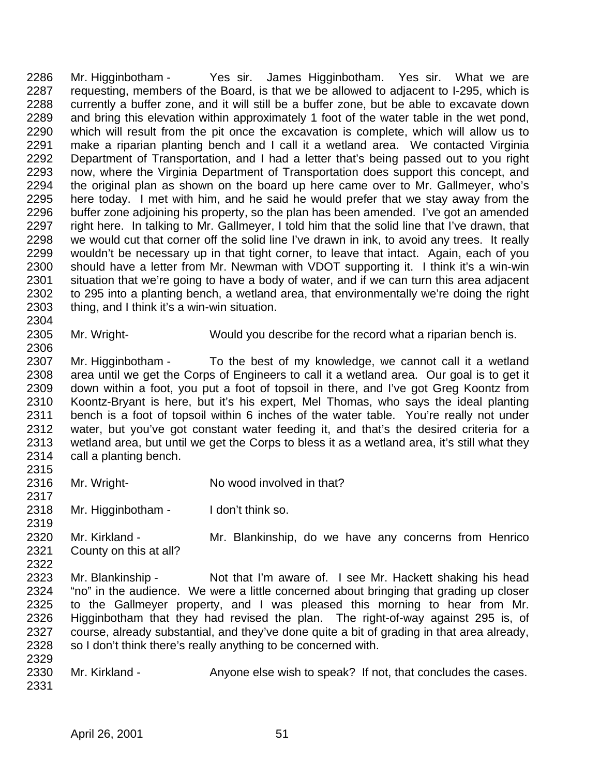Mr. Higginbotham - Yes sir. James Higginbotham. Yes sir. What we are requesting, members of the Board, is that we be allowed to adjacent to I-295, which is currently a buffer zone, and it will still be a buffer zone, but be able to excavate down and bring this elevation within approximately 1 foot of the water table in the wet pond, which will result from the pit once the excavation is complete, which will allow us to make a riparian planting bench and I call it a wetland area. We contacted Virginia Department of Transportation, and I had a letter that's being passed out to you right now, where the Virginia Department of Transportation does support this concept, and the original plan as shown on the board up here came over to Mr. Gallmeyer, who's here today. I met with him, and he said he would prefer that we stay away from the buffer zone adjoining his property, so the plan has been amended. I've got an amended right here. In talking to Mr. Gallmeyer, I told him that the solid line that I've drawn, that we would cut that corner off the solid line I've drawn in ink, to avoid any trees. It really wouldn't be necessary up in that tight corner, to leave that intact. Again, each of you should have a letter from Mr. Newman with VDOT supporting it. I think it's a win-win situation that we're going to have a body of water, and if we can turn this area adjacent to 295 into a planting bench, a wetland area, that environmentally we're doing the right thing, and I think it's a win-win situation.

Mr. Wright- Would you describe for the record what a riparian bench is.

2307 Mr. Higginbotham - To the best of my knowledge, we cannot call it a wetland area until we get the Corps of Engineers to call it a wetland area. Our goal is to get it 2309 down within a foot, you put a foot of topsoil in there, and I've got Greg Koontz from<br>2310 Koontz-Brvant is here, but it's his expert. Mel Thomas, who says the ideal planting Koontz-Bryant is here, but it's his expert, Mel Thomas, who says the ideal planting bench is a foot of topsoil within 6 inches of the water table. You're really not under water, but you've got constant water feeding it, and that's the desired criteria for a wetland area, but until we get the Corps to bless it as a wetland area, it's still what they call a planting bench.

- 2316 Mr. Wright- No wood involved in that?
- Mr. Higginbotham I don't think so.
- Mr. Kirkland Mr. Blankinship, do we have any concerns from Henrico County on this at all?
- Mr. Blankinship Not that I'm aware of. I see Mr. Hackett shaking his head "no" in the audience. We were a little concerned about bringing that grading up closer to the Gallmeyer property, and I was pleased this morning to hear from Mr. Higginbotham that they had revised the plan. The right-of-way against 295 is, of course, already substantial, and they've done quite a bit of grading in that area already, 2328 so I don't think there's really anything to be concerned with.
- 2330 Mr. Kirkland Anyone else wish to speak? If not, that concludes the cases.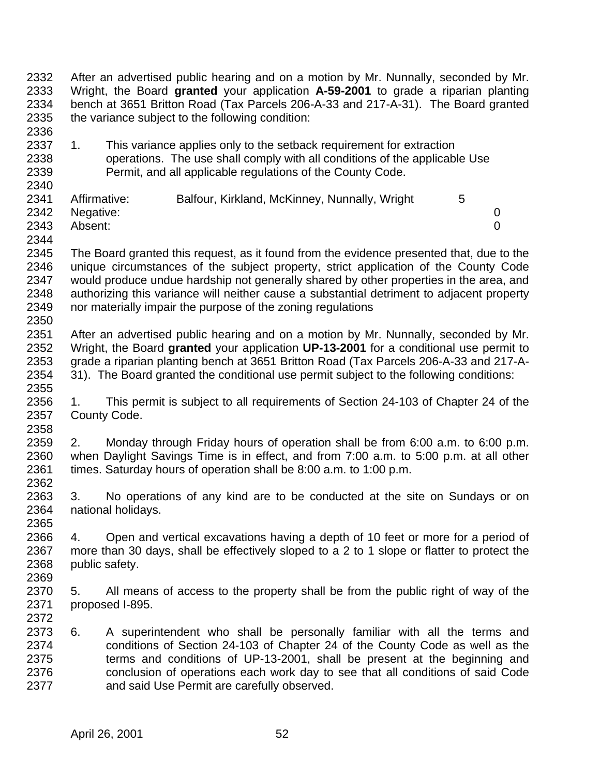After an advertised public hearing and on a motion by Mr. Nunnally, seconded by Mr. Wright, the Board **granted** your application **A-59-2001** to grade a riparian planting bench at 3651 Britton Road (Tax Parcels 206-A-33 and 217-A-31). The Board granted the variance subject to the following condition: 

2337 1. This variance applies only to the setback requirement for extraction operations. The use shall comply with all conditions of the applicable Use Permit, and all applicable regulations of the County Code.

| 2341 | Affirmative:   | Balfour, Kirkland, McKinney, Nunnally, Wright |  |
|------|----------------|-----------------------------------------------|--|
|      | 2342 Negative: |                                               |  |
| 2343 | Absent:        |                                               |  |

- The Board granted this request, as it found from the evidence presented that, due to the unique circumstances of the subject property, strict application of the County Code would produce undue hardship not generally shared by other properties in the area, and authorizing this variance will neither cause a substantial detriment to adjacent property nor materially impair the purpose of the zoning regulations
- 2350<br>2351 After an advertised public hearing and on a motion by Mr. Nunnally, seconded by Mr. Wright, the Board **granted** your application **UP-13-2001** for a conditional use permit to grade a riparian planting bench at 3651 Britton Road (Tax Parcels 206-A-33 and 217-A-31). The Board granted the conditional use permit subject to the following conditions:
- 2355<br>2356 1. This permit is subject to all requirements of Section 24-103 of Chapter 24 of the County Code.
- 2. Monday through Friday hours of operation shall be from 6:00 a.m. to 6:00 p.m. when Daylight Savings Time is in effect, and from 7:00 a.m. to 5:00 p.m. at all other times. Saturday hours of operation shall be 8:00 a.m. to 1:00 p.m.
- 3. No operations of any kind are to be conducted at the site on Sundays or on national holidays.
- 4. Open and vertical excavations having a depth of 10 feet or more for a period of more than 30 days, shall be effectively sloped to a 2 to 1 slope or flatter to protect the public safety.
- 5. All means of access to the property shall be from the public right of way of the proposed I-895.
- 6. A superintendent who shall be personally familiar with all the terms and conditions of Section 24-103 of Chapter 24 of the County Code as well as the terms and conditions of UP-13-2001, shall be present at the beginning and conclusion of operations each work day to see that all conditions of said Code and said Use Permit are carefully observed.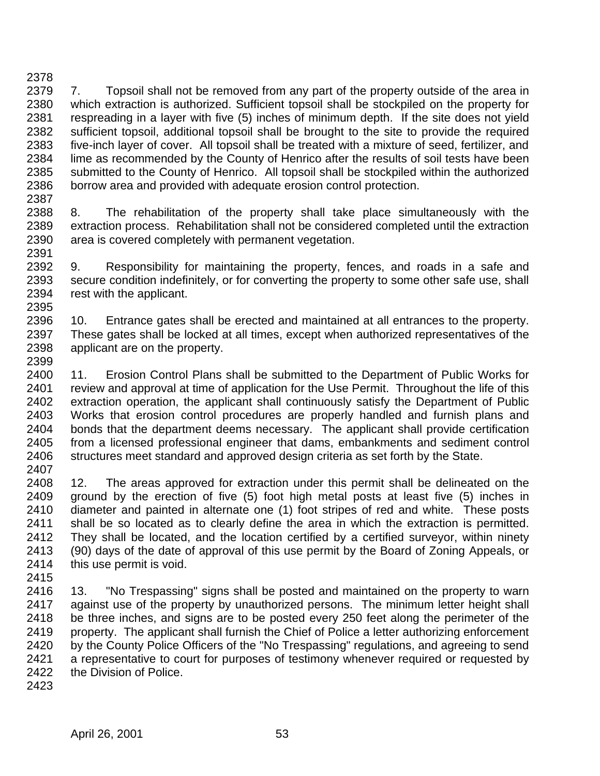2379 7. Topsoil shall not be removed from any part of the property outside of the area in which extraction is authorized. Sufficient topsoil shall be stockpiled on the property for respreading in a layer with five (5) inches of minimum depth. If the site does not yield sufficient topsoil, additional topsoil shall be brought to the site to provide the required five-inch layer of cover. All topsoil shall be treated with a mixture of seed, fertilizer, and lime as recommended by the County of Henrico after the results of soil tests have been submitted to the County of Henrico. All topsoil shall be stockpiled within the authorized borrow area and provided with adequate erosion control protection. 

- 8. The rehabilitation of the property shall take place simultaneously with the extraction process. Rehabilitation shall not be considered completed until the extraction area is covered completely with permanent vegetation.
- 9. Responsibility for maintaining the property, fences, and roads in a safe and secure condition indefinitely, or for converting the property to some other safe use, shall rest with the applicant.
- 10. Entrance gates shall be erected and maintained at all entrances to the property. These gates shall be locked at all times, except when authorized representatives of the applicant are on the property.
- 11. Erosion Control Plans shall be submitted to the Department of Public Works for 2401 review and approval at time of application for the Use Permit. Throughout the life of this extraction operation, the applicant shall continuously satisfy the Department of Public Works that erosion control procedures are properly handled and furnish plans and bonds that the department deems necessary. The applicant shall provide certification from a licensed professional engineer that dams, embankments and sediment control 2406 structures meet standard and approved design criteria as set forth by the State.
- 12. The areas approved for extraction under this permit shall be delineated on the ground by the erection of five (5) foot high metal posts at least five (5) inches in diameter and painted in alternate one (1) foot stripes of red and white. These posts shall be so located as to clearly define the area in which the extraction is permitted. They shall be located, and the location certified by a certified surveyor, within ninety (90) days of the date of approval of this use permit by the Board of Zoning Appeals, or this use permit is void.
- 
- 13. "No Trespassing" signs shall be posted and maintained on the property to warn against use of the property by unauthorized persons. The minimum letter height shall be three inches, and signs are to be posted every 250 feet along the perimeter of the property. The applicant shall furnish the Chief of Police a letter authorizing enforcement by the County Police Officers of the "No Trespassing" regulations, and agreeing to send a representative to court for purposes of testimony whenever required or requested by the Division of Police.
-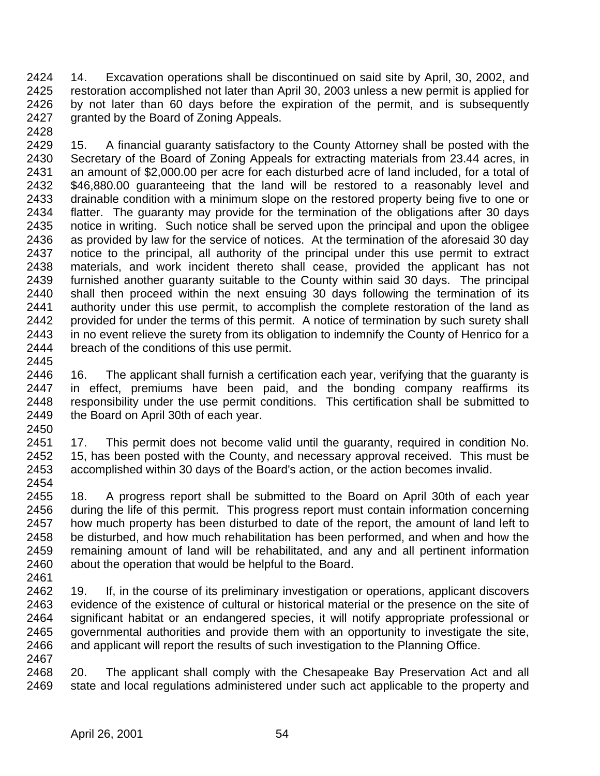14. Excavation operations shall be discontinued on said site by April, 30, 2002, and restoration accomplished not later than April 30, 2003 unless a new permit is applied for by not later than 60 days before the expiration of the permit, and is subsequently granted by the Board of Zoning Appeals. 

 15. A financial guaranty satisfactory to the County Attorney shall be posted with the Secretary of the Board of Zoning Appeals for extracting materials from 23.44 acres, in an amount of \$2,000.00 per acre for each disturbed acre of land included, for a total of \$46,880.00 guaranteeing that the land will be restored to a reasonably level and drainable condition with a minimum slope on the restored property being five to one or flatter. The guaranty may provide for the termination of the obligations after 30 days notice in writing. Such notice shall be served upon the principal and upon the obligee as provided by law for the service of notices. At the termination of the aforesaid 30 day notice to the principal, all authority of the principal under this use permit to extract materials, and work incident thereto shall cease, provided the applicant has not furnished another guaranty suitable to the County within said 30 days. The principal shall then proceed within the next ensuing 30 days following the termination of its authority under this use permit, to accomplish the complete restoration of the land as 2442 provided for under the terms of this permit. A notice of termination by such surety shall<br>2443 in no event relieve the surety from its obligation to indemnify the County of Henrico for a in no event relieve the surety from its obligation to indemnify the County of Henrico for a breach of the conditions of this use permit.

 16. The applicant shall furnish a certification each year, verifying that the guaranty is in effect, premiums have been paid, and the bonding company reaffirms its responsibility under the use permit conditions. This certification shall be submitted to 2449 the Board on April 30th of each year. 

 17. This permit does not become valid until the guaranty, required in condition No. 15, has been posted with the County, and necessary approval received. This must be accomplished within 30 days of the Board's action, or the action becomes invalid. 

 18. A progress report shall be submitted to the Board on April 30th of each year during the life of this permit. This progress report must contain information concerning how much property has been disturbed to date of the report, the amount of land left to be disturbed, and how much rehabilitation has been performed, and when and how the remaining amount of land will be rehabilitated, and any and all pertinent information about the operation that would be helpful to the Board.

 19. If, in the course of its preliminary investigation or operations, applicant discovers evidence of the existence of cultural or historical material or the presence on the site of significant habitat or an endangered species, it will notify appropriate professional or governmental authorities and provide them with an opportunity to investigate the site, and applicant will report the results of such investigation to the Planning Office. 

 20. The applicant shall comply with the Chesapeake Bay Preservation Act and all state and local regulations administered under such act applicable to the property and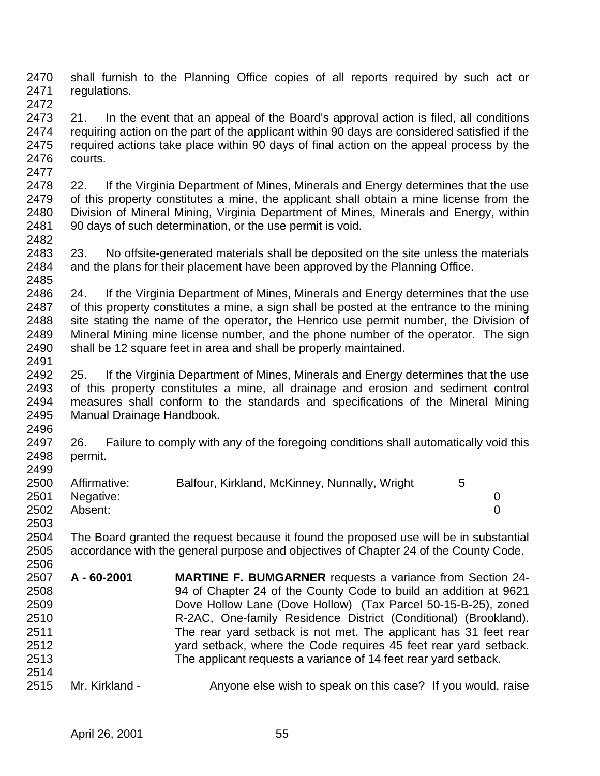shall furnish to the Planning Office copies of all reports required by such act or regulations. 

 21. In the event that an appeal of the Board's approval action is filed, all conditions requiring action on the part of the applicant within 90 days are considered satisfied if the required actions take place within 90 days of final action on the appeal process by the courts. 

 22. If the Virginia Department of Mines, Minerals and Energy determines that the use of this property constitutes a mine, the applicant shall obtain a mine license from the Division of Mineral Mining, Virginia Department of Mines, Minerals and Energy, within 90 days of such determination, or the use permit is void. 

2483 23. No offsite-generated materials shall be deposited on the site unless the materials 2484 and the plans for their placement have been approved by the Planning Office. and the plans for their placement have been approved by the Planning Office. 

 24. If the Virginia Department of Mines, Minerals and Energy determines that the use of this property constitutes a mine, a sign shall be posted at the entrance to the mining site stating the name of the operator, the Henrico use permit number, the Division of Mineral Mining mine license number, and the phone number of the operator. The sign shall be 12 square feet in area and shall be properly maintained. 

- 25. If the Virginia Department of Mines, Minerals and Energy determines that the use of this property constitutes a mine, all drainage and erosion and sediment control measures shall conform to the standards and specifications of the Mineral Mining Manual Drainage Handbook.
- 26. Failure to comply with any of the foregoing conditions shall automatically void this permit.

| 2500 | Affirmative:   | Balfour, Kirkland, McKinney, Nunnally, Wright | 5 |  |
|------|----------------|-----------------------------------------------|---|--|
|      | 2501 Negative: |                                               |   |  |
| 2502 | Absent:        |                                               |   |  |
| 2503 |                |                                               |   |  |

 The Board granted the request because it found the proposed use will be in substantial accordance with the general purpose and objectives of Chapter 24 of the County Code.

- **A 60-2001 MARTINE F. BUMGARNER** requests a variance from Section 24- 94 of Chapter 24 of the County Code to build an addition at 9621 Dove Hollow Lane (Dove Hollow) (Tax Parcel 50-15-B-25), zoned R-2AC, One-family Residence District (Conditional) (Brookland). The rear yard setback is not met. The applicant has 31 feet rear yard setback, where the Code requires 45 feet rear yard setback. The applicant requests a variance of 14 feet rear yard setback.
- 2515 Mr. Kirkland Anyone else wish to speak on this case? If you would, raise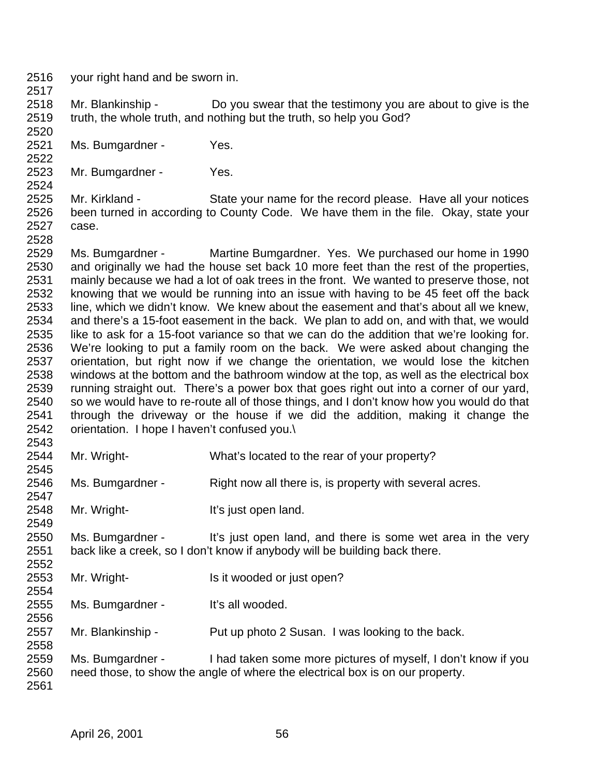your right hand and be sworn in.

- Mr. Blankinship Do you swear that the testimony you are about to give is the truth, the whole truth, and nothing but the truth, so help you God?
- Ms. Bumgardner Yes.
- Mr. Bumgardner Yes.
- Mr. Kirkland State your name for the record please. Have all your notices been turned in according to County Code. We have them in the file. Okay, state your case.
- Ms. Bumgardner Martine Bumgardner. Yes. We purchased our home in 1990 and originally we had the house set back 10 more feet than the rest of the properties, mainly because we had a lot of oak trees in the front. We wanted to preserve those, not knowing that we would be running into an issue with having to be 45 feet off the back line, which we didn't know. We knew about the easement and that's about all we knew, and there's a 15-foot easement in the back. We plan to add on, and with that, we would like to ask for a 15-foot variance so that we can do the addition that we're looking for. We're looking to put a family room on the back. We were asked about changing the orientation, but right now if we change the orientation, we would lose the kitchen windows at the bottom and the bathroom window at the top, as well as the electrical box running straight out. There's a power box that goes right out into a corner of our yard, so we would have to re-route all of those things, and I don't know how you would do that through the driveway or the house if we did the addition, making it change the orientation. I hope I haven't confused you.\
- 2543<br>2544 Mr. Wright- What's located to the rear of your property?
- Ms. Bumgardner Right now all there is, is property with several acres.
- 2548 Mr. Wright-<br>
It's just open land.
- Ms. Bumgardner It's just open land, and there is some wet area in the very back like a creek, so I don't know if anybody will be building back there.
- 2553 Mr. Wright- Is it wooded or just open?
- Ms. Bumgardner It's all wooded.
- Mr. Blankinship Put up photo 2 Susan. I was looking to the back.
- Ms. Bumgardner - I had taken some more pictures of myself, I don't know if you need those, to show the angle of where the electrical box is on our property.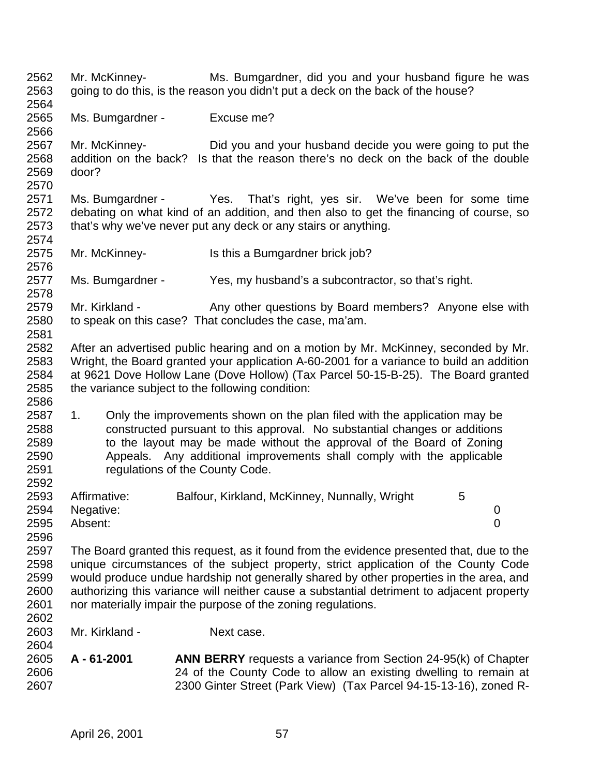Mr. McKinney- Ms. Bumgardner, did you and your husband figure he was going to do this, is the reason you didn't put a deck on the back of the house? Ms. Bumgardner - Excuse me? Mr. McKinney- Did you and your husband decide you were going to put the addition on the back? Is that the reason there's no deck on the back of the double door? Ms. Bumgardner - Yes. That's right, yes sir. We've been for some time debating on what kind of an addition, and then also to get the financing of course, so that's why we've never put any deck or any stairs or anything. 2575 Mr. McKinney- Is this a Bumgardner brick job? Ms. Bumgardner - Yes, my husband's a subcontractor, so that's right. 2579 Mr. Kirkland - Any other questions by Board members? Anyone else with to speak on this case? That concludes the case, ma'am. After an advertised public hearing and on a motion by Mr. McKinney, seconded by Mr. Wright, the Board granted your application A-60-2001 for a variance to build an addition at 9621 Dove Hollow Lane (Dove Hollow) (Tax Parcel 50-15-B-25). The Board granted the variance subject to the following condition: 1. Only the improvements shown on the plan filed with the application may be constructed pursuant to this approval. No substantial changes or additions to the layout may be made without the approval of the Board of Zoning Appeals. Any additional improvements shall comply with the applicable regulations of the County Code. 2593 Affirmative: Balfour, Kirkland, McKinney, Nunnally, Wright 5 Negative: 0 Absent: 0 The Board granted this request, as it found from the evidence presented that, due to the unique circumstances of the subject property, strict application of the County Code would produce undue hardship not generally shared by other properties in the area, and authorizing this variance will neither cause a substantial detriment to adjacent property nor materially impair the purpose of the zoning regulations. Mr. Kirkland - Next case. **A - 61-2001 ANN BERRY** requests a variance from Section 24-95(k) of Chapter 24 of the County Code to allow an existing dwelling to remain at 2300 Ginter Street (Park View) (Tax Parcel 94-15-13-16), zoned R-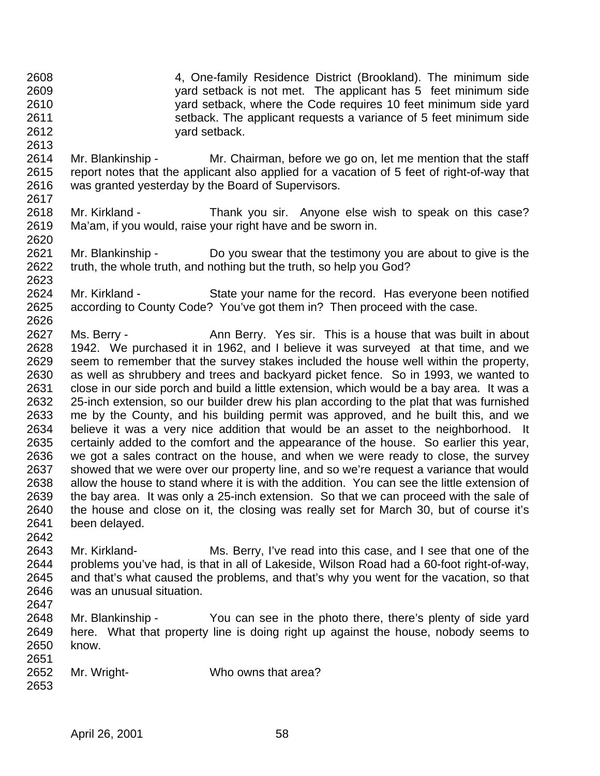- 4, One-family Residence District (Brookland). The minimum side yard setback is not met. The applicant has 5 feet minimum side yard setback, where the Code requires 10 feet minimum side yard setback. The applicant requests a variance of 5 feet minimum side yard setback.
- Mr. Blankinship Mr. Chairman, before we go on, let me mention that the staff report notes that the applicant also applied for a vacation of 5 feet of right-of-way that was granted yesterday by the Board of Supervisors.
- 2618 Mr. Kirkland Thank you sir. Anyone else wish to speak on this case? Ma'am, if you would, raise your right have and be sworn in.
- Mr. Blankinship Do you swear that the testimony you are about to give is the truth, the whole truth, and nothing but the truth, so help you God?
- Mr. Kirkland State your name for the record. Has everyone been notified according to County Code? You've got them in? Then proceed with the case.
- 2627 Ms. Berry Ann Berry. Yes sir. This is a house that was built in about 1942. We purchased it in 1962, and I believe it was surveyed at that time, and we seem to remember that the survey stakes included the house well within the property, as well as shrubbery and trees and backyard picket fence. So in 1993, we wanted to close in our side porch and build a little extension, which would be a bay area. It was a 25-inch extension, so our builder drew his plan according to the plat that was furnished me by the County, and his building permit was approved, and he built this, and we believe it was a very nice addition that would be an asset to the neighborhood. It certainly added to the comfort and the appearance of the house. So earlier this year, we got a sales contract on the house, and when we were ready to close, the survey showed that we were over our property line, and so we're request a variance that would allow the house to stand where it is with the addition. You can see the little extension of the bay area. It was only a 25-inch extension. So that we can proceed with the sale of the house and close on it, the closing was really set for March 30, but of course it's been delayed.
- 

- Mr. Kirkland- Ms. Berry, I've read into this case, and I see that one of the problems you've had, is that in all of Lakeside, Wilson Road had a 60-foot right-of-way, and that's what caused the problems, and that's why you went for the vacation, so that was an unusual situation.
- 
- Mr. Blankinship You can see in the photo there, there's plenty of side yard here. What that property line is doing right up against the house, nobody seems to know.
- Mr. Wright- Who owns that area?
-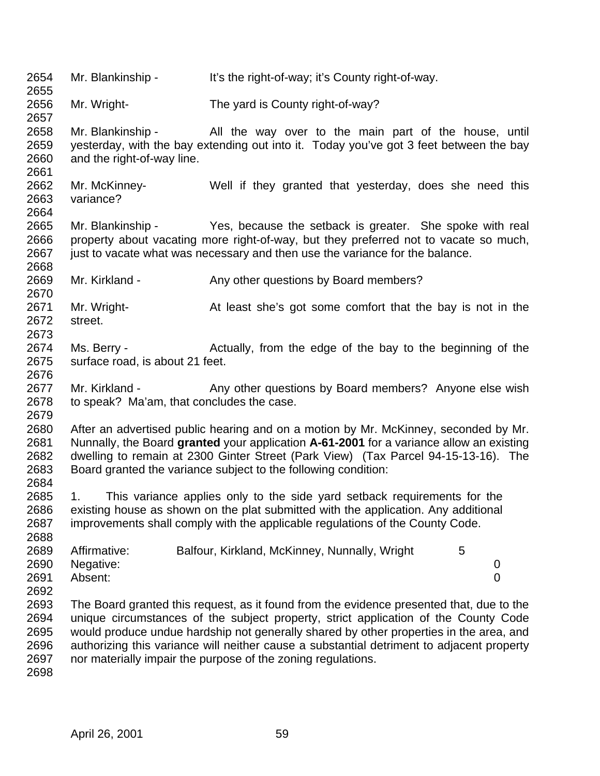Mr. Blankinship - It's the right-of-way; it's County right-of-way. Mr. Wright- The yard is County right-of-way? Mr. Blankinship - All the way over to the main part of the house, until yesterday, with the bay extending out into it. Today you've got 3 feet between the bay and the right-of-way line. Mr. McKinney- Well if they granted that yesterday, does she need this variance? Mr. Blankinship - Yes, because the setback is greater. She spoke with real property about vacating more right-of-way, but they preferred not to vacate so much, 2667 just to vacate what was necessary and then use the variance for the balance. 2669 Mr. Kirkland - Any other questions by Board members? Mr. Wright- At least she's got some comfort that the bay is not in the street. Ms. Berry - Actually, from the edge of the bay to the beginning of the surface road, is about 21 feet. 2677 Mr. Kirkland - Any other questions by Board members? Anyone else wish to speak? Ma'am, that concludes the case. After an advertised public hearing and on a motion by Mr. McKinney, seconded by Mr. Nunnally, the Board **granted** your application **A-61-2001** for a variance allow an existing dwelling to remain at 2300 Ginter Street (Park View) (Tax Parcel 94-15-13-16). The Board granted the variance subject to the following condition: 1. This variance applies only to the side yard setback requirements for the existing house as shown on the plat submitted with the application. Any additional improvements shall comply with the applicable regulations of the County Code. 2689 Affirmative: Balfour, Kirkland, McKinney, Nunnally, Wright 5 Negative: 0 Absent: 0 The Board granted this request, as it found from the evidence presented that, due to the unique circumstances of the subject property, strict application of the County Code would produce undue hardship not generally shared by other properties in the area, and authorizing this variance will neither cause a substantial detriment to adjacent property nor materially impair the purpose of the zoning regulations.